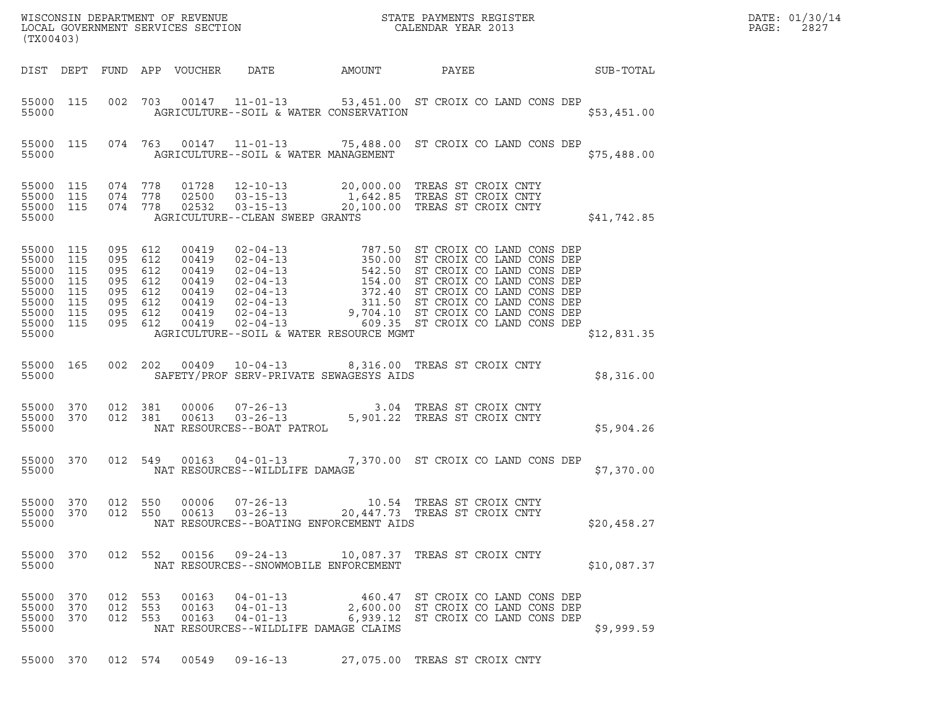| R<br>WISCONSIN DEPARTMENT OF REVENUE<br>LOCAL GOVERNMENT SERVICES SECTION CALENDAR YEAR 2013<br>(TX00403)                                                                                                                                                                                                                                                                                                      | DATE: 01/30/14<br>PAGE:<br>2827 |
|----------------------------------------------------------------------------------------------------------------------------------------------------------------------------------------------------------------------------------------------------------------------------------------------------------------------------------------------------------------------------------------------------------------|---------------------------------|
| DIST DEPT FUND APP VOUCHER DATE AMOUNT PAYEE SUB-TOTAL                                                                                                                                                                                                                                                                                                                                                         |                                 |
| 55000 115 002 703 00147 11-01-13 53,451.00 ST CROIX CO LAND CONS DEP<br>55000 AGRICULTURE--SOIL & WATER CONSERVATION<br>\$53,451.00                                                                                                                                                                                                                                                                            |                                 |
| 55000 115 074 763 00147 11-01-13 75,488.00 ST CROIX CO LAND CONS DEP<br>55000 AGRICULTURE--SOIL & WATER MANAGEMENT<br>\$75,488.00                                                                                                                                                                                                                                                                              |                                 |
| 074 778 01728 12-10-13 20,000.00 TREAS ST CROIX CNTY<br>074 778 02500 03-15-13 1,642.85 TREAS ST CROIX CNTY<br>074 778 02532 03-15-13 20,100.00 TREAS ST CROIX CNTY<br>55000 115<br>55000 115<br>55000 115<br>\$41,742.85<br>55000 AGRICULTURE--CLEAN SWEEP GRANTS                                                                                                                                             |                                 |
| 095 612 00419 02-04-13 787.50 ST CROIX CO LAND CONS DEP<br>095 612 00419 02-04-13 350.00 ST CROIX CO LAND CONS DEP<br>095 612 00419 02-04-13 542.50 ST CROIX CO LAND CONS DEP<br>095 612 00419 02-04-13 154.00 ST CROIX CO LAND CON<br>55000 115<br>55000 115<br>55000 115<br>55000 115<br>55000 115<br>55000 115<br>55000 115<br>55000 115<br>AGRICULTURE--SOIL & WATER RESOURCE MGMT<br>55000<br>\$12,831.35 |                                 |
| 55000 165 002 202 00409 10-04-13 8,316.00 TREAS ST CROIX CNTY<br>55000 SAFETY/PROF SERV-PRIVATE SEWAGESYS AIDS<br>\$8,316.00                                                                                                                                                                                                                                                                                   |                                 |
| 012 381 00006 07-26-13 3.04 TREAS ST CROIX CNTY<br>012 381 00613 03-26-13 5,901.22 TREAS ST CROIX CNTY<br>NAT RESOURCES--BOAT PATROL<br>55000 370<br>55000 370<br>55000<br>\$5,904.26                                                                                                                                                                                                                          |                                 |
| 55000 370 012 549 00163 04-01-13 7,370.00 ST CROIX CO LAND CONS DEP<br>NAT RESOURCES--WILDLIFE DAMAGE<br>55000<br>\$7,370.00                                                                                                                                                                                                                                                                                   |                                 |
| 55000 370 012 550 00006 07-26-13 10.54 TREAS ST CROIX CNTY<br>012 550 00613 03-26-13 20,447.73 TREAS ST CROIX CNTY<br>55000 370<br>55000<br>NAT RESOURCES--BOATING ENFORCEMENT AIDS<br>\$20,458.27                                                                                                                                                                                                             |                                 |
| 55000 370<br>012 552 00156 09-24-13 10,087.37 TREAS ST CROIX CNTY<br>55000<br>NAT RESOURCES--SNOWMOBILE ENFORCEMENT<br>\$10,087.37                                                                                                                                                                                                                                                                             |                                 |
| 55000 370<br>012 553<br>$00163$ $04-01-13$<br>460.47 ST CROIX CO LAND CONS DEP<br>2,600.00 ST CROIX CO LAND CONS DEP<br>55000 370<br>012 553 00163 04-01-13<br>012 553 00163 04-01-13<br>55000 370<br>6,939.12 ST CROIX CO LAND CONS DEP<br>NAT RESOURCES--WILDLIFE DAMAGE CLAIMS<br>55000<br>\$9,999.59                                                                                                       |                                 |
| 55000 370 012 574 00549 09-16-13 27,075.00 TREAS ST CROIX CNTY                                                                                                                                                                                                                                                                                                                                                 |                                 |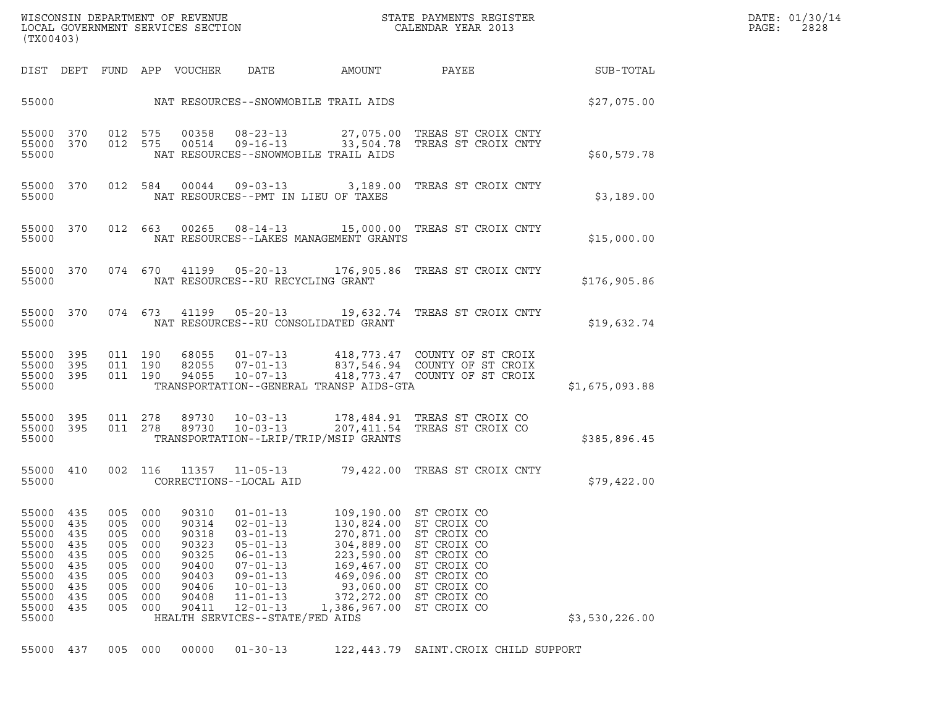| WISCONSIN DEPARTMENT OF REVENUE<br>LOCAL GOVERNMENT SERVICES SECTION<br>(TX00403) | STATE PAYMENTS REGISTER<br>CALENDAR YEAR 2013 | DATE: 01/30/14<br>PAGE:<br>2828 |
|-----------------------------------------------------------------------------------|-----------------------------------------------|---------------------------------|

| (TX00403)                                                          |                                                                    |                                                                    |                                                                                        |                                                                                                                                                                                  |                                                     |                                                                                                                                                                                                                                                                              |                                                                                                                                                                                                                                                                                                          |
|--------------------------------------------------------------------|--------------------------------------------------------------------|--------------------------------------------------------------------|----------------------------------------------------------------------------------------|----------------------------------------------------------------------------------------------------------------------------------------------------------------------------------|-----------------------------------------------------|------------------------------------------------------------------------------------------------------------------------------------------------------------------------------------------------------------------------------------------------------------------------------|----------------------------------------------------------------------------------------------------------------------------------------------------------------------------------------------------------------------------------------------------------------------------------------------------------|
| DEPT                                                               | FUND                                                               |                                                                    | VOUCHER                                                                                | DATE                                                                                                                                                                             | AMOUNT                                              | PAYEE                                                                                                                                                                                                                                                                        | SUB-TOTAL                                                                                                                                                                                                                                                                                                |
|                                                                    |                                                                    |                                                                    |                                                                                        |                                                                                                                                                                                  |                                                     |                                                                                                                                                                                                                                                                              | \$27,075.00                                                                                                                                                                                                                                                                                              |
| 370<br>370                                                         | 012<br>012                                                         | 575<br>575                                                         | 00358<br>00514                                                                         | $08 - 23 - 13$<br>$09 - 16 - 13$                                                                                                                                                 |                                                     | TREAS ST CROIX CNTY                                                                                                                                                                                                                                                          | \$60,579.78                                                                                                                                                                                                                                                                                              |
| 370                                                                | 012                                                                | 584                                                                | 00044                                                                                  | $09 - 03 - 13$                                                                                                                                                                   | 3,189.00                                            | TREAS ST CROIX CNTY                                                                                                                                                                                                                                                          | \$3,189.00                                                                                                                                                                                                                                                                                               |
| 370                                                                | 012                                                                | 663                                                                | 00265                                                                                  | $08 - 14 - 13$                                                                                                                                                                   |                                                     | TREAS ST CROIX CNTY                                                                                                                                                                                                                                                          | \$15,000.00                                                                                                                                                                                                                                                                                              |
| 370                                                                | 074                                                                | 670                                                                | 41199                                                                                  | $05 - 20 - 13$                                                                                                                                                                   |                                                     | TREAS ST CROIX CNTY                                                                                                                                                                                                                                                          | \$176,905.86                                                                                                                                                                                                                                                                                             |
| 370                                                                | 074                                                                | 673                                                                | 41199                                                                                  | $05 - 20 - 13$                                                                                                                                                                   |                                                     | TREAS ST CROIX CNTY                                                                                                                                                                                                                                                          | \$19,632.74                                                                                                                                                                                                                                                                                              |
| 395<br>395<br>395                                                  | 011<br>011<br>011                                                  | 190<br>190<br>190                                                  | 68055<br>82055<br>94055                                                                | $01 - 07 - 13$<br>$07 - 01 - 13$<br>$10 - 07 - 13$                                                                                                                               |                                                     | COUNTY OF ST CROIX<br>COUNTY OF ST CROIX<br>COUNTY OF ST CROIX                                                                                                                                                                                                               | \$1,675,093.88                                                                                                                                                                                                                                                                                           |
| 395<br>395                                                         | 011<br>011                                                         | 278<br>278                                                         | 89730<br>89730                                                                         | $10 - 03 - 13$<br>$10 - 03 - 13$                                                                                                                                                 | 178,484.91<br>207,411.54                            | TREAS ST CROIX CO<br>TREAS ST CROIX CO                                                                                                                                                                                                                                       | \$385,896.45                                                                                                                                                                                                                                                                                             |
| 410                                                                | 002                                                                | 116                                                                | 11357                                                                                  | $11 - 05 - 13$                                                                                                                                                                   | 79,422.00                                           | TREAS ST CROIX CNTY                                                                                                                                                                                                                                                          | \$79,422.00                                                                                                                                                                                                                                                                                              |
| 435<br>435<br>435<br>435<br>435<br>435<br>435<br>435<br>435<br>435 | 005<br>005<br>005<br>005<br>005<br>005<br>005<br>005<br>005<br>005 | 000<br>000<br>000<br>000<br>000<br>000<br>000<br>000<br>000<br>000 | 90310<br>90314<br>90318<br>90323<br>90325<br>90400<br>90403<br>90406<br>90408<br>90411 | $01 - 01 - 13$<br>$02 - 01 - 13$<br>$03 - 01 - 13$<br>$05 - 01 - 13$<br>$06 - 01 - 13$<br>$07 - 01 - 13$<br>$09 - 01 - 13$<br>$10 - 01 - 13$<br>$11 - 01 - 13$<br>$12 - 01 - 13$ | 304,889.00<br>223,590.00<br>469,096.00<br>93,060.00 | ST CROIX CO<br>ST CROIX CO<br>ST CROIX CO<br>ST CROIX CO<br>ST CROIX CO<br>ST CROIX CO<br>ST CROIX CO<br>ST CROIX CO<br>ST CROIX CO<br>ST CROIX CO                                                                                                                           | \$3,530,226.00                                                                                                                                                                                                                                                                                           |
|                                                                    |                                                                    |                                                                    | APP                                                                                    |                                                                                                                                                                                  | CORRECTIONS--LOCAL AID                              | NAT RESOURCES--SNOWMOBILE TRAIL AIDS<br>NAT RESOURCES--SNOWMOBILE TRAIL AIDS<br>NAT RESOURCES--PMT IN LIEU OF TAXES<br>NAT RESOURCES--RU RECYCLING GRANT<br>NAT RESOURCES--RU CONSOLIDATED GRANT<br>TRANSPORTATION--LRIP/TRIP/MSIP GRANTS<br>HEALTH SERVICES--STATE/FED AIDS | 27,075.00 TREAS ST CROIX CNTY<br>33,504.78<br>15,000.00<br>NAT RESOURCES--LAKES MANAGEMENT GRANTS<br>176,905.86<br>19,632.74<br>418,773.47<br>837,546.94<br>418,773.47<br>TRANSPORTATION--GENERAL TRANSP AIDS-GTA<br>109,190.00<br>130,824.00<br>270,871.00<br>169,467.00<br>372, 272.00<br>1,386,967.00 |

55000 437 005 000 00000 01-30-13 122,443.79 SAINT.CROIX CHILD SUPPORT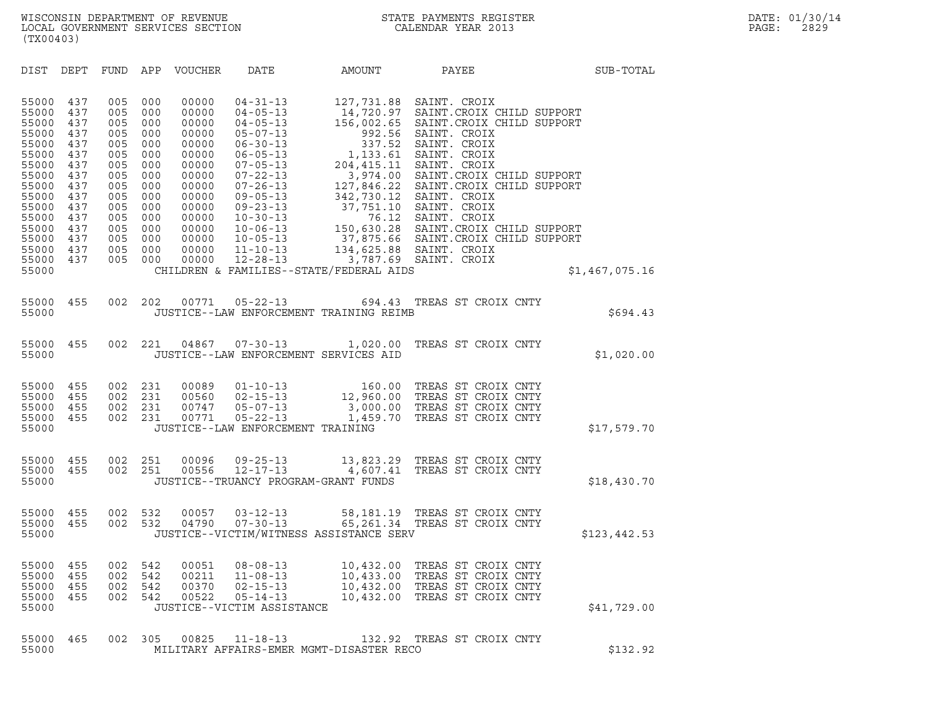| (TX00403)                                                                                                                                             |                                                                                                              |                                                                                                              |                                                                                                              |                                                                                                                                              |                                                                                                                                                                                                                                                                                              |                                                                                                                                                                                |                                                                                                                                                                                                                                                                                                                                                                                                    |       |                |
|-------------------------------------------------------------------------------------------------------------------------------------------------------|--------------------------------------------------------------------------------------------------------------|--------------------------------------------------------------------------------------------------------------|--------------------------------------------------------------------------------------------------------------|----------------------------------------------------------------------------------------------------------------------------------------------|----------------------------------------------------------------------------------------------------------------------------------------------------------------------------------------------------------------------------------------------------------------------------------------------|--------------------------------------------------------------------------------------------------------------------------------------------------------------------------------|----------------------------------------------------------------------------------------------------------------------------------------------------------------------------------------------------------------------------------------------------------------------------------------------------------------------------------------------------------------------------------------------------|-------|----------------|
| DIST                                                                                                                                                  | DEPT                                                                                                         | FUND                                                                                                         | APP                                                                                                          | VOUCHER                                                                                                                                      | DATE                                                                                                                                                                                                                                                                                         | AMOUNT                                                                                                                                                                         |                                                                                                                                                                                                                                                                                                                                                                                                    | PAYEE | SUB-TOTAL      |
| 55000<br>55000<br>55000<br>55000<br>55000<br>55000<br>55000<br>55000<br>55000<br>55000<br>55000<br>55000<br>55000<br>55000<br>55000<br>55000<br>55000 | 437<br>437<br>437<br>437<br>437<br>437<br>437<br>437<br>437<br>437<br>437<br>437<br>437<br>437<br>437<br>437 | 005<br>005<br>005<br>005<br>005<br>005<br>005<br>005<br>005<br>005<br>005<br>005<br>005<br>005<br>005<br>005 | 000<br>000<br>000<br>000<br>000<br>000<br>000<br>000<br>000<br>000<br>000<br>000<br>000<br>000<br>000<br>000 | 00000<br>00000<br>00000<br>00000<br>00000<br>00000<br>00000<br>00000<br>00000<br>00000<br>00000<br>00000<br>00000<br>00000<br>00000<br>00000 | $04 - 31 - 13$<br>$04 - 05 - 13$<br>$04 - 05 - 13$<br>$05 - 07 - 13$<br>$06 - 30 - 13$<br>$06 - 05 - 13$<br>$07 - 05 - 13$<br>$07 - 22 - 13$<br>$07 - 26 - 13$<br>$09 - 05 - 13$<br>$09 - 23 - 13$<br>$10 - 30 - 13$<br>$10 - 06 - 13$<br>$10 - 05 - 13$<br>$11 - 10 - 13$<br>$12 - 28 - 13$ | 127,731.88<br>14,720.97<br>156,002.65<br>992.56<br>337.52<br>1,133.61<br>204,415.11<br>3,974.00<br>127,846.22<br>37,751.10<br>76.12<br>CHILDREN & FAMILIES--STATE/FEDERAL AIDS | SAINT. CROIX<br>SAINT. CROIX CHILD SUPPORT<br>SAINT. CROIX CHILD SUPPORT<br>SAINT. CROIX<br>SAINT. CROIX<br>SAINT. CROIX<br>SAINT. CROIX<br>SAINT. CROIX CHILD SUPPORT<br>SAINT. CROIX CHILD SUPPORT<br>342,730.12 SAINT. CROIX<br>SAINT. CROIX<br>SAINT. CROIX<br>150,630.28 SAINT.CROIX CHILD SUPPORT<br>37,875.66 SAINT.CROIX CHILD SUPPORT<br>134,625.88 SAINT. CROIX<br>3,787.69 SAINT. CROIX |       | \$1,467,075.16 |
| 55000<br>55000                                                                                                                                        | 455                                                                                                          | 002                                                                                                          | 202                                                                                                          | 00771                                                                                                                                        | $05 - 22 - 13$                                                                                                                                                                                                                                                                               | 694.43<br>JUSTICE--LAW ENFORCEMENT TRAINING REIMB                                                                                                                              | TREAS ST CROIX CNTY                                                                                                                                                                                                                                                                                                                                                                                |       | \$694.43       |
| 55000<br>55000                                                                                                                                        | 455                                                                                                          | 002                                                                                                          | 221                                                                                                          | 04867                                                                                                                                        | $07 - 30 - 13$                                                                                                                                                                                                                                                                               | 1,020.00<br>JUSTICE--LAW ENFORCEMENT SERVICES AID                                                                                                                              | TREAS ST CROIX CNTY                                                                                                                                                                                                                                                                                                                                                                                |       | \$1,020.00     |
| 55000<br>55000<br>55000<br>55000<br>55000                                                                                                             | 455<br>455<br>455<br>455                                                                                     | 002<br>002<br>002<br>002                                                                                     | 231<br>231<br>231<br>231                                                                                     | 00089<br>00560<br>00747<br>00771                                                                                                             | $01 - 10 - 13$<br>$02 - 15 - 13$<br>$05 - 07 - 13$<br>05-22-13<br>JUSTICE--LAW ENFORCEMENT TRAINING                                                                                                                                                                                          | 160.00<br>12,960.00<br>1,459.70                                                                                                                                                | TREAS ST CROIX CNTY<br>TREAS ST CROIX CNTY<br>3,000.00 TREAS ST CROIX CNTY<br>TREAS ST CROIX CNTY                                                                                                                                                                                                                                                                                                  |       | \$17,579.70    |
| 55000<br>55000<br>55000                                                                                                                               | 455<br>455                                                                                                   | 002<br>002                                                                                                   | 251<br>251                                                                                                   | 00096<br>00556                                                                                                                               | $09 - 25 - 13$<br>$12 - 17 - 13$                                                                                                                                                                                                                                                             | 4,607.41<br>JUSTICE--TRUANCY PROGRAM-GRANT FUNDS                                                                                                                               | 13,823.29 TREAS ST CROIX CNTY<br>TREAS ST CROIX CNTY                                                                                                                                                                                                                                                                                                                                               |       | \$18,430.70    |
| 55000<br>55000<br>55000                                                                                                                               | 455<br>455                                                                                                   | 002<br>002                                                                                                   | 532<br>532                                                                                                   | 00057<br>04790                                                                                                                               | $03 - 12 - 13$<br>$07 - 30 - 13$                                                                                                                                                                                                                                                             | JUSTICE--VICTIM/WITNESS ASSISTANCE SERV                                                                                                                                        | 58,181.19 TREAS ST CROIX CNTY<br>65,261.34 TREAS ST CROIX CNTY                                                                                                                                                                                                                                                                                                                                     |       | \$123,442.53   |
| 55000<br>55000<br>55000<br>55000<br>55000                                                                                                             | 455<br>455<br>455<br>455                                                                                     | 002<br>002<br>002<br>002                                                                                     | 542<br>542<br>542<br>542                                                                                     | 00051<br>00211<br>00370<br>00522                                                                                                             | $08 - 08 - 13$<br>$11 - 08 - 13$<br>$02 - 15 - 13$<br>$05 - 14 - 13$<br>JUSTICE--VICTIM ASSISTANCE                                                                                                                                                                                           | 10,432.00<br>10,433.00<br>10,432.00<br>10,432.00                                                                                                                               | TREAS ST CROIX CNTY<br>TREAS ST CROIX CNTY<br>TREAS ST CROIX CNTY<br>TREAS ST CROIX CNTY                                                                                                                                                                                                                                                                                                           |       | \$41,729.00    |
| 55000<br>55000                                                                                                                                        | 465                                                                                                          | 002                                                                                                          | 305                                                                                                          | 00825                                                                                                                                        | $11 - 18 - 13$                                                                                                                                                                                                                                                                               | 132.92<br>MILITARY AFFAIRS-EMER MGMT-DISASTER RECO                                                                                                                             | TREAS ST CROIX CNTY                                                                                                                                                                                                                                                                                                                                                                                |       | \$132.92       |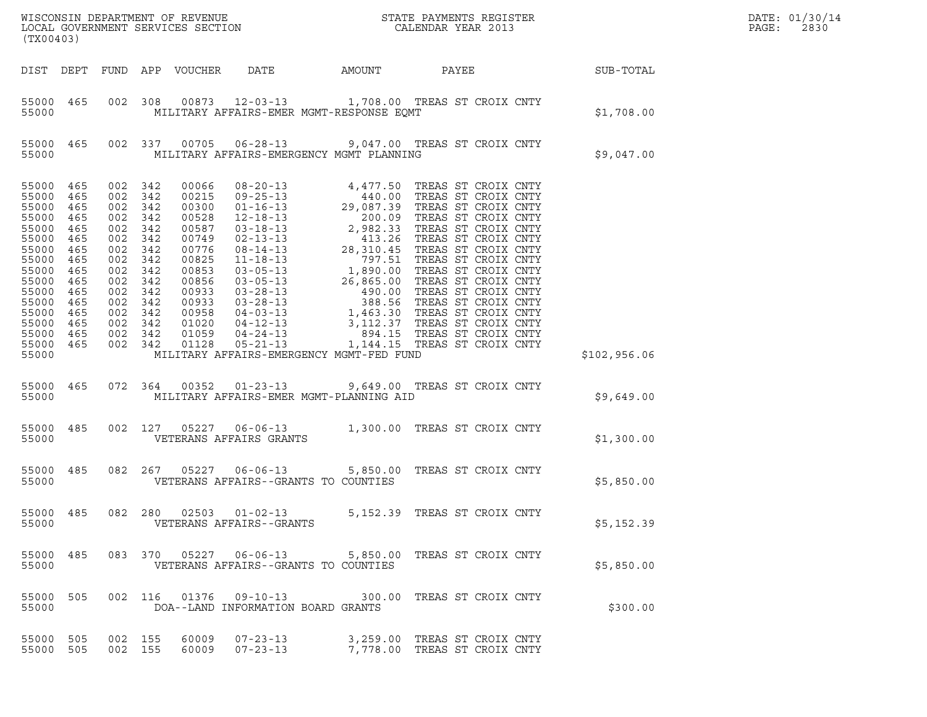| (TX00403)                                                                                                                                                    |                                                                                  |                                                                                                                                                                      |            |                            |                                                                                                 |                                       |                                                              |  |                  | DATE: 01/30/14<br>PAGE:<br>2830 |
|--------------------------------------------------------------------------------------------------------------------------------------------------------------|----------------------------------------------------------------------------------|----------------------------------------------------------------------------------------------------------------------------------------------------------------------|------------|----------------------------|-------------------------------------------------------------------------------------------------|---------------------------------------|--------------------------------------------------------------|--|------------------|---------------------------------|
|                                                                                                                                                              |                                                                                  |                                                                                                                                                                      |            | DIST DEPT FUND APP VOUCHER | DATE                                                                                            | AMOUNT                                | PAYEE                                                        |  | <b>SUB-TOTAL</b> |                                 |
| 55000 465<br>55000                                                                                                                                           |                                                                                  |                                                                                                                                                                      |            |                            | 002 308 00873 12-03-13 1,708.00 TREAS ST CROIX CNTY<br>MILITARY AFFAIRS-EMER MGMT-RESPONSE EQMT |                                       |                                                              |  | \$1,708.00       |                                 |
| 55000 465<br>55000                                                                                                                                           |                                                                                  |                                                                                                                                                                      |            |                            | 002 337 00705 06-28-13 9,047.00 TREAS ST CROIX CNTY<br>MILITARY AFFAIRS-EMERGENCY MGMT PLANNING |                                       |                                                              |  | \$9,047.00       |                                 |
| 55000 465<br>55000<br>55000<br>55000<br>55000<br>55000<br>55000<br>55000<br>55000<br>55000<br>55000<br>55000<br>55000 465<br>55000<br>55000 465<br>55000 465 | 465<br>465<br>465<br>465<br>465<br>465<br>465<br>465<br>465<br>465<br>465<br>465 | 002 342<br>002 342<br>002 342<br>002 342<br>002 342<br>002<br>002 342<br>002<br>002 342<br>002 342<br>002 342<br>002 342<br>002 342<br>002 342<br>002 342<br>002 342 | 342<br>342 |                            |                                                                                                 |                                       |                                                              |  |                  |                                 |
| 55000                                                                                                                                                        |                                                                                  |                                                                                                                                                                      |            |                            | MILITARY AFFAIRS-EMERGENCY MGMT-FED FUND                                                        |                                       |                                                              |  | \$102,956.06     |                                 |
| 55000 465<br>55000                                                                                                                                           |                                                                                  | 072 364                                                                                                                                                              |            |                            | 00352  01-23-13  9,649.00  TREAS ST CROIX CNTY<br>MILITARY AFFAIRS-EMER MGMT-PLANNING AID       |                                       |                                                              |  | \$9,649.00       |                                 |
| 55000 485<br>55000                                                                                                                                           |                                                                                  | 002 127                                                                                                                                                              |            |                            | 05227   06-06-13   1,300.00   TREAS ST CROIX CNTY<br>VETERANS AFFAIRS GRANTS                    |                                       |                                                              |  | \$1,300.00       |                                 |
| 55000 485<br>55000                                                                                                                                           |                                                                                  | 082 267                                                                                                                                                              |            | 05227                      | VETERANS AFFAIRS--GRANTS TO COUNTIES                                                            | 06-06-13 5,850.00 TREAS ST CROIX CNTY |                                                              |  | \$5,850.00       |                                 |
| 55000 485<br>55000                                                                                                                                           |                                                                                  |                                                                                                                                                                      |            |                            | 082 280 02503 01-02-13<br>VETERANS AFFAIRS--GRANTS                                              |                                       | 5,152.39 TREAS ST CROIX CNTY                                 |  | \$5,152.39       |                                 |
| 55000 485<br>55000                                                                                                                                           |                                                                                  |                                                                                                                                                                      |            |                            | 083 370 05227 06-06-13 5,850.00 TREAS ST CROIX CNTY<br>VETERANS AFFAIRS--GRANTS TO COUNTIES     |                                       |                                                              |  | \$5,850.00       |                                 |
| 55000 505<br>55000                                                                                                                                           |                                                                                  |                                                                                                                                                                      |            |                            | 002 116 01376 09-10-13 300.00 TREAS ST CROIX CNTY<br>DOA--LAND INFORMATION BOARD GRANTS         |                                       |                                                              |  | \$300.00         |                                 |
| 55000 505<br>55000 505                                                                                                                                       |                                                                                  | 002 155<br>002 155                                                                                                                                                   |            | 60009<br>60009             | $07 - 23 - 13$<br>$07 - 23 - 13$                                                                |                                       | 3,259.00 TREAS ST CROIX CNTY<br>7,778.00 TREAS ST CROIX CNTY |  |                  |                                 |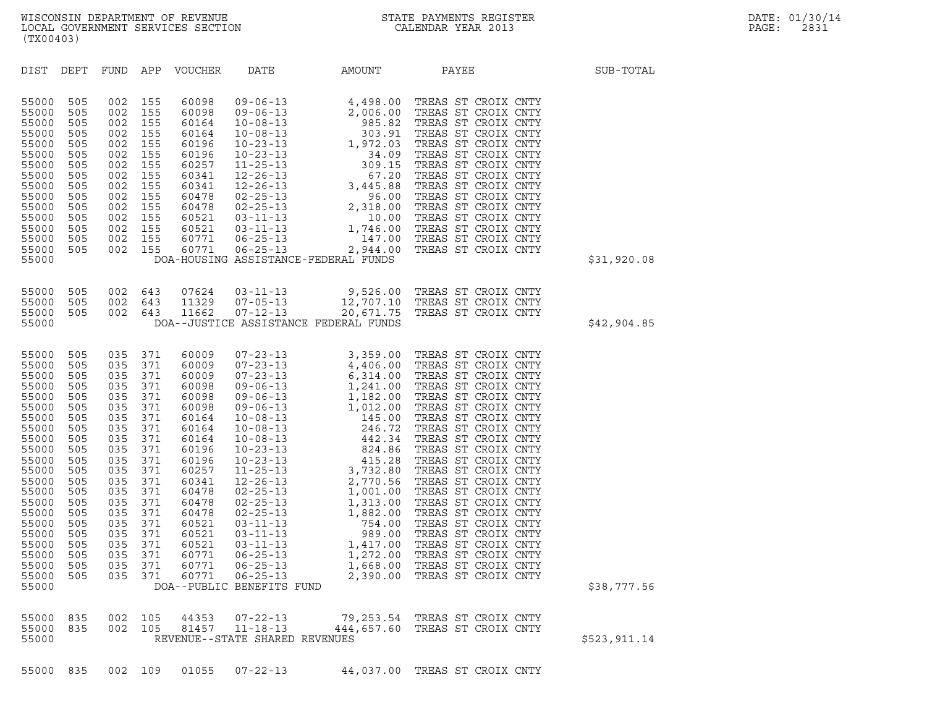|  |  | 55000 835 002 109 01055 07-22-13 | 44.037.00 TREAS ST CROIX CNTY |  |  |
|--|--|----------------------------------|-------------------------------|--|--|
|  |  |                                  |                               |  |  |

| 55000<br>55000    | 835 |  | 55000 835 002 105 44353 07-22-13<br>002 105 81457 11-18-13<br>REVENUE--STATE SHARED REVENUES | 79,253.54 TREAS ST CROIX CNTY<br>444,657.60 TREAS ST CROIX CNTY | \$523,911.14 |
|-------------------|-----|--|----------------------------------------------------------------------------------------------|-----------------------------------------------------------------|--------------|
| 55000 835 002 109 |     |  | 01055 07-22-13                                                                               | 44,037.00 TREAS ST CROIX CNTY                                   |              |

| 55000<br>55000<br>55000<br>55000<br>55000<br>55000<br>55000<br>55000<br>55000                                                                                                                               | 505<br>505<br>505<br>505<br>505<br>505<br>505<br>505                                                                                                   | 002<br>002<br>002<br>002<br>002<br>002<br>002<br>002                                                                                                   | 155<br>155<br>155<br>155<br>155<br>155<br>155<br>155                                                                                                   | 60341<br>60341<br>60478<br>60478<br>60521<br>60521<br>60771<br>60771                                                                                                                               |                                                    | DOA-HOUSING ASSISTANCE-FEDERAL FUNDS                            | 12-26-13 67.20 TREAS ST CROIX CNTY<br>12-26-13 3,445.88 TREAS ST CROIX CNTY<br>02-25-13 96.00 TREAS ST CROIX CNTY<br>02-25-13 2,318.00 TREAS ST CROIX CNTY<br>03-11-13 1,746.00 TREAS ST CROIX CNTY<br>06-25-13 2,944.00 TREAS ST CROIX | \$31,920.08 |
|-------------------------------------------------------------------------------------------------------------------------------------------------------------------------------------------------------------|--------------------------------------------------------------------------------------------------------------------------------------------------------|--------------------------------------------------------------------------------------------------------------------------------------------------------|--------------------------------------------------------------------------------------------------------------------------------------------------------|----------------------------------------------------------------------------------------------------------------------------------------------------------------------------------------------------|----------------------------------------------------|-----------------------------------------------------------------|-----------------------------------------------------------------------------------------------------------------------------------------------------------------------------------------------------------------------------------------|-------------|
| 55000<br>55000<br>55000<br>55000                                                                                                                                                                            | 505<br>505<br>505                                                                                                                                      | 002<br>002<br>002                                                                                                                                      | 643<br>643<br>643                                                                                                                                      | 07624<br>11329<br>11662                                                                                                                                                                            | $03 - 11 - 13$<br>$07 - 05 - 13$<br>$07 - 12 - 13$ | 12,707.10<br>20,671.75<br>DOA--JUSTICE ASSISTANCE FEDERAL FUNDS | 9,526.00 TREAS ST CROIX CNTY<br>TREAS ST CROIX CNTY<br>20,671.75 TREAS ST CROIX CNTY                                                                                                                                                    | \$42,904.85 |
| 55000<br>55000<br>55000<br>55000<br>55000<br>55000<br>55000<br>55000<br>55000<br>55000<br>55000<br>55000<br>55000<br>55000<br>55000<br>55000<br>55000<br>55000<br>55000<br>55000<br>55000<br>55000<br>55000 | 505<br>505<br>505<br>505<br>505<br>505<br>505<br>505<br>505<br>505<br>505<br>505<br>505<br>505<br>505<br>505<br>505<br>505<br>505<br>505<br>505<br>505 | 035<br>035<br>035<br>035<br>035<br>035<br>035<br>035<br>035<br>035<br>035<br>035<br>035<br>035<br>035<br>035<br>035<br>035<br>035<br>035<br>035<br>035 | 371<br>371<br>371<br>371<br>371<br>371<br>371<br>371<br>371<br>371<br>371<br>371<br>371<br>371<br>371<br>371<br>371<br>371<br>371<br>371<br>371<br>371 | 60009<br>60009<br>60009<br>60098<br>60098<br>60098<br>60164<br>60164<br>60164<br>60196<br>60196<br>60257<br>60341<br>60478<br>60478<br>60478<br>60521<br>60521<br>60521<br>60771<br>60771<br>60771 | DOA--PUBLIC BENEFITS FUND                          |                                                                 |                                                                                                                                                                                                                                         | \$38,777.56 |
| 55000<br>55000                                                                                                                                                                                              | 835<br>835                                                                                                                                             | 002                                                                                                                                                    | 105<br>002 105                                                                                                                                         | 44353<br>81457                                                                                                                                                                                     | $07 - 22 - 13$<br>$11 - 18 - 13$                   |                                                                 | 79,253.54 TREAS ST CROIX CNTY<br>444,657.60 TREAS ST CROIX CNTY                                                                                                                                                                         |             |

DIST DEPT FUND APP VOUCHER DATE AMOUNT PAYEE SUB-TOTAL

55000 505 002 155 60098 09-06-13 4,498.00 TREAS ST CROIX CNTY 55000 505 002 155 60098 09-06-13 2,006.00 TREAS ST CROIX CNTY 55000 505 002 155 60164 10-08-13 985.82 TREAS ST CROIX CNTY 55000 505 002 155 60098 09-06-13 4,498.00 TREAS ST CROIX CNTY<br>55000 505 002 155 60098 09-06-13 2,006.00 TREAS ST CROIX CNTY<br>55000 505 002 155 60164 10-08-13 985.82 TREAS ST CROIX CNTY<br>55000 505 002 155 60164 10-08-13 1972. 55000 505 002 155 60098 09-06-13 2,006.00 TREAS ST CROIX CNTY<br>55000 505 002 155 60164 10-08-13 985.82 TREAS ST CROIX CNTY<br>55000 505 002 155 60164 10-08-13 303.91 TREAS ST CROIX CNTY<br>55000 505 002 155 60196 10-23-13 34.09 T 55000 505 002 155 60164 10-08-13 985.82 TREAS ST CROIX CNTY<br>55000 505 002 155 60164 10-08-13 303.91 TREAS ST CROIX CNTY<br>55000 505 002 155 60196 10-23-13 1,972.03 TREAS ST CROIX CNTY<br>55000 505 002 155 60257 11-25-13 309.15 55000 505 002 155 60164 10-08-13 303.91 TREAS ST CROIX CNTY<br>55000 505 002 155 60196 10-23-13 1,972.03 TREAS ST CROIX CNTY<br>55000 505 002 155 60257 11-25-13 309.15 TREAS ST CROIX CNTY<br>55000 505 002 155 60257 11-25-13 309.15 55000 505 002 155 60196 10-23-13 1,972.03 TREAS ST CROIX CNTY<br>55000 505 002 155 60196 10-23-13 34.09 TREAS ST CROIX CNTY<br>55000 505 002 155 60241 12-26-13 67.20 TREAS ST CROIX CNTY<br>55000 505 002 155 60341 12-26-13 3.445.88 55000 505 002 155 60196 10-23-13 34.09 TREAS ST CROIX CNTY<br>55000 505 002 155 60257 11-25-13 309.15 TREAS ST CROIX CNTY<br>55000 505 002 155 60341 12-26-13 3,445.88 TREAS ST CROIX CNTY<br>55000 505 002 155 60478 02-25-13 3,445.88 55000 505 002 155 60257 11-25-13 309.15 TREAS ST CROIX CNTY<br>55000 505 002 155 60341 12-26-13 67.20 TREAS ST CROIX CNTY<br>55000 505 002 155 60478 02-25-13 3,445.88 TREAS ST CROIX CNTY<br>55000 505 002 155 60478 02-25-13 2.318.00

| WISCONSIN DEPARTMENT OF REVENUE<br>LOCAL GOVERNMENT SERVICES SECTION<br>(TX00403) | STATE PAYMENTS REGISTER<br>CALENDAR YEAR 2013 | DATE: 01/30/14<br>PAGE:<br>2831 |
|-----------------------------------------------------------------------------------|-----------------------------------------------|---------------------------------|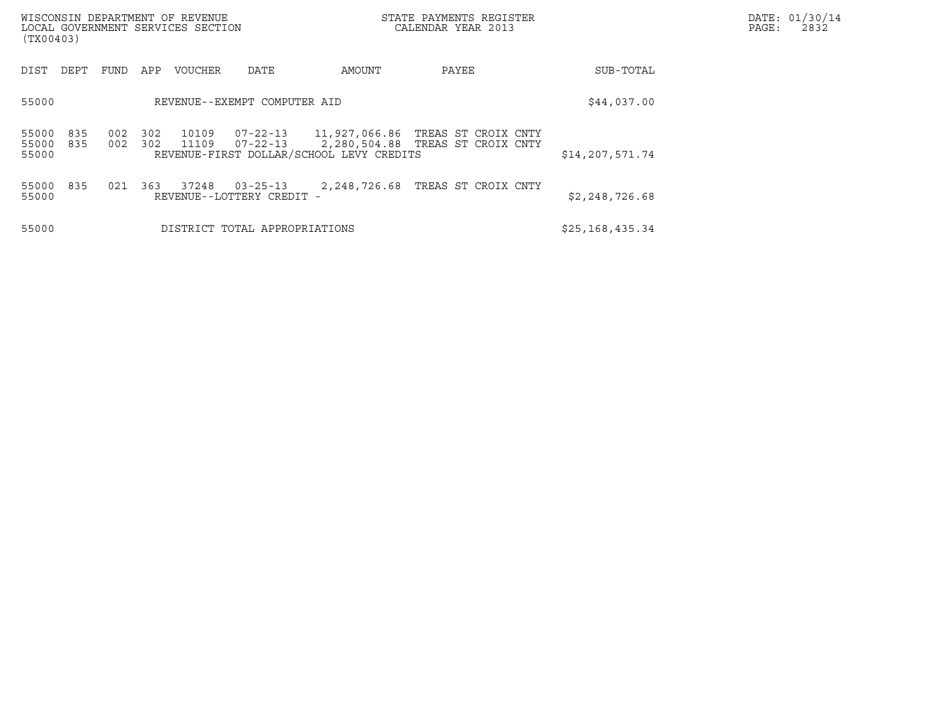| WISCONSIN DEPARTMENT OF REVENUE<br>STATE PAYMENTS REGISTER<br>CALENDAR YEAR 2013<br>LOCAL GOVERNMENT SERVICES SECTION<br>(TX00403) |            |            |            |                |                                             |                                          |                                    |                   | DATE: 01/30/14<br>PAGE:<br>2832 |
|------------------------------------------------------------------------------------------------------------------------------------|------------|------------|------------|----------------|---------------------------------------------|------------------------------------------|------------------------------------|-------------------|---------------------------------|
| DIST                                                                                                                               | DEPT       | FUND       | APP        | <b>VOUCHER</b> | DATE                                        | AMOUNT                                   | PAYEE                              | SUB-TOTAL         |                                 |
| 55000                                                                                                                              |            |            |            |                | REVENUE--EXEMPT COMPUTER AID                |                                          |                                    | \$44,037.00       |                                 |
| 55000<br>55000<br>55000                                                                                                            | 835<br>835 | 002<br>002 | 302<br>302 | 10109<br>11109 | $07 - 22 - 13$                              | REVENUE-FIRST DOLLAR/SCHOOL LEVY CREDITS | 2,280,504.88   TREAS ST CROIX CNTY | \$14, 207, 571.74 |                                 |
| 55000<br>55000                                                                                                                     | 835        | 021        | 363        | 37248          | $03 - 25 - 13$<br>REVENUE--LOTTERY CREDIT - |                                          | 2,248,726.68 TREAS ST CROIX CNTY   | \$2,248,726.68    |                                 |
| 55000                                                                                                                              |            |            |            |                | DISTRICT TOTAL APPROPRIATIONS               |                                          |                                    | \$25,168,435.34   |                                 |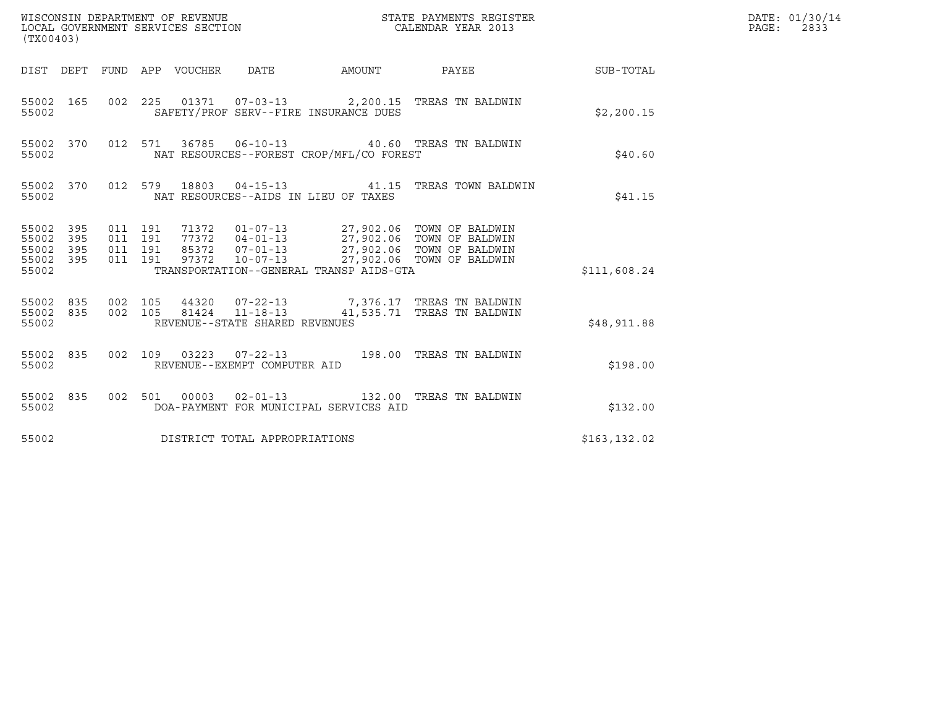| (TX00403)                                                                                                |                                                                                                                                                                                                                                                                         |                 |               | DATE: 01/30/14<br>$\mathtt{PAGE:}$<br>2833 |
|----------------------------------------------------------------------------------------------------------|-------------------------------------------------------------------------------------------------------------------------------------------------------------------------------------------------------------------------------------------------------------------------|-----------------|---------------|--------------------------------------------|
|                                                                                                          | DIST DEPT FUND APP VOUCHER DATE AMOUNT                                                                                                                                                                                                                                  | PAYEE SUB-TOTAL |               |                                            |
| 55002 165<br>55002                                                                                       | 002 225 01371 07-03-13 2,200.15 TREAS TN BALDWIN<br>SAFETY/PROF SERV--FIRE INSURANCE DUES                                                                                                                                                                               |                 | \$2,200.15    |                                            |
| 55002 370<br>55002                                                                                       | 012 571 36785 06-10-13 40.60 TREAS TN BALDWIN<br>NAT RESOURCES--FOREST CROP/MFL/CO FOREST                                                                                                                                                                               |                 | \$40.60       |                                            |
| 55002 370<br>55002                                                                                       | 012 579 18803 04-15-13 41.15 TREAS TOWN BALDWIN<br>NAT RESOURCES--AIDS IN LIEU OF TAXES                                                                                                                                                                                 |                 | \$41.15       |                                            |
| 011 191<br>55002 395<br>55002 395<br>011 191<br>55002<br>395<br>011 191<br>55002 395<br>011 191<br>55002 | 71372     01-07-13     27,902.06     TOWN OF BALDWIN<br>77372     04-01-13     27,902.06     TOWN OF BALDWIN<br>85372     07-01-13     27,902.06     TOWN OF BALDWIN<br>97372     10-07-13     27,902.06     TOWN OF BALDWIN<br>TRANSPORTATION--GENERAL TRANSP AIDS-GTA |                 | \$111,608.24  |                                            |
| 55002                                                                                                    | $\begin{array}{cccccc} 55002 & 835 & 002 & 105 & 44320 & 07-22-13 & & & 7,376.17 & \text{TREAS TN BALDWIN} \\ 55002 & 835 & 002 & 105 & 81424 & 11-18-13 & & & 41,535.71 & \text{TREAS TN BALDWIN} \end{array}$<br>REVENUE--STATE SHARED REVENUES                       |                 | \$48,911.88   |                                            |
| 55002                                                                                                    | 55002 835 002 109 03223 07-22-13 198.00 TREAS TN BALDWIN<br>REVENUE--EXEMPT COMPUTER AID                                                                                                                                                                                |                 | \$198.00      |                                            |
| 55002 835<br>55002                                                                                       | 002 501 00003 02-01-13 132.00 TREAS TN BALDWIN<br>DOA-PAYMENT FOR MUNICIPAL SERVICES AID                                                                                                                                                                                |                 | \$132.00      |                                            |
| 55002                                                                                                    | DISTRICT TOTAL APPROPRIATIONS                                                                                                                                                                                                                                           |                 | \$163, 132.02 |                                            |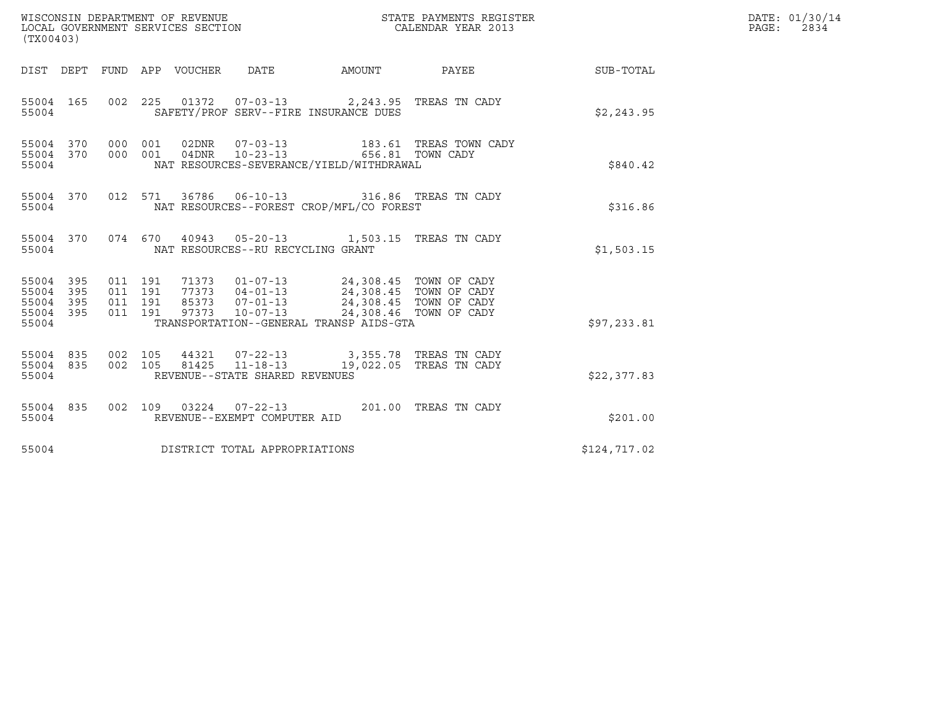| WISCONSIN DEPARTMENT OF REVENUE<br>(TX00403)                          | LOCAL GOVERNMENT SERVICES SECTION                                                                                                                                                                                                                  | STATE PAYMENTS REGISTER<br>CALENDAR YEAR 2013              |              | DATE: 01/30/14<br>$\mathtt{PAGE}$ :<br>2834 |
|-----------------------------------------------------------------------|----------------------------------------------------------------------------------------------------------------------------------------------------------------------------------------------------------------------------------------------------|------------------------------------------------------------|--------------|---------------------------------------------|
|                                                                       |                                                                                                                                                                                                                                                    | DIST DEPT FUND APP VOUCHER DATE AMOUNT PAYEE THE SUB-TOTAL |              |                                             |
| 55004 165<br>55004                                                    | 002 225 01372 07-03-13 2,243.95 TREAS TN CADY<br>SAFETY/PROF SERV--FIRE INSURANCE DUES                                                                                                                                                             |                                                            | \$2,243.95   |                                             |
| 55004 370<br>55004 370<br>55004                                       | 000 001<br>$\begin{tabular}{llllll} 02DNR & 07-03-13 & 183.61 TREAS TOWN CADY \\ 04DNR & 10-23-13 & 656.81 TOWN CADY \\ \end{tabular}$<br>000 001<br>NAT RESOURCES-SEVERANCE/YIELD/WITHDRAWAL                                                      |                                                            | \$840.42     |                                             |
| 55004 370<br>55004                                                    | 012 571 36786 06-10-13 316.86 TREAS TN CADY<br>NAT RESOURCES--FOREST CROP/MFL/CO FOREST                                                                                                                                                            |                                                            | \$316.86     |                                             |
| 55004 370<br>55004                                                    | 074 670 40943 05-20-13 1,503.15 TREAS TN CADY<br>NAT RESOURCES--RU RECYCLING GRANT                                                                                                                                                                 |                                                            | \$1,503.15   |                                             |
| 55004<br>395<br>55004<br>395<br>395<br>55004<br>395<br>55004<br>55004 | 011 191<br>71373  01-07-13  24,308.45  TOWN OF CADY<br>77373  04-01-13  24,308.45  TOWN OF CADY<br>85373  07-01-13  24,308.45  TOWN OF CADY<br>011 191<br>011 191<br>011 191<br>97373<br>$10 - 07 - 13$<br>TRANSPORTATION--GENERAL TRANSP AIDS-GTA | 24,308.46 TOWN OF CADY                                     | \$97,233.81  |                                             |
| 55004 835<br>55004 835<br>55004                                       | 002 105<br>44321  07-22-13  3,355.78  TREAS TN CADY<br>$11 - 18 - 13$<br>002 105<br>81425<br>REVENUE--STATE SHARED REVENUES                                                                                                                        | 19,022.05 TREAS TN CADY                                    | \$22,377.83  |                                             |
| 55004 835<br>55004                                                    | 002 109 03224 07-22-13 201.00 TREAS TN CADY<br>REVENUE--EXEMPT COMPUTER AID                                                                                                                                                                        |                                                            | \$201.00     |                                             |
| 55004                                                                 | DISTRICT TOTAL APPROPRIATIONS                                                                                                                                                                                                                      |                                                            | \$124,717.02 |                                             |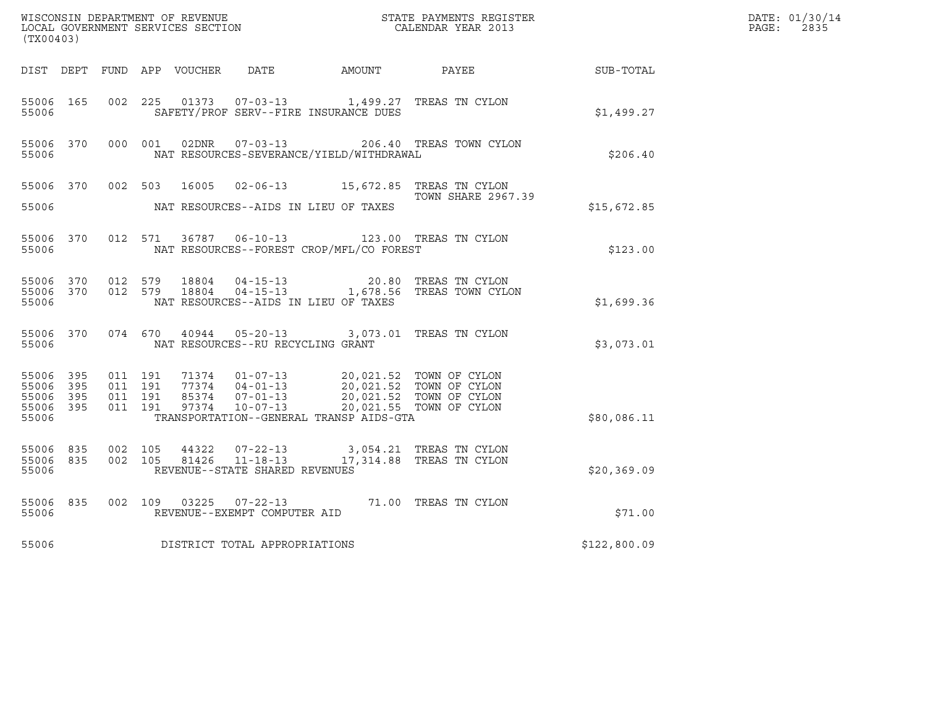| (TX00403)                       |           |                    |         | WISCONSIN DEPARTMENT OF REVENUE<br>LOCAL GOVERNMENT SERVICES SECTION |                                                              |                                                                                     | STATE PAYMENTS REGISTER<br>CALENDAR YEAR 2013              |                  | DATE: 01/30/14<br>$\mathtt{PAGE}$ :<br>2835 |
|---------------------------------|-----------|--------------------|---------|----------------------------------------------------------------------|--------------------------------------------------------------|-------------------------------------------------------------------------------------|------------------------------------------------------------|------------------|---------------------------------------------|
|                                 |           |                    |         | DIST DEPT FUND APP VOUCHER                                           | DATE                                                         | AMOUNT                                                                              | PAYEE                                                      | <b>SUB-TOTAL</b> |                                             |
| 55006 165<br>55006              |           | 002 225            |         | 01373                                                                |                                                              | 07-03-13 1,499.27 TREAS TN CYLON<br>SAFETY/PROF SERV--FIRE INSURANCE DUES           |                                                            | \$1,499.27       |                                             |
| 55006                           | 55006 370 |                    | 000 001 | 02DNR                                                                | $07 - 03 - 13$                                               | NAT RESOURCES-SEVERANCE/YIELD/WITHDRAWAL                                            | 206.40 TREAS TOWN CYLON                                    | \$206.40         |                                             |
| 55006 370                       |           | 002 503            |         | 16005                                                                |                                                              | 02-06-13 15,672.85 TREAS TN CYLON                                                   | TOWN SHARE 2967.39                                         |                  |                                             |
| 55006                           |           |                    |         |                                                                      |                                                              | NAT RESOURCES--AIDS IN LIEU OF TAXES                                                |                                                            | \$15,672.85      |                                             |
| 55006 370<br>55006              |           | 012 571            |         |                                                                      |                                                              | 36787  06-10-13  123.00  TREAS TN CYLON<br>NAT RESOURCES--FOREST CROP/MFL/CO FOREST |                                                            | \$123.00         |                                             |
| 55006 370<br>55006 370<br>55006 |           | 012 579<br>012 579 |         | 18804<br>18804                                                       | $04 - 15 - 13$                                               | NAT RESOURCES--AIDS IN LIEU OF TAXES                                                | 20.80 TREAS TN CYLON<br>04-15-13 1,678.56 TREAS TOWN CYLON | \$1,699.36       |                                             |
| 55006 370<br>55006              |           | 074 670            |         | 40944                                                                | NAT RESOURCES--RU RECYCLING GRANT                            | 05-20-13 3,073.01 TREAS TN CYLON                                                    |                                                            | \$3,073.01       |                                             |
| 55006 395<br>55006              | 395       | 011 191<br>011 191 |         |                                                                      | 71374 01-07-13<br>$77374$ $04-01-13$                         |                                                                                     | 20,021.52 TOWN OF CYLON<br>20,021.52 TOWN OF CYLON         |                  |                                             |
| 55006<br>55006 395<br>55006     | 395       | 011 191<br>011 191 |         | 97374                                                                | 85374 07-01-13<br>10-07-13                                   | TRANSPORTATION--GENERAL TRANSP AIDS-GTA                                             | 20,021.52 TOWN OF CYLON<br>20,021.55 TOWN OF CYLON         | \$80,086.11      |                                             |
| 55006 835<br>55006 835<br>55006 |           | 002 105<br>002 105 |         | 44322<br>81426                                                       | 07-22-13<br>$11 - 18 - 13$<br>REVENUE--STATE SHARED REVENUES |                                                                                     | 3,054.21 TREAS TN CYLON<br>17,314.88 TREAS TN CYLON        | \$20,369.09      |                                             |
| 55006<br>55006                  | 835       | 002 109            |         | 03225                                                                | $07 - 22 - 13$<br>REVENUE--EXEMPT COMPUTER AID               |                                                                                     | 71.00 TREAS TN CYLON                                       | \$71.00          |                                             |
| 55006                           |           |                    |         |                                                                      | DISTRICT TOTAL APPROPRIATIONS                                |                                                                                     |                                                            | \$122,800.09     |                                             |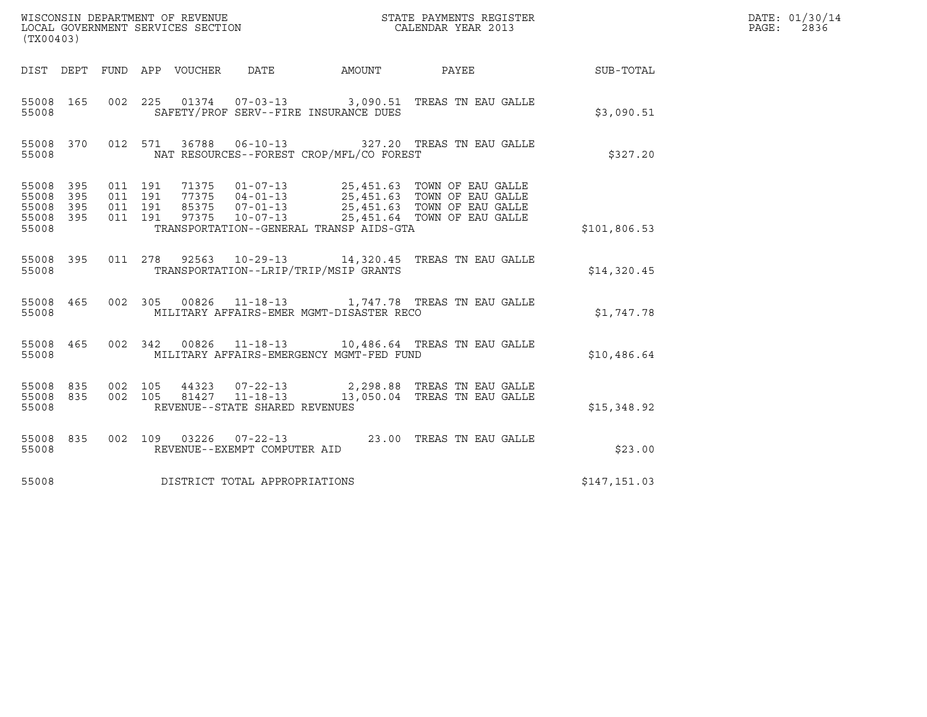| (TX00403)                                         |            |                                          |         |                                 |                                |                                          |                                                                                                                                                                                                  |              | DATE: 01/30/14<br>$\mathtt{PAGE:}$<br>2836 |
|---------------------------------------------------|------------|------------------------------------------|---------|---------------------------------|--------------------------------|------------------------------------------|--------------------------------------------------------------------------------------------------------------------------------------------------------------------------------------------------|--------------|--------------------------------------------|
|                                                   |            |                                          |         | DIST DEPT FUND APP VOUCHER DATE |                                |                                          |                                                                                                                                                                                                  |              |                                            |
| 55008 165<br>55008                                |            |                                          |         |                                 |                                | SAFETY/PROF SERV--FIRE INSURANCE DUES    | 002 225 01374 07-03-13 3,090.51 TREAS TN EAU GALLE                                                                                                                                               | \$3,090.51   |                                            |
| 55008 370<br>55008                                |            |                                          | 012 571 |                                 |                                | NAT RESOURCES--FOREST CROP/MFL/CO FOREST | 36788  06-10-13  327.20  TREAS TN EAU GALLE                                                                                                                                                      | \$327.20     |                                            |
| 55008 395<br>55008<br>55008<br>55008 395<br>55008 | 395<br>395 | 011 191<br>011 191<br>011 191<br>011 191 |         |                                 |                                | TRANSPORTATION--GENERAL TRANSP AIDS-GTA  | 71375  01-07-13  25,451.63  TOWN OF EAU GALLE<br>77375  04-01-13  25,451.63  TOWN OF EAU GALLE<br>85375  07-01-13  25,451.63  TOWN OF EAU GALLE<br>97375  10-07-13  25,451.64  TOWN OF EAU GALLE | \$101,806.53 |                                            |
| 55008 395<br>55008                                |            |                                          |         |                                 |                                | TRANSPORTATION--LRIP/TRIP/MSIP GRANTS    | 011  278  92563  10-29-13  14,320.45  TREAS TN EAU GALLE                                                                                                                                         | \$14,320.45  |                                            |
| 55008 465<br>55008                                |            |                                          |         |                                 |                                | MILITARY AFFAIRS-EMER MGMT-DISASTER RECO | 002 305 00826 11-18-13 1,747.78 TREAS TN EAU GALLE                                                                                                                                               | \$1,747.78   |                                            |
| 55008 465<br>55008                                |            |                                          |         |                                 |                                | MILITARY AFFAIRS-EMERGENCY MGMT-FED FUND | 002 342 00826 11-18-13 10,486.64 TREAS TN EAU GALLE                                                                                                                                              | \$10,486.64  |                                            |
| 55008 835<br>55008                                |            | 55008 835 002 105<br>002 105             |         |                                 | REVENUE--STATE SHARED REVENUES |                                          |                                                                                                                                                                                                  | \$15,348.92  |                                            |
| 55008 835<br>55008                                |            |                                          |         |                                 | REVENUE--EXEMPT COMPUTER AID   |                                          | 002 109 03226 07-22-13 23.00 TREAS TN EAU GALLE                                                                                                                                                  | \$23.00      |                                            |
| 55008                                             |            |                                          |         |                                 | DISTRICT TOTAL APPROPRIATIONS  |                                          |                                                                                                                                                                                                  | \$147,151.03 |                                            |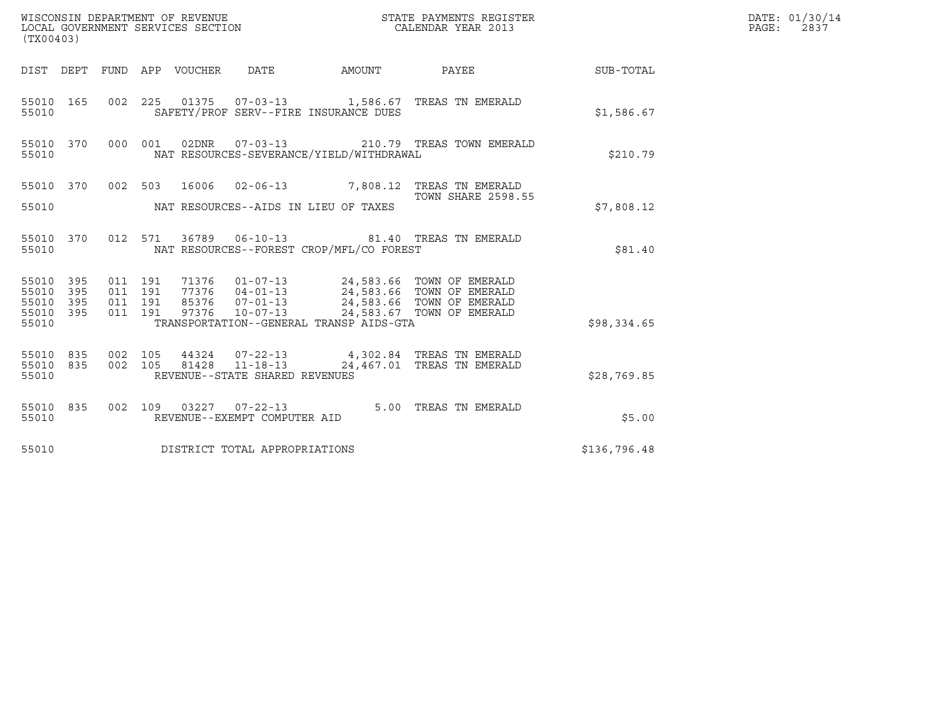| (TX00403)                                                                                                      | WISCONSIN DEPARTMENT OF REVENUE<br>LOCAL GOVERNMENT SERVICES SECTION                                                                                                                                                     | STATE PAYMENTS REGISTER<br>CALENDAR YEAR 2013 |              | DATE: 01/30/14<br>$\mathtt{PAGE}$ :<br>2837 |
|----------------------------------------------------------------------------------------------------------------|--------------------------------------------------------------------------------------------------------------------------------------------------------------------------------------------------------------------------|-----------------------------------------------|--------------|---------------------------------------------|
|                                                                                                                | DIST DEPT FUND APP VOUCHER DATE AMOUNT PAYEE TO SUB-TOTAL                                                                                                                                                                |                                               |              |                                             |
| 55010 165<br>55010                                                                                             | 002 225 01375 07-03-13 1,586.67 TREAS TN EMERALD<br>SAFETY/PROF SERV--FIRE INSURANCE DUES                                                                                                                                |                                               | \$1,586.67   |                                             |
| 000 001<br>55010 370<br>55010                                                                                  | 02DNR  07-03-13  210.79 TREAS TOWN EMERALD<br>NAT RESOURCES-SEVERANCE/YIELD/WITHDRAWAL                                                                                                                                   |                                               | \$210.79     |                                             |
| 55010                                                                                                          | 55010 370 002 503 16006 02-06-13 7,808.12 TREAS TN EMERALD<br>NAT RESOURCES--AIDS IN LIEU OF TAXES                                                                                                                       | <b>TOWN SHARE 2598.55</b>                     | \$7,808.12   |                                             |
| 55010 370<br>55010                                                                                             | 012 571 36789 06-10-13 81.40 TREAS TN EMERALD<br>NAT RESOURCES--FOREST CROP/MFL/CO FOREST                                                                                                                                |                                               | \$81.40      |                                             |
| 011 191<br>55010 395<br>011 191<br>55010<br>395<br>011 191<br>55010<br>395<br>011 191<br>395<br>55010<br>55010 | 71376   01-07-13   24,583.66   TOWN OF EMERALD<br>77376   04-01-13   24,583.66   TOWN OF EMERALD<br>85376   07-01-13   24,583.66   TOWN OF EMERALD<br>97376<br>$10 - 07 - 13$<br>TRANSPORTATION--GENERAL TRANSP AIDS-GTA | 24,583.67 TOWN OF EMERALD                     | \$98,334.65  |                                             |
| 002 105<br>55010 835<br>002 105<br>55010 835<br>55010                                                          | 44324  07-22-13  4,302.84  TREAS TN EMERALD<br>81428 11-18-13<br>REVENUE--STATE SHARED REVENUES                                                                                                                          | 24,467.01 TREAS TN EMERALD                    | \$28,769.85  |                                             |
| 55010 835<br>55010                                                                                             | 002 109 03227 07-22-13 5.00 TREAS TN EMERALD<br>REVENUE--EXEMPT COMPUTER AID                                                                                                                                             |                                               | \$5.00       |                                             |
| 55010                                                                                                          | DISTRICT TOTAL APPROPRIATIONS                                                                                                                                                                                            |                                               | \$136,796.48 |                                             |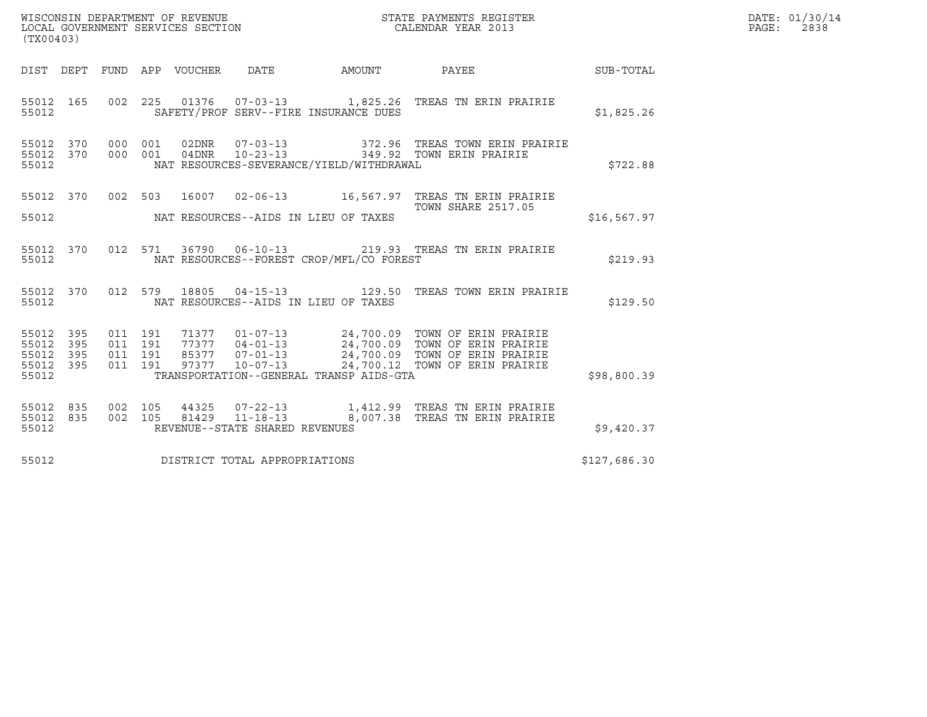| (TX00403)                                         |            |                                          |                | WISCONSIN DEPARTMENT OF REVENUE<br>LOCAL GOVERNMENT SERVICES SECTION |                                          | STATE PAYMENTS REGISTER<br>CALENDAR YEAR 2013                                                                                                                                                                            |              | DATE: 01/30/14<br>PAGE: 2838 |
|---------------------------------------------------|------------|------------------------------------------|----------------|----------------------------------------------------------------------|------------------------------------------|--------------------------------------------------------------------------------------------------------------------------------------------------------------------------------------------------------------------------|--------------|------------------------------|
|                                                   |            |                                          |                |                                                                      |                                          | DIST DEPT FUND APP VOUCHER DATE AMOUNT PAYEE TO SUB-TOTAL                                                                                                                                                                |              |                              |
| 55012 165<br>55012                                |            |                                          |                |                                                                      | SAFETY/PROF SERV--FIRE INSURANCE DUES    | 002  225  01376  07-03-13   1,825.26  TREAS TN ERIN PRAIRIE                                                                                                                                                              | \$1,825.26   |                              |
| 55012 370<br>55012                                |            | 55012 370 000                            | 001<br>000 001 | 04DNR 10-23-13                                                       | NAT RESOURCES-SEVERANCE/YIELD/WITHDRAWAL | 02DNR  07-03-13  372.96 TREAS TOWN ERIN PRAIRIE<br>349.92 TOWN ERIN PRAIRIE                                                                                                                                              | \$722.88     |                              |
| 55012                                             |            | 55012 370 002 503                        |                |                                                                      | NAT RESOURCES--AIDS IN LIEU OF TAXES     | 16007  02-06-13   16,567.97   TREAS TN ERIN PRAIRIE<br><b>TOWN SHARE 2517.05</b>                                                                                                                                         | \$16, 567.97 |                              |
| 55012                                             | 55012 370  |                                          |                |                                                                      | NAT RESOURCES--FOREST CROP/MFL/CO FOREST | 012 571 36790 06-10-13 219.93 TREAS TN ERIN PRAIRIE                                                                                                                                                                      | \$219.93     |                              |
| 55012 370<br>55012                                |            |                                          |                |                                                                      | NAT RESOURCES--AIDS IN LIEU OF TAXES     | 012 579 18805 04-15-13 129.50 TREAS TOWN ERIN PRAIRIE                                                                                                                                                                    | \$129.50     |                              |
| 55012 395<br>55012<br>55012<br>55012 395<br>55012 | 395<br>395 | 011 191<br>011 191<br>011 191<br>011 191 |                |                                                                      | TRANSPORTATION--GENERAL TRANSP AIDS-GTA  | 71377   01-07-13   24,700.09   TOWN OF ERIN PRAIRIE<br>77377   04-01-13   24,700.09   TOWN OF ERIN PRAIRIE<br>85377   07-01-13   24,700.09   TOWN OF ERIN PRAIRIE<br>97377   10-07-13   24,700.12   TOWN OF ERIN PRAIRIE | \$98,800.39  |                              |
| 55012 835<br>55012 835<br>55012                   |            | 002 105<br>002 105                       |                | REVENUE--STATE SHARED REVENUES                                       |                                          |                                                                                                                                                                                                                          | \$9,420.37   |                              |
| 55012                                             |            |                                          |                | DISTRICT TOTAL APPROPRIATIONS                                        |                                          |                                                                                                                                                                                                                          | \$127,686.30 |                              |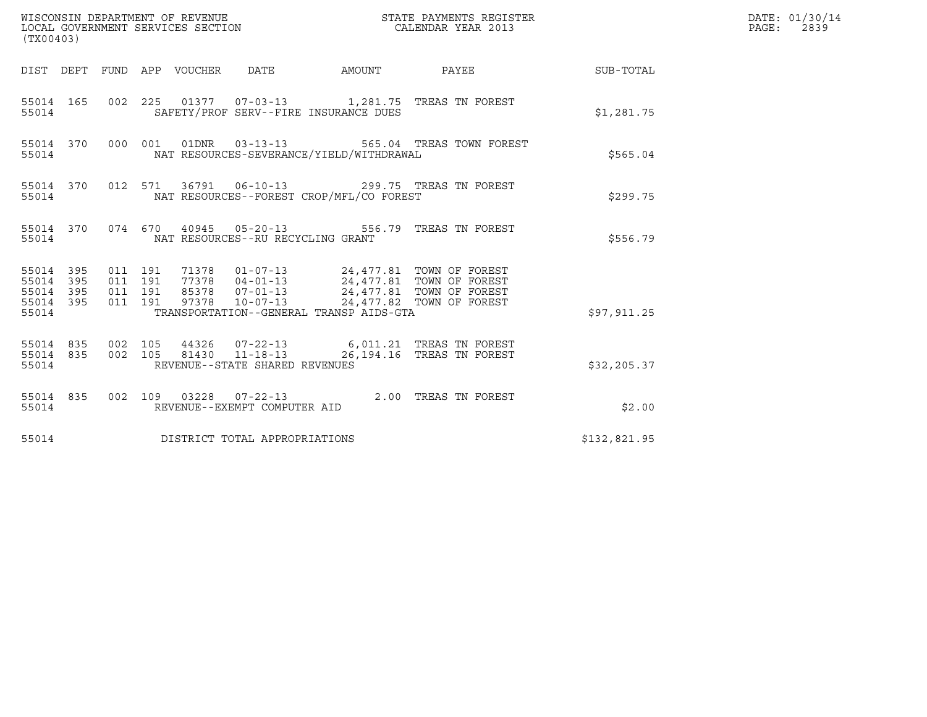| (TX00403)                                                       |                                                                                                                                       |                          |                        | DATE: 01/30/14<br>PAGE: 2839 |
|-----------------------------------------------------------------|---------------------------------------------------------------------------------------------------------------------------------------|--------------------------|------------------------|------------------------------|
|                                                                 | DIST DEPT FUND APP VOUCHER DATE                                                                                                       |                          | AMOUNT PAYEE SUB-TOTAL |                              |
| 55014                                                           | 55014 165 002 225 01377 07-03-13 1,281.75 TREAS TN FOREST<br>SAFETY/PROF SERV--FIRE INSURANCE DUES                                    |                          | \$1,281.75             |                              |
| 55014 370<br>55014                                              | 000 001 01DNR 03-13-13<br>NAT RESOURCES-SEVERANCE/YIELD/WITHDRAWAL                                                                    | 565.04 TREAS TOWN FOREST | \$565.04               |                              |
| 55014 370<br>55014                                              | 012 571 36791 06-10-13 299.75 TREAS TN FOREST<br>NAT RESOURCES--FOREST CROP/MFL/CO FOREST                                             |                          | \$299.75               |                              |
| 55014                                                           | 55014 370 074 670 40945 05-20-13 556.79 TREAS TN FOREST<br>NAT RESOURCES--RU RECYCLING GRANT                                          |                          | \$556.79               |                              |
| 55014 395<br>395<br>55014<br>395<br>55014<br>55014 395<br>55014 | 71378  01-07-13  24,477.81  TOWN OF FOREST<br>011 191<br>011 191<br>011 191<br>011 191<br>TRANSPORTATION--GENERAL TRANSP AIDS-GTA     |                          | \$97, 911.25           |                              |
| 55014 835 002 105<br>55014 835<br>55014                         | 44326  07-22-13  6,011.21 TREAS TN FOREST<br>002 105<br>81430  11-18-13  26,194.16  TREAS TN FOREST<br>REVENUE--STATE SHARED REVENUES |                          | \$32, 205.37           |                              |
| 55014 835<br>55014                                              | 002 109 03228 07-22-13 2.00 TREAS TN FOREST<br>REVENUE--EXEMPT COMPUTER AID                                                           |                          |                        | \$2.00                       |
| 55014                                                           | DISTRICT TOTAL APPROPRIATIONS                                                                                                         |                          | \$132,821.95           |                              |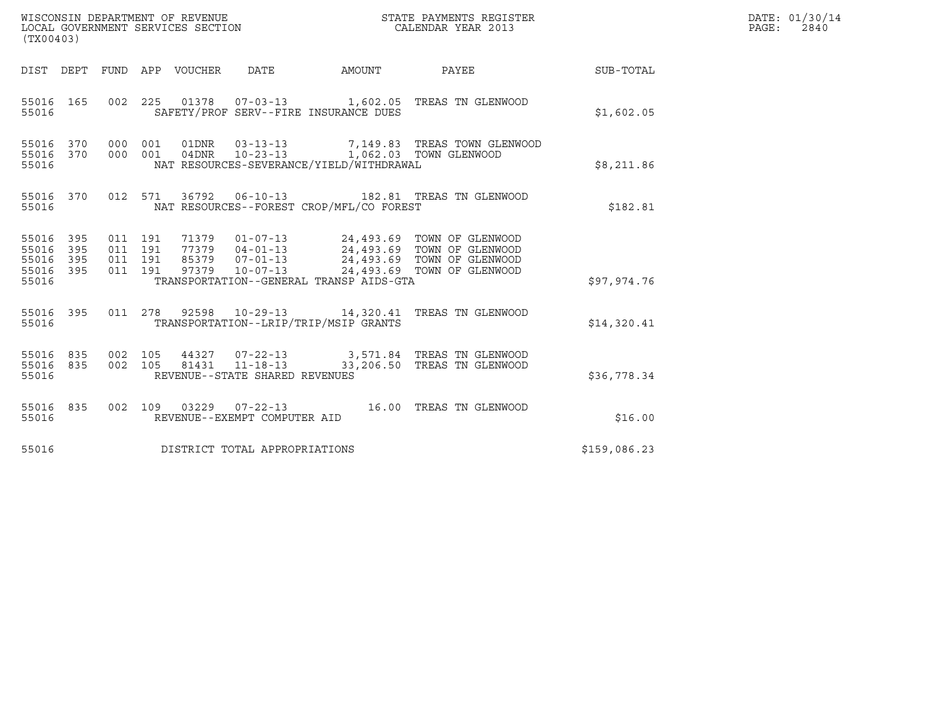| (TX00403)                                             |                        |                                          |                                 |                                                   |                                          |                                                                                                                                                                                          |              | DATE: 01/30/14<br>PAGE: 2840 |
|-------------------------------------------------------|------------------------|------------------------------------------|---------------------------------|---------------------------------------------------|------------------------------------------|------------------------------------------------------------------------------------------------------------------------------------------------------------------------------------------|--------------|------------------------------|
|                                                       |                        |                                          | DIST DEPT FUND APP VOUCHER DATE |                                                   |                                          | AMOUNT PAYEE SUB-TOTAL                                                                                                                                                                   |              |                              |
| 55016 165<br>55016                                    |                        |                                          |                                 |                                                   | SAFETY/PROF SERV--FIRE INSURANCE DUES    | 002 225 01378 07-03-13 1,602.05 TREAS TN GLENWOOD                                                                                                                                        | \$1,602.05   |                              |
| 55016                                                 | 55016 370<br>55016 370 |                                          |                                 |                                                   | NAT RESOURCES-SEVERANCE/YIELD/WITHDRAWAL | 000 001 01DNR 03-13-13 7,149.83 TREAS TOWN GLENWOOD<br>000 001 04DNR 10-23-13 1,062.03 TOWN GLENWOOD                                                                                     | \$8,211.86   |                              |
| 55016                                                 | 55016 370              |                                          |                                 |                                                   | NAT RESOURCES--FOREST CROP/MFL/CO FOREST | 012 571 36792 06-10-13 182.81 TREAS TN GLENWOOD                                                                                                                                          | \$182.81     |                              |
| 55016 395<br>55016<br>55016 395<br>55016 395<br>55016 | 395                    | 011 191<br>011 191<br>011 191<br>011 191 |                                 |                                                   | TRANSPORTATION--GENERAL TRANSP AIDS-GTA  | 71379  01-07-13  24,493.69 TOWN OF GLENWOOD<br>77379  04-01-13  24,493.69 TOWN OF GLENWOOD<br>85379  07-01-13  24,493.69 TOWN OF GLENWOOD<br>97379  10-07-13  24,493.69 TOWN OF GLENWOOD | \$97,974.76  |                              |
| 55016                                                 | 55016 395              | 011 278                                  |                                 |                                                   | TRANSPORTATION--LRIP/TRIP/MSIP GRANTS    | 92598  10-29-13  14,320.41 TREAS TN GLENWOOD                                                                                                                                             | \$14,320.41  |                              |
| 55016 835<br>55016                                    | 55016 835              | 002 105                                  |                                 | 81431  11-18-13<br>REVENUE--STATE SHARED REVENUES |                                          | 002 105 44327 07-22-13 3,571.84 TREAS TN GLENWOOD<br>33,206.50 TREAS TN GLENWOOD                                                                                                         | \$36,778.34  |                              |
| 55016 835<br>55016                                    |                        |                                          |                                 | REVENUE--EXEMPT COMPUTER AID                      |                                          | 002 109 03229 07-22-13 16.00 TREAS TN GLENWOOD                                                                                                                                           | \$16.00      |                              |
| 55016                                                 |                        |                                          |                                 | DISTRICT TOTAL APPROPRIATIONS                     |                                          |                                                                                                                                                                                          | \$159,086.23 |                              |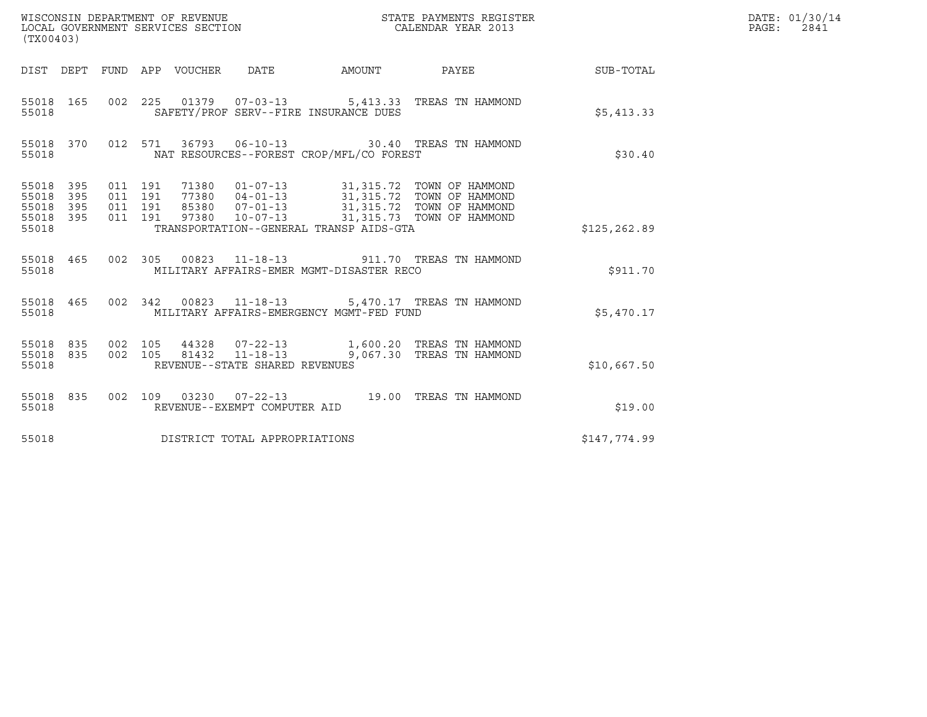| (TX00403)                                                       |                                          |       |                                                  |                                                                                                                                                                                          |                  | DATE: 01/30/14<br>$\mathtt{PAGE:}$<br>2841 |
|-----------------------------------------------------------------|------------------------------------------|-------|--------------------------------------------------|------------------------------------------------------------------------------------------------------------------------------------------------------------------------------------------|------------------|--------------------------------------------|
|                                                                 |                                          |       | DIST DEPT FUND APP VOUCHER DATE AMOUNT           | <b>PAYEE</b>                                                                                                                                                                             | <b>SUB-TOTAL</b> |                                            |
| 55018 165<br>55018                                              |                                          |       | SAFETY/PROF SERV--FIRE INSURANCE DUES            | 002 225 01379 07-03-13 5,413.33 TREAS TN HAMMOND                                                                                                                                         | \$5,413.33       |                                            |
| 55018 370<br>55018                                              |                                          |       | NAT RESOURCES--FOREST CROP/MFL/CO FOREST         | 012 571 36793 06-10-13 30.40 TREAS TN HAMMOND                                                                                                                                            | \$30.40          |                                            |
| 55018 395<br>55018<br>395<br>55018<br>395<br>55018 395<br>55018 | 011 191<br>011 191<br>011 191<br>011 191 | 97380 | TRANSPORTATION--GENERAL TRANSP AIDS-GTA          | 71380   01-07-13   31,315.72   TOWN OF HAMMOND<br>77380   04-01-13   31,315.72   TOWN OF HAMMOND<br>85380   07-01-13   31,315.72   TOWN OF HAMMOND<br>10-07-13 31,315.73 TOWN OF HAMMOND | \$125,262.89     |                                            |
| 55018 465<br>55018                                              |                                          |       | MILITARY AFFAIRS-EMER MGMT-DISASTER RECO         | 002 305 00823 11-18-13 911.70 TREAS TN HAMMOND                                                                                                                                           | \$911.70         |                                            |
| 55018 465<br>55018                                              |                                          |       | MILITARY AFFAIRS-EMERGENCY MGMT-FED FUND         | 002 342 00823 11-18-13 5,470.17 TREAS TN HAMMOND                                                                                                                                         | \$5,470.17       |                                            |
| 55018 835<br>55018 835<br>55018                                 | 002 105<br>002 105                       |       | 81432 11-18-13<br>REVENUE--STATE SHARED REVENUES | 9,067.30 TREAS TN HAMMOND                                                                                                                                                                | \$10,667.50      |                                            |
| 55018 835<br>55018                                              |                                          |       | REVENUE--EXEMPT COMPUTER AID                     | 002 109 03230 07-22-13 19.00 TREAS TN HAMMOND                                                                                                                                            | \$19.00          |                                            |
| 55018                                                           |                                          |       | DISTRICT TOTAL APPROPRIATIONS                    |                                                                                                                                                                                          | \$147,774.99     |                                            |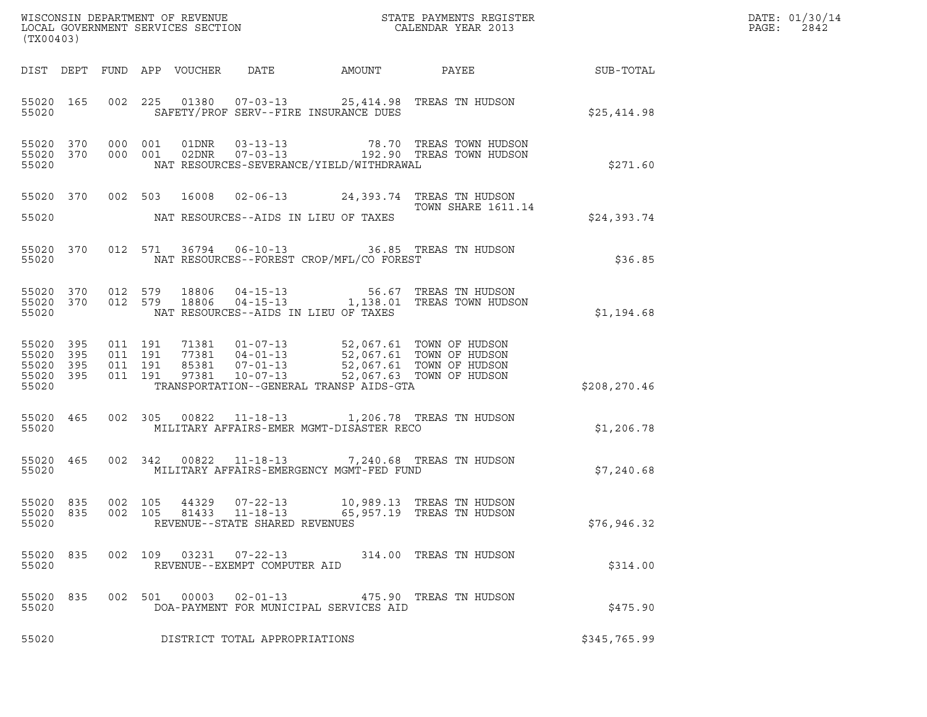| (TX00403)                                             |           |         |                               |                            |                                |                                          | $\tt WISCONSIM DEPARTMENT OF REVENUE$ $\tt WISCONS IN DEPARTMENT SERVICES SECTION$ $\tt SERVICES SECTION$ $\tt CALENDAR YEAR$ $2013$                                                                                          |                             | DATE: 01/30/14<br>$\mathtt{PAGE:}$<br>2842 |
|-------------------------------------------------------|-----------|---------|-------------------------------|----------------------------|--------------------------------|------------------------------------------|-------------------------------------------------------------------------------------------------------------------------------------------------------------------------------------------------------------------------------|-----------------------------|--------------------------------------------|
|                                                       |           |         |                               | DIST DEPT FUND APP VOUCHER |                                |                                          |                                                                                                                                                                                                                               | DATE AMOUNT PAYEE SUB-TOTAL |                                            |
| 55020                                                 | 55020 165 |         |                               |                            |                                | SAFETY/PROF SERV--FIRE INSURANCE DUES    | 002 225 01380 07-03-13 25,414.98 TREAS TN HUDSON                                                                                                                                                                              | \$25,414.98                 |                                            |
| 55020 370<br>55020 370<br>55020                       |           | 000 001 | 000 001                       |                            |                                | NAT RESOURCES-SEVERANCE/YIELD/WITHDRAWAL | $\begin{array}{cccc} \texttt{01DNR} & \texttt{03-13-13} & \texttt{78.70} & \texttt{TREAS} & \texttt{TOWN HUDSON} \\ \texttt{02DNR} & \texttt{07-03-13} & \texttt{192.90} & \texttt{TREAS} & \texttt{TOWN HUDSON} \end{array}$ | \$271.60                    |                                            |
|                                                       | 55020 370 |         |                               |                            |                                |                                          | 002 503 16008 02-06-13 24,393.74 TREAS TN HUDSON<br>TOWN SHARE 1611.14                                                                                                                                                        |                             |                                            |
| 55020                                                 |           |         |                               |                            |                                | NAT RESOURCES--AIDS IN LIEU OF TAXES     |                                                                                                                                                                                                                               | \$24,393.74                 |                                            |
| 55020 370<br>55020                                    |           |         |                               |                            |                                | NAT RESOURCES--FOREST CROP/MFL/CO FOREST | 012 571 36794 06-10-13 36.85 TREAS TN HUDSON                                                                                                                                                                                  | \$36.85                     |                                            |
| 55020 370<br>55020                                    | 55020 370 |         | 012 579<br>012 579            |                            |                                | NAT RESOURCES--AIDS IN LIEU OF TAXES     | 18806  04-15-13  56.67  TREAS TN HUDSON<br>18806  04-15-13   1,138.01  TREAS TOWN HUDSON                                                                                                                                      | \$1,194.68                  |                                            |
| 55020 395<br>55020 395<br>55020<br>55020 395<br>55020 | 395       | 011 191 | 011 191<br>011 191<br>011 191 | 97381                      | $10 - 07 - 13$                 | TRANSPORTATION--GENERAL TRANSP AIDS-GTA  | 71381  01-07-13  52,067.61  TOWN OF HUDSON<br>77381  04-01-13  52,067.61  TOWN OF HUDSON<br>85381  07-01-13  52,067.61  TOWN OF HUDSON<br>52,067.63 TOWN OF HUDSON                                                            | \$208,270.46                |                                            |
| 55020 465<br>55020                                    |           |         |                               |                            |                                | MILITARY AFFAIRS-EMER MGMT-DISASTER RECO | 002 305 00822 11-18-13 1,206.78 TREAS TN HUDSON                                                                                                                                                                               | \$1,206.78                  |                                            |
| 55020                                                 | 55020 465 |         |                               |                            |                                | MILITARY AFFAIRS-EMERGENCY MGMT-FED FUND | 002 342 00822 11-18-13 7,240.68 TREAS TN HUDSON                                                                                                                                                                               | \$7,240.68                  |                                            |
| 55020 835<br>55020                                    | 55020 835 |         |                               |                            | REVENUE--STATE SHARED REVENUES |                                          | 002 105 44329 07-22-13 10,989.13 TREAS TN HUDSON<br>002 105 81433 11-18-13 65,957.19 TREAS TN HUDSON                                                                                                                          | \$76,946.32                 |                                            |
| 55020 835<br>55020                                    |           |         |                               |                            | REVENUE--EXEMPT COMPUTER AID   |                                          | 002 109 03231 07-22-13 314.00 TREAS TN HUDSON                                                                                                                                                                                 | \$314.00                    |                                            |
| 55020 835<br>55020                                    |           |         |                               |                            |                                | DOA-PAYMENT FOR MUNICIPAL SERVICES AID   | 002 501 00003 02-01-13 475.90 TREAS TN HUDSON                                                                                                                                                                                 | \$475.90                    |                                            |
| 55020                                                 |           |         |                               |                            | DISTRICT TOTAL APPROPRIATIONS  |                                          |                                                                                                                                                                                                                               | \$345,765.99                |                                            |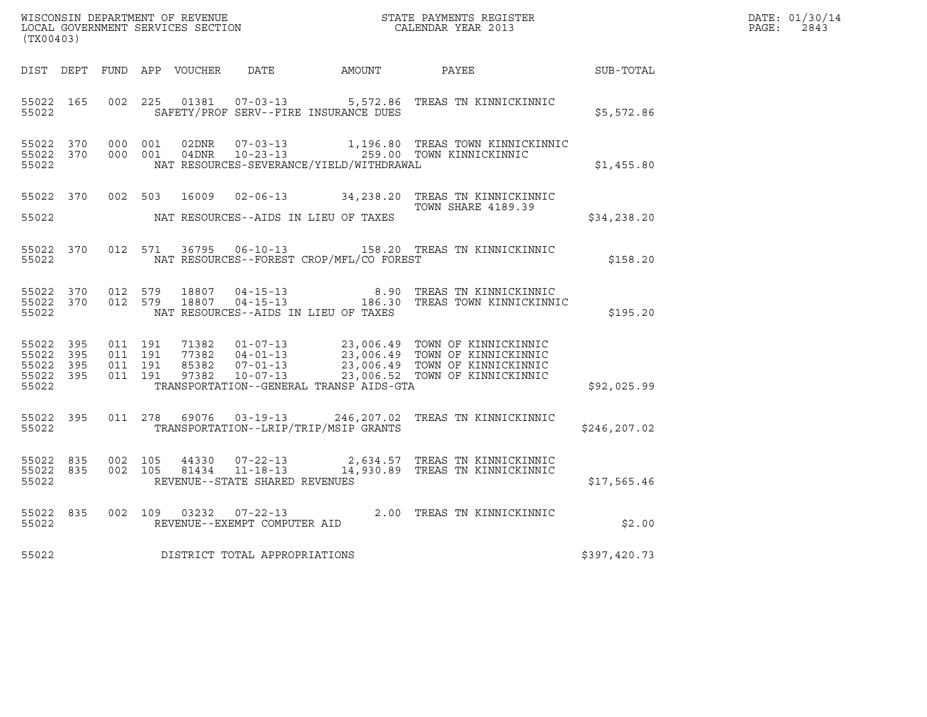| $\tt WISCONSIM DEPARTMENT OF REVENUE$ $\tt WISCONSIM EN THE RAYMENTS REGISTERLOCAL GOVERNMENT SERVICES SECTION CALENDAR YEAR 2013$<br>(TX00403) |           |                                        |         |               |                                |                                          |                                                                                                                                                                                                              |               | DATE: 01/30/14<br>$\mathtt{PAGE:}$<br>2843 |
|-------------------------------------------------------------------------------------------------------------------------------------------------|-----------|----------------------------------------|---------|---------------|--------------------------------|------------------------------------------|--------------------------------------------------------------------------------------------------------------------------------------------------------------------------------------------------------------|---------------|--------------------------------------------|
|                                                                                                                                                 |           |                                        |         |               |                                |                                          | DIST DEPT FUND APP VOUCHER DATE AMOUNT PAYEE                                                                                                                                                                 | SUB-TOTAL     |                                            |
| 55022 165<br>55022                                                                                                                              |           | 002 225                                |         |               |                                | SAFETY/PROF SERV--FIRE INSURANCE DUES    | 01381  07-03-13  5,572.86  TREAS TN KINNICKINNIC                                                                                                                                                             | \$5,572.86    |                                            |
| 55022 370<br>55022                                                                                                                              |           | 55022 370 000 001                      | 000 001 |               |                                | NAT RESOURCES-SEVERANCE/YIELD/WITHDRAWAL | 02DNR  07-03-13  1,196.80 TREAS TOWN KINNICKINNIC<br>04DNR  10-23-13  259.00 TOWN KINNICKINNIC                                                                                                               | \$1,455.80    |                                            |
| 55022                                                                                                                                           |           |                                        |         |               |                                | NAT RESOURCES--AIDS IN LIEU OF TAXES     | 55022 370 002 503 16009 02-06-13 34,238.20 TREAS TN KINNICKINNIC<br><b>TOWN SHARE 4189.39</b>                                                                                                                | \$34, 238.20  |                                            |
| 55022                                                                                                                                           |           |                                        |         |               |                                | NAT RESOURCES--FOREST CROP/MFL/CO FOREST | 55022 370 012 571 36795 06-10-13 158.20 TREAS TN KINNICKINNIC                                                                                                                                                | \$158.20      |                                            |
| 55022                                                                                                                                           |           | 55022 370 012 579<br>55022 370 012 579 |         |               |                                | NAT RESOURCES--AIDS IN LIEU OF TAXES     |                                                                                                                                                                                                              | \$195.20      |                                            |
| 55022 395<br>55022 395<br>55022 395<br>55022                                                                                                    | 55022 395 | 011 191<br>011 191<br>011 191          | 011 191 |               |                                | TRANSPORTATION--GENERAL TRANSP AIDS-GTA  | 71382  01-07-13  23,006.49  TOWN OF KINNICKINNIC<br>77382  04-01-13  23,006.49  TOWN OF KINNICKINNIC<br>85382  07-01-13  23,006.49  TOWN OF KINNICKINNIC<br>97382  10-07-13  23,006.52  TOWN OF KINNICKINNIC | \$92,025.99   |                                            |
| 55022 395<br>55022                                                                                                                              |           |                                        |         | 011 278 69076 |                                | TRANSPORTATION--LRIP/TRIP/MSIP GRANTS    | 03-19-13 246,207.02 TREAS TN KINNICKINNIC                                                                                                                                                                    | \$246, 207.02 |                                            |
| 55022                                                                                                                                           | 55022 835 | 55022 835 002 105<br>002 105           |         |               | REVENUE--STATE SHARED REVENUES |                                          | 44330  07-22-13  2,634.57 TREAS TN KINNICKINNIC<br>81434  11-18-13  14,930.89 TREAS TN KINNICKINNIC                                                                                                          | \$17,565.46   |                                            |
| 55022                                                                                                                                           | 55022 835 |                                        |         |               | REVENUE--EXEMPT COMPUTER AID   |                                          | 002 109 03232 07-22-13 2.00 TREAS TN KINNICKINNIC                                                                                                                                                            | \$2.00        |                                            |
| 55022                                                                                                                                           |           |                                        |         |               | DISTRICT TOTAL APPROPRIATIONS  |                                          |                                                                                                                                                                                                              | \$397,420.73  |                                            |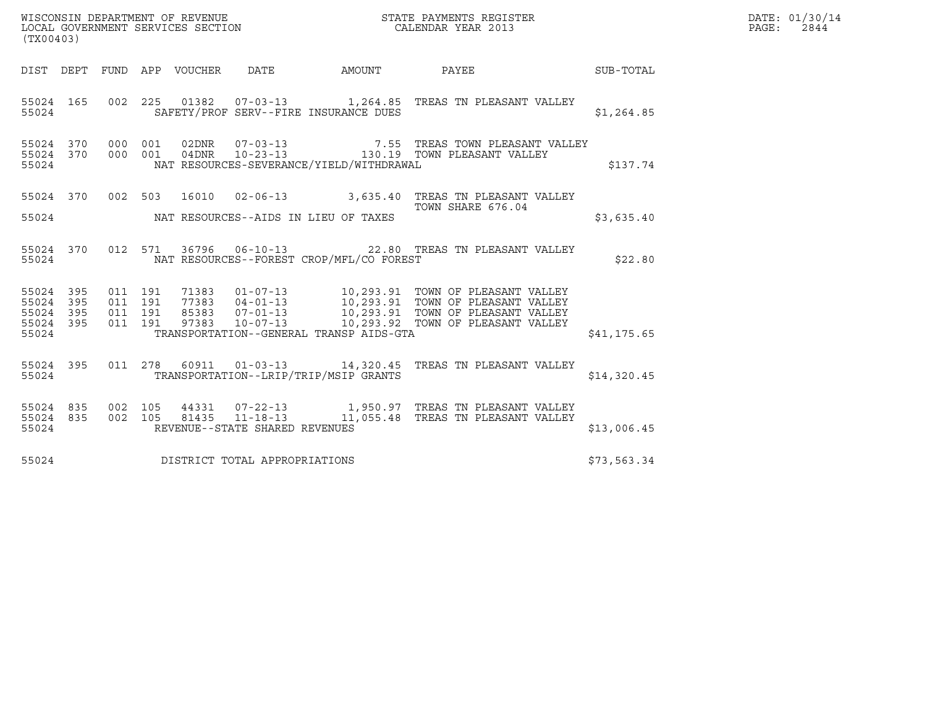| WISCONSIN DEPARTMENT OF REVENUE<br>LOCAL GOVERNMENT SERVICES SECTION THE STATE PAYMENTS REGISTER<br>(TWAR 1931)<br>(TX00403) |  |  |  |  |                                      |                                             |                                                                                                                                                                                                                                                   |              | DATE: 01/30/14<br>PAGE: 2844 |
|------------------------------------------------------------------------------------------------------------------------------|--|--|--|--|--------------------------------------|---------------------------------------------|---------------------------------------------------------------------------------------------------------------------------------------------------------------------------------------------------------------------------------------------------|--------------|------------------------------|
|                                                                                                                              |  |  |  |  |                                      |                                             | DIST DEPT FUND APP VOUCHER DATE AMOUNT PAYEE TO SUB-TOTAL                                                                                                                                                                                         |              |                              |
| 55024                                                                                                                        |  |  |  |  |                                      | SAFETY/PROF SERV--FIRE INSURANCE DUES       | 55024 165 002 225 01382 07-03-13 1,264.85 TREAS TN PLEASANT VALLEY                                                                                                                                                                                | \$1,264.85   |                              |
| 55024                                                                                                                        |  |  |  |  |                                      | NAT RESOURCES-SEVERANCE/YIELD/WITHDRAWAL    | $\begin{array}{cccccc} 55024 & 370 & 000 & 001 & 02\text{DNR} & 07-03-13 & & & & 7.55 & \text{TREAS TOWN PLEASANT VALLEY} \\ 55024 & 370 & 000 & 001 & 04\text{DNR} & 10-23-13 & & & 130.19 & \text{TOWN PLEASANT VALLEY} \end{array}$            | \$137.74     |                              |
|                                                                                                                              |  |  |  |  |                                      | 55024 NAT RESOURCES--AIDS IN LIEU OF TAXES  | 55024 370 002 503 16010 02-06-13 3,635.40 TREAS TN PLEASANT VALLEY<br>TOWN SHARE 676.04                                                                                                                                                           | \$3,635.40   |                              |
| 55024                                                                                                                        |  |  |  |  |                                      | NAT RESOURCES--FOREST CROP/MFL/CO FOREST    | 55024 370 012 571 36796 06-10-13 22.80 TREAS TN PLEASANT VALLEY                                                                                                                                                                                   | \$22.80      |                              |
| 55024                                                                                                                        |  |  |  |  |                                      | TRANSPORTATION--GENERAL TRANSP AIDS-GTA     |                                                                                                                                                                                                                                                   | \$41, 175.65 |                              |
|                                                                                                                              |  |  |  |  |                                      | 55024 TRANSPORTATION--LRIP/TRIP/MSIP GRANTS | 55024 395 011 278 60911 01-03-13 14,320.45 TREAS TN PLEASANT VALLEY                                                                                                                                                                               | \$14,320.45  |                              |
|                                                                                                                              |  |  |  |  | 55024 REVENUE--STATE SHARED REVENUES |                                             | $\begin{array}{cccc} 55024 & 835 & 002 & 105 & 44331 & 07\text{-}22\text{-}13 & 1,950.97 & \text{TREAS TN PLEASANT VALLEY} \\ 55024 & 835 & 002 & 105 & 81435 & 11\text{-}18\text{-}13 & 11,055.48 & \text{TREAS TN PLEASANT VALLEY} \end{array}$ | \$13,006.45  |                              |
| 55024                                                                                                                        |  |  |  |  | DISTRICT TOTAL APPROPRIATIONS        |                                             |                                                                                                                                                                                                                                                   | \$73,563.34  |                              |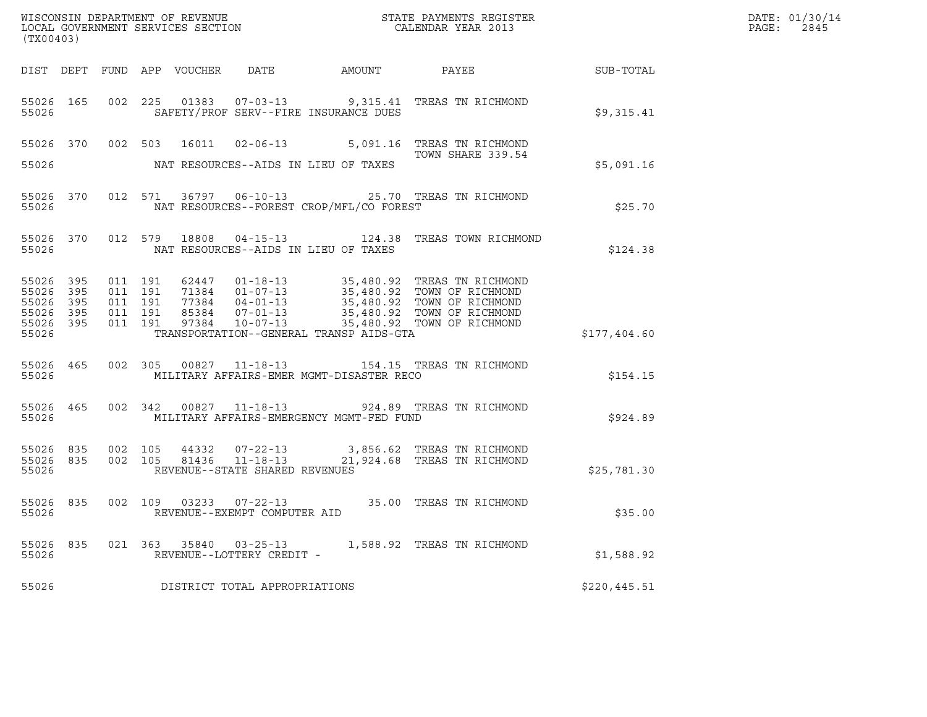| DATE: | 01/30/14 |
|-------|----------|
| PAGE: | 2845     |

| (TX00403)                                                      |            |                                          |         |  |                                                     |                                                |                                                                                                                                                                                                                                |              | DATE: 01/30/14<br>PAGE:<br>2845 |
|----------------------------------------------------------------|------------|------------------------------------------|---------|--|-----------------------------------------------------|------------------------------------------------|--------------------------------------------------------------------------------------------------------------------------------------------------------------------------------------------------------------------------------|--------------|---------------------------------|
|                                                                |            |                                          |         |  |                                                     |                                                | DIST DEPT FUND APP VOUCHER DATE AMOUNT PAYEE SUB-TOTAL                                                                                                                                                                         |              |                                 |
| 55026                                                          |            |                                          |         |  |                                                     | SAFETY/PROF SERV--FIRE INSURANCE DUES          | 55026 165 002 225 01383 07-03-13 9,315.41 TREAS TN RICHMOND                                                                                                                                                                    | \$9,315.41   |                                 |
|                                                                |            |                                          |         |  |                                                     | 55026 MAT RESOURCES--AIDS IN LIEU OF TAXES     | 55026 370 002 503 16011 02-06-13 5,091.16 TREAS TN RICHMOND                                                                                                                                                                    | \$5,091.16   |                                 |
| 55026                                                          |            |                                          |         |  |                                                     | NAT RESOURCES--FOREST CROP/MFL/CO FOREST       | 55026 370 012 571 36797 06-10-13 25.70 TREAS TN RICHMOND                                                                                                                                                                       | \$25.70      |                                 |
| 55026                                                          |            |                                          |         |  |                                                     | NAT RESOURCES--AIDS IN LIEU OF TAXES           | 55026 370 012 579 18808 04-15-13 124.38 TREAS TOWN RICHMOND                                                                                                                                                                    | \$124.38     |                                 |
| 55026 395<br>55026 395<br>55026<br>55026<br>55026 395<br>55026 | 395<br>395 | 011 191<br>011 191<br>011 191<br>011 191 | 011 191 |  |                                                     | TRANSPORTATION--GENERAL TRANSP AIDS-GTA        | 62447 01-18-13 35,480.92 TREAS TN RICHMOND<br>71384 01-07-13 35,480.92 TOWN OF RICHMOND<br>77384 04-01-13 35,480.92 TOWN OF RICHMOND<br>85384 07-01-13 35,480.92 TOWN OF RICHMOND<br>97384 10-07-13 35,480.92 TOWN OF RICHMOND | \$177,404.60 |                                 |
| 55026                                                          |            |                                          |         |  |                                                     | MILITARY AFFAIRS-EMER MGMT-DISASTER RECO       | 55026 465 002 305 00827 11-18-13 154.15 TREAS TN RICHMOND                                                                                                                                                                      | \$154.15     |                                 |
|                                                                |            |                                          |         |  |                                                     | 55026 MILITARY AFFAIRS-EMERGENCY MGMT-FED FUND | 55026 465 002 342 00827 11-18-13 924.89 TREAS TN RICHMOND                                                                                                                                                                      | \$924.89     |                                 |
| 55026                                                          |            |                                          |         |  | REVENUE--STATE SHARED REVENUES                      |                                                | 55026 835 002 105 44332 07-22-13 3,856.62 TREAS TN RICHMOND<br>55026 835 002 105 81436 11-18-13 21,924.68 TREAS TN RICHMOND                                                                                                    | \$25,781.30  |                                 |
| 55026                                                          |            |                                          |         |  | REVENUE--EXEMPT COMPUTER AID                        |                                                | 55026 835 002 109 03233 07-22-13 35.00 TREAS TN RICHMOND                                                                                                                                                                       | \$35.00      |                                 |
| 55026 835<br>55026                                             |            |                                          |         |  | 021 363 35840 03-25-13<br>REVENUE--LOTTERY CREDIT - |                                                | 1,588.92 TREAS TN RICHMOND                                                                                                                                                                                                     | \$1,588.92   |                                 |
| 55026                                                          |            |                                          |         |  | DISTRICT TOTAL APPROPRIATIONS                       |                                                |                                                                                                                                                                                                                                | \$220,445.51 |                                 |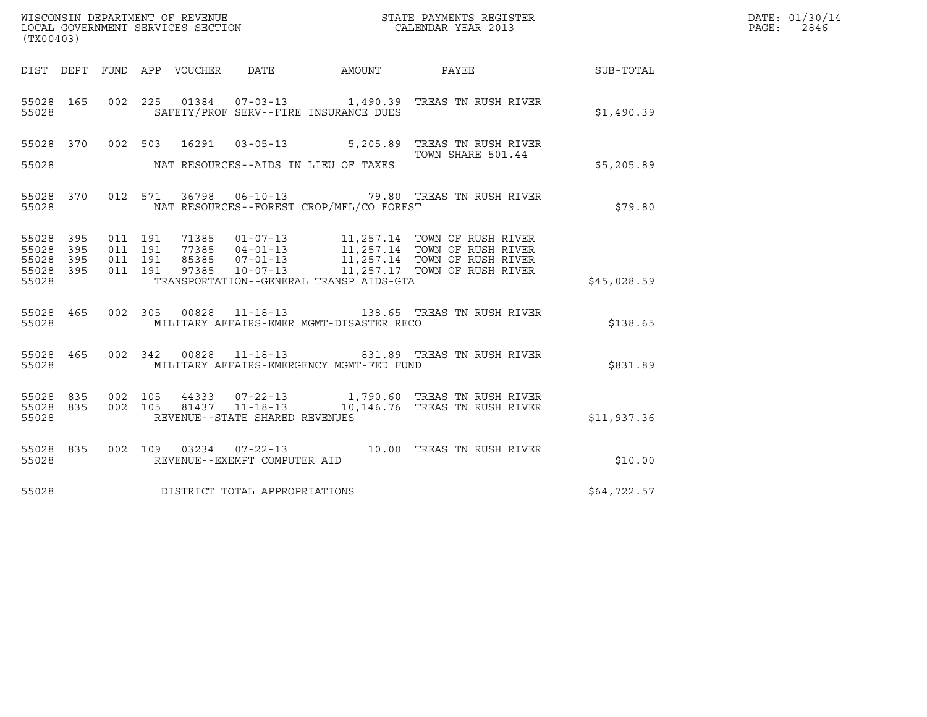| WISCONSIN DEPARTMENT OF REVENUE ${\small \begin{array}{ll} \texttt{MISCONS} \\ \texttt{LOCAL} \end{array}} {\small \begin{array}{ll} \texttt{OCER} \\ \texttt{OCAL} \end{array}}$<br>(TX00403) |                   |                               |  |  |                                |                                          |                                                                                                                                                                                                          |             | DATE: 01/30/14<br>2846<br>PAGE: |
|------------------------------------------------------------------------------------------------------------------------------------------------------------------------------------------------|-------------------|-------------------------------|--|--|--------------------------------|------------------------------------------|----------------------------------------------------------------------------------------------------------------------------------------------------------------------------------------------------------|-------------|---------------------------------|
|                                                                                                                                                                                                |                   |                               |  |  |                                |                                          |                                                                                                                                                                                                          |             |                                 |
| 55028 165<br>55028                                                                                                                                                                             |                   |                               |  |  |                                | SAFETY/PROF SERV--FIRE INSURANCE DUES    | 002  225  01384  07-03-13  1,490.39  TREAS TN RUSH RIVER                                                                                                                                                 | \$1,490.39  |                                 |
|                                                                                                                                                                                                |                   |                               |  |  |                                |                                          | 55028 370 002 503 16291 03-05-13 5,205.89 TREAS TN RUSH RIVER<br>TOWN SHARE 501.44<br>TOWN SHARE 501.44                                                                                                  |             |                                 |
| 55028                                                                                                                                                                                          |                   |                               |  |  |                                | NAT RESOURCES--AIDS IN LIEU OF TAXES     |                                                                                                                                                                                                          | \$5,205.89  |                                 |
| 55028 370<br>55028                                                                                                                                                                             |                   |                               |  |  |                                | NAT RESOURCES--FOREST CROP/MFL/CO FOREST | 012 571 36798 06-10-13 79.80 TREAS TN RUSH RIVER                                                                                                                                                         | \$79.80     |                                 |
| 55028<br>55028<br>55028                                                                                                                                                                        | 395<br>395<br>395 | 011 191<br>011 191<br>011 191 |  |  |                                |                                          | 71385  01-07-13   11,257.14  TOWN OF RUSH RIVER<br>77385  04-01-13   11,257.14  TOWN OF RUSH RIVER<br>85385  07-01-13   11,257.14  TOWN OF RUSH RIVER<br>97385  10-07-13   11,257.17  TOWN OF RUSH RIVER |             |                                 |
| 55028 395<br>55028                                                                                                                                                                             |                   | 011 191                       |  |  |                                | TRANSPORTATION--GENERAL TRANSP AIDS-GTA  |                                                                                                                                                                                                          | \$45,028.59 |                                 |
| 55028 465<br>55028                                                                                                                                                                             |                   |                               |  |  |                                | MILITARY AFFAIRS-EMER MGMT-DISASTER RECO | 002 305 00828 11-18-13 138.65 TREAS TN RUSH RIVER                                                                                                                                                        | \$138.65    |                                 |
| 55028 465<br>55028                                                                                                                                                                             |                   |                               |  |  |                                | MILITARY AFFAIRS-EMERGENCY MGMT-FED FUND | 002 342 00828 11-18-13 831.89 TREAS TN RUSH RIVER                                                                                                                                                        | \$831.89    |                                 |
| 55028 835<br>55028 835<br>55028                                                                                                                                                                |                   |                               |  |  | REVENUE--STATE SHARED REVENUES |                                          |                                                                                                                                                                                                          | \$11,937.36 |                                 |
| 55028 835<br>55028                                                                                                                                                                             |                   |                               |  |  | REVENUE--EXEMPT COMPUTER AID   |                                          | 002 109 03234 07-22-13 10.00 TREAS TN RUSH RIVER                                                                                                                                                         | \$10.00     |                                 |
| 55028                                                                                                                                                                                          |                   |                               |  |  | DISTRICT TOTAL APPROPRIATIONS  |                                          |                                                                                                                                                                                                          | \$64,722.57 |                                 |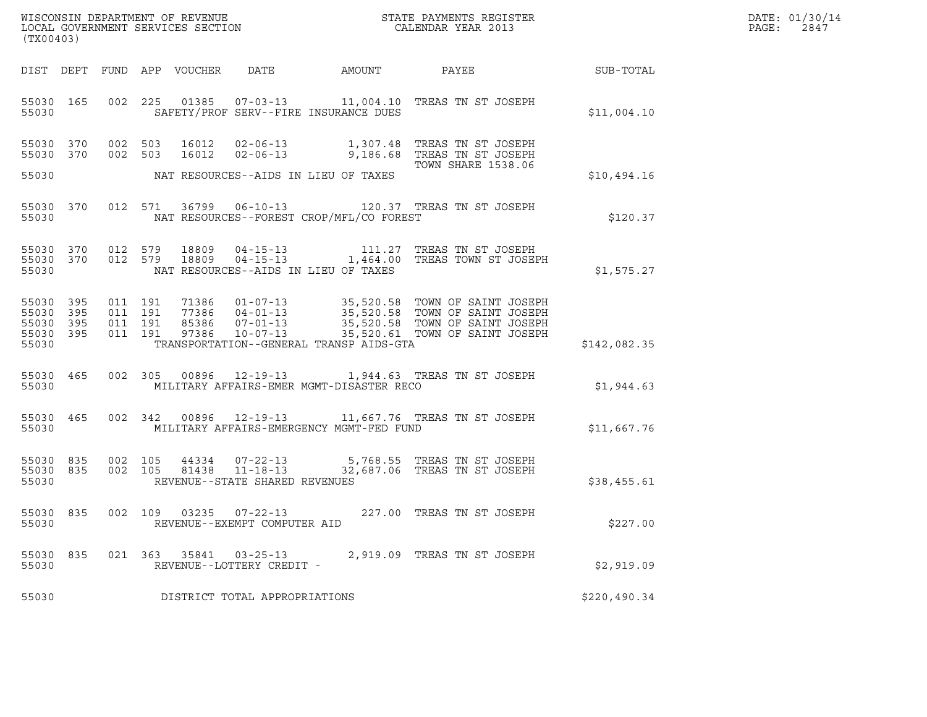| WISCONSIN DEPARTMENT OF REVENUE   | STATE PAYMENTS REGISTER | DATE: 01/30/14 |
|-----------------------------------|-------------------------|----------------|
| LOCAL GOVERNMENT SERVICES SECTION | CALENDAR YEAR 2013      | 2847<br>PAGE:  |

| WISCONSIN DEPARTMENT OF REVENUE<br>LOCAL GOVERNMENT SERVICES SECTION THE SERVICES OF CALENDAR YEAR 2013<br>(TX00403)                                                                                                                                                                     |              | DATE: 01/30/14<br>PAGE: 2847 |
|------------------------------------------------------------------------------------------------------------------------------------------------------------------------------------------------------------------------------------------------------------------------------------------|--------------|------------------------------|
| DIST DEPT FUND APP VOUCHER DATE AMOUNT PAYEE PAYES                                                                                                                                                                                                                                       |              |                              |
| 002 225 01385 07-03-13 11,004.10 TREAS TN ST JOSEPH<br>55030 165<br>55030 SAFETY/PROF SERV--FIRE INSURANCE DUES                                                                                                                                                                          | \$11,004.10  |                              |
| 002 503 16012 02-06-13 1,307.48 TREAS TN ST JOSEPH<br>002 503 16012 02-06-13 9,186.68 TREAS TN ST JOSEPH<br>002 503 16012 02-06-13 9,186.68 TREAS TN ST JOSEPH<br>55030 370<br>55030 370<br>55030 NAT RESOURCES--AIDS IN LIEU OF TAXES                                                   | \$10,494.16  |                              |
| 55030 370 012 571 36799 06-10-13 120.37 TREAS TN ST JOSEPH<br>55030 NAT RESOURCES--FOREST CROP/MFL/CO FOREST                                                                                                                                                                             | \$120.37     |                              |
| 55030 370 012 579 18809 04-15-13 111.27 TREAS TN ST JOSEPH 55030 370 012 579 18809 04-15-13 1,464.00 TREAS TOWN ST JOSEPH<br>55030 NAT RESOURCES--AIDS IN LIEU OF TAXES                                                                                                                  | \$1,575.27   |                              |
| 55030 395 011 191 71386 01-07-13 35,520.58 TOWN OF SAINT JOSEPH<br>55030 395 011 191 77386 04-01-13 35,520.58 TOWN OF SAINT JOSEPH<br>55030 395 011 191 85386 07-01-13 35,520.58 TOWN OF SAINT JOSEPH<br>55030 395 011 191 97386 10-07-<br>55030 TRANSPORTATION--GENERAL TRANSP AIDS-GTA | \$142,082.35 |                              |
| 55030 465 002 305 00896 12-19-13 1,944.63 TREAS TN ST JOSEPH<br>55030 MILITARY AFFAIRS-EMER MGMT-DISASTER RECO                                                                                                                                                                           | \$1,944.63   |                              |
| 55030 465 002 342 00896 12-19-13 11,667.76 TREAS TN ST JOSEPH<br>55030 MILITARY AFFAIRS-EMERGENCY MGMT-FED FUND                                                                                                                                                                          | \$11,667.76  |                              |
| $\begin{array}{cccccccc} 55030 & 835 & 002 & 105 & 44334 & 07-22-13 & & 5,768.55 & \text{TREAS TN ST JOSEPH} \\ 55030 & 835 & 002 & 105 & 81438 & 11-18-13 & & 32,687.06 & \text{TREAS TN ST JOSEPH} \end{array}$<br>55030 REVENUE--STATE SHARED REVENUES                                | \$38,455.61  |                              |
| 55030 835 002 109 03235 07-22-13 227.00 TREAS TN ST JOSEPH<br>REVENUE--EXEMPT COMPUTER AID<br>55030                                                                                                                                                                                      | \$227.00     |                              |
| 2,919.09 TREAS TN ST JOSEPH<br>55030 835<br>021 363<br>35841 03-25-13<br>55030<br>REVENUE--LOTTERY CREDIT -                                                                                                                                                                              | \$2,919.09   |                              |
| DISTRICT TOTAL APPROPRIATIONS<br>55030                                                                                                                                                                                                                                                   | \$220,490.34 |                              |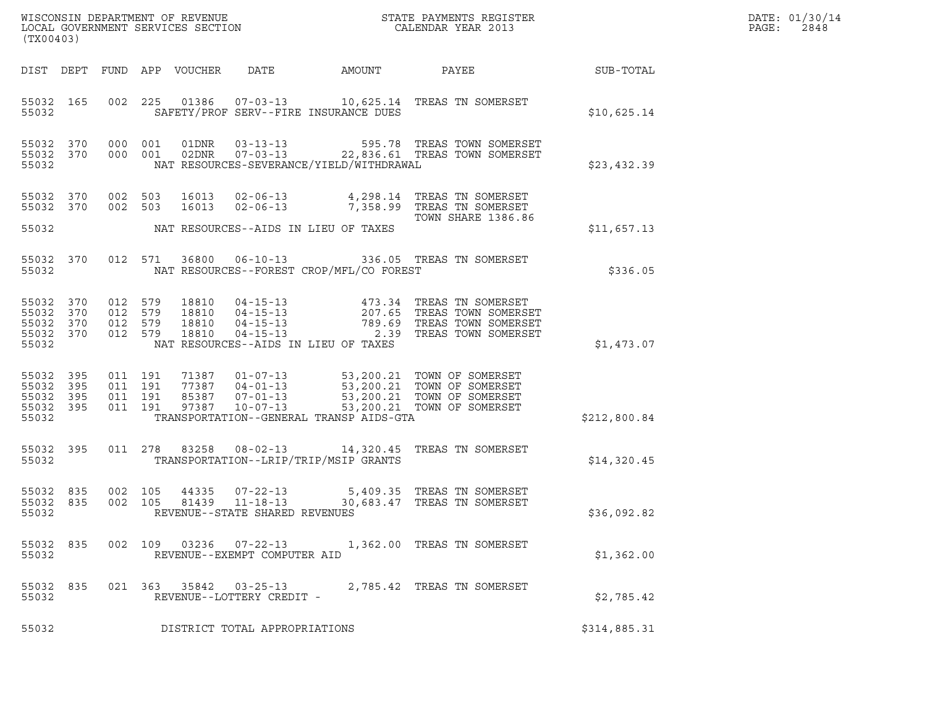| DATE: | 01/30/14 |
|-------|----------|
| PAGE: | 2848     |

| (TX00403)                                                 |                  |                               |         |                            |                                                                    |                                          |                                                                                                                                                                                              |                  | DATE: 01/30/14<br>PAGE:<br>2848 |
|-----------------------------------------------------------|------------------|-------------------------------|---------|----------------------------|--------------------------------------------------------------------|------------------------------------------|----------------------------------------------------------------------------------------------------------------------------------------------------------------------------------------------|------------------|---------------------------------|
|                                                           |                  |                               |         | DIST DEPT FUND APP VOUCHER | DATE                                                               | AMOUNT                                   | PAYEE                                                                                                                                                                                        | <b>SUB-TOTAL</b> |                                 |
| 55032                                                     | 55032 165        |                               |         |                            |                                                                    | SAFETY/PROF SERV--FIRE INSURANCE DUES    | 002 225 01386 07-03-13 10,625.14 TREAS TN SOMERSET                                                                                                                                           | \$10,625.14      |                                 |
| 55032 370<br>55032                                        | 55032 370        |                               |         |                            |                                                                    | NAT RESOURCES-SEVERANCE/YIELD/WITHDRAWAL | 000 001 01DNR 03-13-13 595.78 TREAS TOWN SOMERSET<br>000 001 02DNR 07-03-13 22,836.61 TREAS TOWN SOMERSET                                                                                    | \$23,432.39      |                                 |
| 55032 370<br>55032 370                                    |                  | 002 503<br>002 503            |         | 16013<br>16013             |                                                                    | NAT RESOURCES--AIDS IN LIEU OF TAXES     | 02-06-13 4,298.14 TREAS TN SOMERSET<br>02-06-13 7,358.99 TREAS TN SOMERSET<br><b>TOWN SHARE 1386.86</b>                                                                                      |                  |                                 |
| 55032                                                     |                  |                               |         |                            |                                                                    |                                          |                                                                                                                                                                                              | \$11,657.13      |                                 |
| 55032                                                     | 55032 370        |                               |         |                            |                                                                    | NAT RESOURCES--FOREST CROP/MFL/CO FOREST | 012 571 36800 06-10-13 336.05 TREAS TN SOMERSET                                                                                                                                              | \$336.05         |                                 |
| 55032 370<br>55032 370<br>55032 370<br>55032 370<br>55032 |                  | 012 579<br>012 579<br>012 579 | 012 579 |                            |                                                                    | NAT RESOURCES--AIDS IN LIEU OF TAXES     |                                                                                                                                                                                              | \$1,473.07       |                                 |
| 55032<br>55032 395<br>55032 395<br>55032                  | 55032 395<br>395 | 011 191<br>011 191<br>011 191 | 011 191 |                            |                                                                    | TRANSPORTATION--GENERAL TRANSP AIDS-GTA  | 71387  01-07-13  53,200.21  TOWN OF SOMERSET<br>77387  04-01-13  53,200.21  TOWN OF SOMERSET<br>85387  07-01-13  53,200.21  TOWN OF SOMERSET<br>97387  10-07-13  53,200.21  TOWN OF SOMERSET | \$212,800.84     |                                 |
| 55032 395<br>55032                                        |                  |                               |         |                            |                                                                    | TRANSPORTATION--LRIP/TRIP/MSIP GRANTS    | 011  278  83258  08-02-13  14,320.45  TREAS TN SOMERSET                                                                                                                                      | \$14,320.45      |                                 |
| 55032 835<br>55032 835<br>55032                           |                  | 002 105<br>002 105            |         |                            | 44335 07-22-13<br>81439 11-18-13<br>REVENUE--STATE SHARED REVENUES |                                          | 5,409.35 TREAS TN SOMERSET<br>30,683.47 TREAS TN SOMERSET                                                                                                                                    | \$36,092.82      |                                 |
| 55032                                                     |                  |                               |         |                            | REVENUE--EXEMPT COMPUTER AID                                       |                                          | 55032 835 002 109 03236 07-22-13 1,362.00 TREAS TN SOMERSET                                                                                                                                  | \$1,362.00       |                                 |
| 55032                                                     | 55032 835        |                               |         |                            | REVENUE--LOTTERY CREDIT -                                          |                                          | 021  363  35842  03-25-13  2,785.42  TREAS TN SOMERSET                                                                                                                                       | \$2,785.42       |                                 |
| 55032                                                     |                  |                               |         |                            | DISTRICT TOTAL APPROPRIATIONS                                      |                                          |                                                                                                                                                                                              | \$314,885.31     |                                 |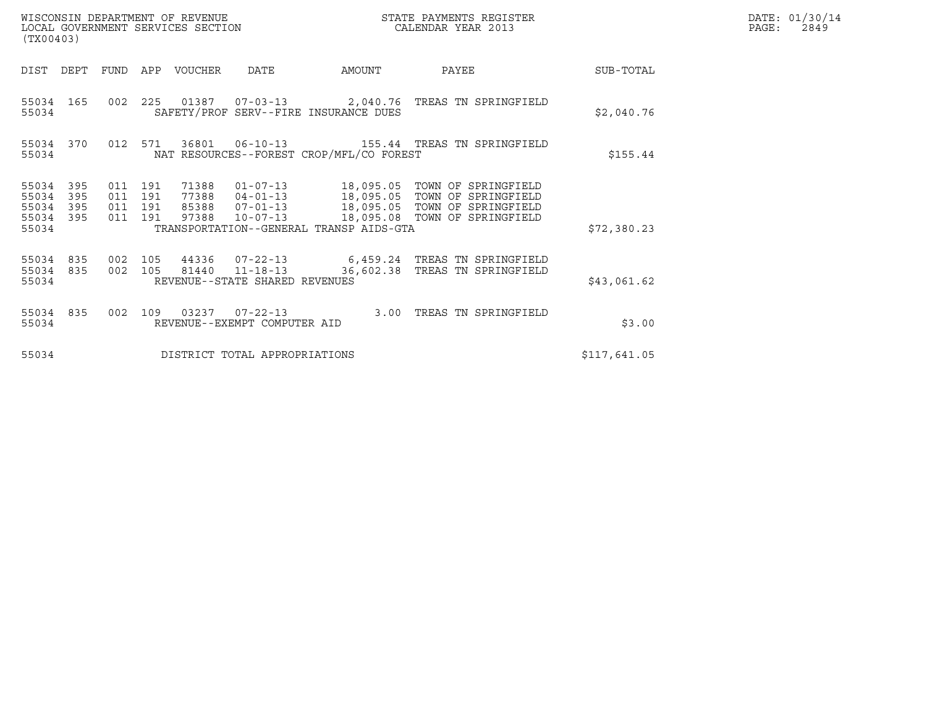| (TX00403)                                 |                          |                                      |     | WISCONSIN DEPARTMENT OF REVENUE<br>LOCAL GOVERNMENT SERVICES SECTION |                                                   | STATE PAYMENTS REGISTER<br>CALENDAR YEAR 2013 |                                                                                                                                                                      |              | DATE: 01/30/14<br>$\mathtt{PAGE}$ :<br>2849 |
|-------------------------------------------|--------------------------|--------------------------------------|-----|----------------------------------------------------------------------|---------------------------------------------------|-----------------------------------------------|----------------------------------------------------------------------------------------------------------------------------------------------------------------------|--------------|---------------------------------------------|
| DIST                                      | DEPT                     | FUND                                 |     | APP VOUCHER                                                          | <b>DATE</b>                                       | AMOUNT                                        | PAYEE                                                                                                                                                                | SUB-TOTAL    |                                             |
| 55034                                     | 55034 165                |                                      |     |                                                                      |                                                   | SAFETY/PROF SERV--FIRE INSURANCE DUES         | 002  225  01387  07-03-13  2,040.76  TREAS TN SPRINGFIELD                                                                                                            | \$2,040.76   |                                             |
| 55034                                     | 55034 370                | 012 571                              |     |                                                                      |                                                   | NAT RESOURCES--FOREST CROP/MFL/CO FOREST      |                                                                                                                                                                      | \$155.44     |                                             |
| 55034<br>55034<br>55034<br>55034<br>55034 | 395<br>395<br>395<br>395 | 011 191<br>011<br>011 191<br>011 191 | 191 | 71388<br>77388<br>97388                                              | $10 - 07 - 13$                                    | TRANSPORTATION--GENERAL TRANSP AIDS-GTA       | 01-07-13 18,095.05 TOWN OF SPRINGFIELD<br>04-01-13 18,095.05 TOWN OF SPRINGFIELD<br>85388  07-01-13  18,095.05  TOWN OF SPRINGFIELD<br>18,095.08 TOWN OF SPRINGFIELD | \$72,380.23  |                                             |
| 55034 835<br>55034 835<br>55034           |                          | 002 105<br>002 105                   |     |                                                                      | 81440  11-18-13<br>REVENUE--STATE SHARED REVENUES |                                               | 44336 07-22-13 6,459.24 TREAS TN SPRINGFIELD<br>36,602.38 TREAS TN SPRINGFIELD                                                                                       | \$43,061.62  |                                             |
| 55034 835<br>55034                        |                          | 002                                  | 109 |                                                                      | REVENUE--EXEMPT COMPUTER AID                      | 3.00                                          | TREAS TN SPRINGFIELD                                                                                                                                                 | \$3.00       |                                             |
| 55034                                     |                          |                                      |     |                                                                      | DISTRICT TOTAL APPROPRIATIONS                     |                                               |                                                                                                                                                                      | \$117,641.05 |                                             |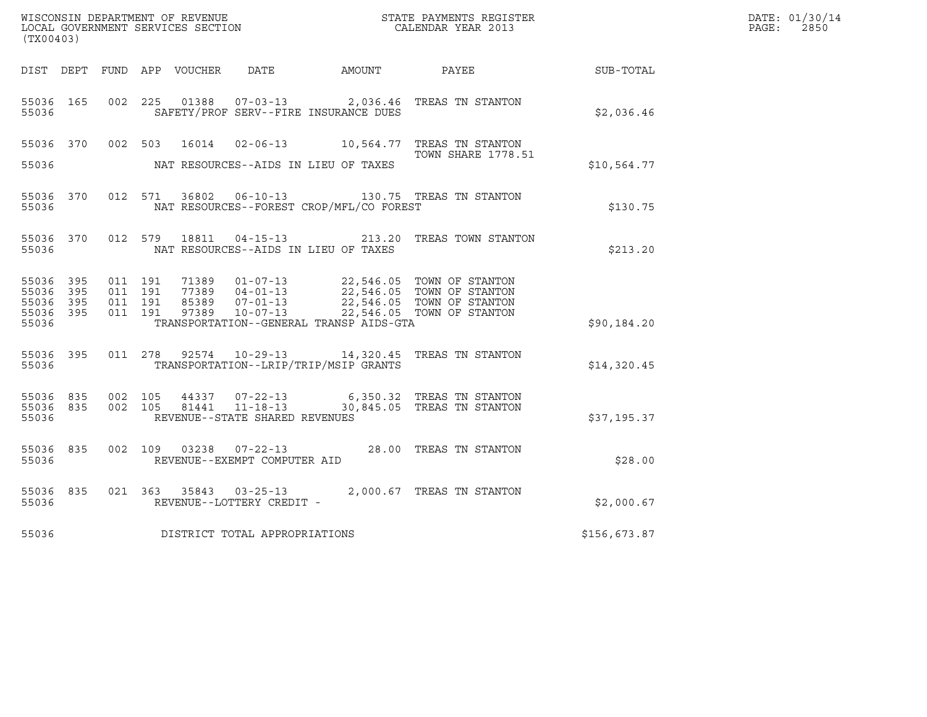| (TX00403)                                                 |           |                                          |  |  |                                |                                          |                                                                                                                                                                                          |              | DATE: 01/30/14<br>$\mathtt{PAGE:}$<br>2850 |
|-----------------------------------------------------------|-----------|------------------------------------------|--|--|--------------------------------|------------------------------------------|------------------------------------------------------------------------------------------------------------------------------------------------------------------------------------------|--------------|--------------------------------------------|
|                                                           |           |                                          |  |  |                                |                                          | DIST DEPT FUND APP VOUCHER DATE AMOUNT PAYEE THE SUB-TOTAL                                                                                                                               |              |                                            |
| 55036                                                     | 55036 165 |                                          |  |  |                                | SAFETY/PROF SERV--FIRE INSURANCE DUES    | 002 225 01388 07-03-13 2,036.46 TREAS TN STANTON                                                                                                                                         | \$2,036.46   |                                            |
|                                                           |           |                                          |  |  |                                |                                          | 55036 370 002 503 16014 02-06-13 10,564.77 TREAS TN STANTON<br><b>TOWN SHARE 1778.51</b>                                                                                                 |              |                                            |
| 55036                                                     |           |                                          |  |  |                                | NAT RESOURCES--AIDS IN LIEU OF TAXES     |                                                                                                                                                                                          | \$10,564.77  |                                            |
| 55036                                                     |           |                                          |  |  |                                | NAT RESOURCES--FOREST CROP/MFL/CO FOREST | 55036 370 012 571 36802 06-10-13 130.75 TREAS TN STANTON                                                                                                                                 | \$130.75     |                                            |
| 55036                                                     |           |                                          |  |  |                                | NAT RESOURCES--AIDS IN LIEU OF TAXES     | 55036 370 012 579 18811 04-15-13 213.20 TREAS TOWN STANTON                                                                                                                               | \$213.20     |                                            |
| 55036 395<br>55036 395<br>55036 395<br>55036 395<br>55036 |           | 011 191<br>011 191<br>011 191<br>011 191 |  |  |                                | TRANSPORTATION--GENERAL TRANSP AIDS-GTA  | 71389  01-07-13  22,546.05  TOWN OF STANTON<br>77389  04-01-13  22,546.05  TOWN OF STANTON<br>85389  07-01-13  22,546.05  TOWN OF STANTON<br>97389  10-07-13  22,546.05  TOWN OF STANTON | \$90,184.20  |                                            |
| 55036                                                     | 55036 395 |                                          |  |  |                                | TRANSPORTATION--LRIP/TRIP/MSIP GRANTS    | 011  278  92574  10-29-13  14,320.45  TREAS TN STANTON                                                                                                                                   | \$14,320.45  |                                            |
| 55036                                                     |           |                                          |  |  | REVENUE--STATE SHARED REVENUES |                                          | 55036 835 002 105 44337 07-22-13 6,350.32 TREAS TN STANTON 55036 835 002 105 81441 11-18-13 30,845.05 TREAS TN STANTON                                                                   | \$37,195.37  |                                            |
| 55036                                                     | 55036 835 |                                          |  |  | REVENUE--EXEMPT COMPUTER AID   |                                          | 002 109 03238 07-22-13 28.00 TREAS TN STANTON                                                                                                                                            | \$28.00      |                                            |
| 55036                                                     | 55036 835 |                                          |  |  | REVENUE--LOTTERY CREDIT -      |                                          | 021 363 35843 03-25-13 2,000.67 TREAS TN STANTON                                                                                                                                         | \$2,000.67   |                                            |
| 55036                                                     |           |                                          |  |  | DISTRICT TOTAL APPROPRIATIONS  |                                          |                                                                                                                                                                                          | \$156,673.87 |                                            |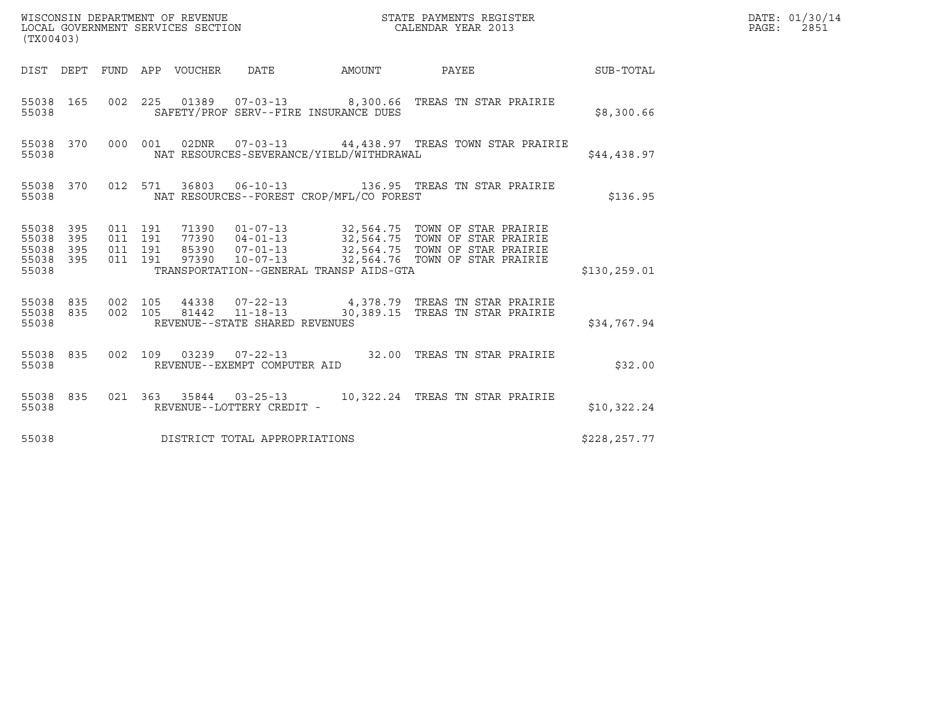| (TX00403)                                |                  |                               |         |  |                                          |                                                                                                                                                                                                              |              | DATE: 01/30/14<br>$\mathtt{PAGE:}$<br>2851 |
|------------------------------------------|------------------|-------------------------------|---------|--|------------------------------------------|--------------------------------------------------------------------------------------------------------------------------------------------------------------------------------------------------------------|--------------|--------------------------------------------|
|                                          |                  |                               |         |  | DIST DEPT FUND APP VOUCHER DATE AMOUNT   | PAYEE SUB-TOTAL                                                                                                                                                                                              |              |                                            |
| 55038                                    |                  |                               |         |  | SAFETY/PROF SERV--FIRE INSURANCE DUES    | 55038 165 002 225 01389 07-03-13 8,300.66 TREAS TN STAR PRAIRIE                                                                                                                                              | \$8,300.66   |                                            |
| 55038                                    | 55038 370        |                               |         |  | NAT RESOURCES-SEVERANCE/YIELD/WITHDRAWAL | 000 001 02DNR 07-03-13 44,438.97 TREAS TOWN STAR PRAIRIE                                                                                                                                                     | \$44,438.97  |                                            |
|                                          | 55038            |                               |         |  | NAT RESOURCES--FOREST CROP/MFL/CO FOREST | 55038 370 012 571 36803 06-10-13 136.95 TREAS TN STAR PRAIRIE                                                                                                                                                | \$136.95     |                                            |
| 55038 395<br>55038 395<br>55038<br>55038 | 395<br>55038 395 | 011 191<br>011 191<br>011 191 | 011 191 |  | TRANSPORTATION--GENERAL TRANSP AIDS-GTA  | 71390  01-07-13  32,564.75  TOWN OF STAR PRAIRIE<br>77390  04-01-13  32,564.75  TOWN OF STAR PRAIRIE<br>85390  07-01-13  32,564.75  TOWN OF STAR PRAIRIE<br>97390  10-07-13  32,564.76  TOWN OF STAR PRAIRIE | \$130,259.01 |                                            |
| 55038                                    |                  |                               |         |  | REVENUE--STATE SHARED REVENUES           | 55038 835 002 105 44338 07-22-13 4,378.79 TREAS TN STAR PRAIRIE<br>55038 835 002 105 81442 11-18-13 30,389.15 TREAS TN STAR PRAIRIE                                                                          | \$34,767.94  |                                            |
| 55038                                    |                  |                               |         |  | REVENUE--EXEMPT COMPUTER AID             | 55038 835 002 109 03239 07-22-13 32.00 TREAS TN STAR PRAIRIE                                                                                                                                                 | \$32.00      |                                            |
| 55038                                    | 55038 835        |                               |         |  | REVENUE--LOTTERY CREDIT -                | 021 363 35844 03-25-13 10,322.24 TREAS TN STAR PRAIRIE                                                                                                                                                       | \$10,322.24  |                                            |
| 55038                                    |                  |                               |         |  | DISTRICT TOTAL APPROPRIATIONS            |                                                                                                                                                                                                              | \$228,257.77 |                                            |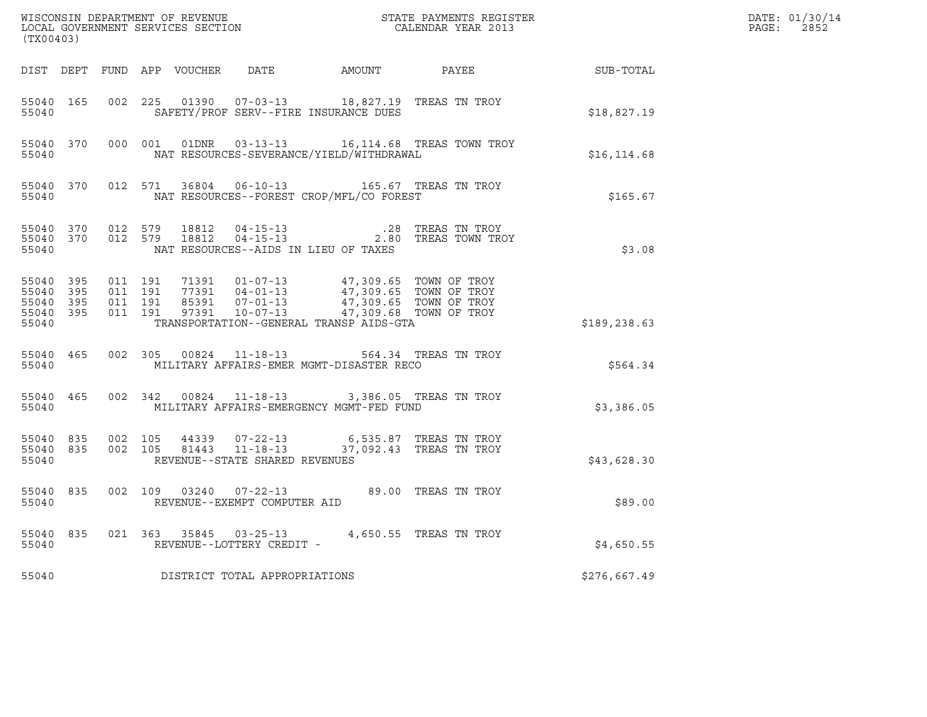| (TX00403) |                                                          |  |                                |                                                                                                                                                                                                                                             | $\tt WISCONSIM DEPARTMENT OF REVENUE$ $\tt TOCALEDDAR YEAR$ 2013 $\tt LOCALEDDAR YEAR$ 2013 |              | DATE: 01/30/14<br>PAGE: 2852 |
|-----------|----------------------------------------------------------|--|--------------------------------|---------------------------------------------------------------------------------------------------------------------------------------------------------------------------------------------------------------------------------------------|---------------------------------------------------------------------------------------------|--------------|------------------------------|
|           |                                                          |  |                                |                                                                                                                                                                                                                                             | DIST DEPT FUND APP VOUCHER DATE AMOUNT PAYEE SUB-TOTAL                                      |              |                              |
| 55040     | 55040 165                                                |  |                                | 002 225 01390 07-03-13 18,827.19 TREAS TN TROY<br>SAFETY/PROF SERV--FIRE INSURANCE DUES                                                                                                                                                     |                                                                                             | \$18,827.19  |                              |
|           | 55040                                                    |  |                                | 55040 370 000 001 01DNR 03-13-13 16,114.68 TREAS TOWN TROY<br>NAT RESOURCES-SEVERANCE/YIELD/WITHDRAWAL                                                                                                                                      |                                                                                             | \$16, 114.68 |                              |
|           | 55040                                                    |  |                                | 55040 370 012 571 36804 06-10-13 165.67 TREAS TN TROY<br>NAT RESOURCES--FOREST CROP/MFL/CO FOREST                                                                                                                                           |                                                                                             | \$165.67     |                              |
| 55040     |                                                          |  |                                | NAT RESOURCES--AIDS IN LIEU OF TAXES                                                                                                                                                                                                        |                                                                                             | \$3.08       |                              |
| 55040     | 55040 395<br>55040 395<br>55040 395 011 191<br>55040 395 |  |                                | 011 191 71391 01-07-13 47,309.65 TOWN OF TROY<br>011 191 77391 04-01-13 47,309.65 TOWN OF TROY<br>011 191 85391 07-01-13 47,309.65 TOWN OF TROY<br>011 191 97391 10-07-13 47,309.68 TOWN OF TROY<br>TRANSPORTATION--GENERAL TRANSP AIDS-GTA |                                                                                             | \$189,238.63 |                              |
|           | 55040 465<br>55040                                       |  |                                | 002 305 00824 11-18-13 564.34 TREAS TN TROY<br>MILITARY AFFAIRS-EMER MGMT-DISASTER RECO                                                                                                                                                     |                                                                                             | \$564.34     |                              |
| 55040     |                                                          |  |                                | 55040 465 002 342 00824 11-18-13 3,386.05 TREAS TN TROY<br>MILITARY AFFAIRS-EMERGENCY MGMT-FED FUND                                                                                                                                         |                                                                                             | \$3,386.05   |                              |
| 55040     | 55040 835 002 105<br>55040 835                           |  | REVENUE--STATE SHARED REVENUES | 002 105 44339 07-22-13 6,535.87 TREAS TN TROY<br>002 105 81443 11-18-13 37,092.43 TREAS TN TROY                                                                                                                                             |                                                                                             | \$43,628.30  |                              |
|           | 55040 835<br>55040                                       |  |                                | 002 109 03240 07-22-13 89.00 TREAS TN TROY<br>REVENUE--EXEMPT COMPUTER AID                                                                                                                                                                  |                                                                                             | \$89.00      |                              |
|           | 55040                                                    |  | REVENUE--LOTTERY CREDIT -      | 55040 835 021 363 35845 03-25-13 4,650.55 TREAS TN TROY                                                                                                                                                                                     |                                                                                             | \$4,650.55   |                              |
| 55040     |                                                          |  | DISTRICT TOTAL APPROPRIATIONS  |                                                                                                                                                                                                                                             |                                                                                             | \$276,667.49 |                              |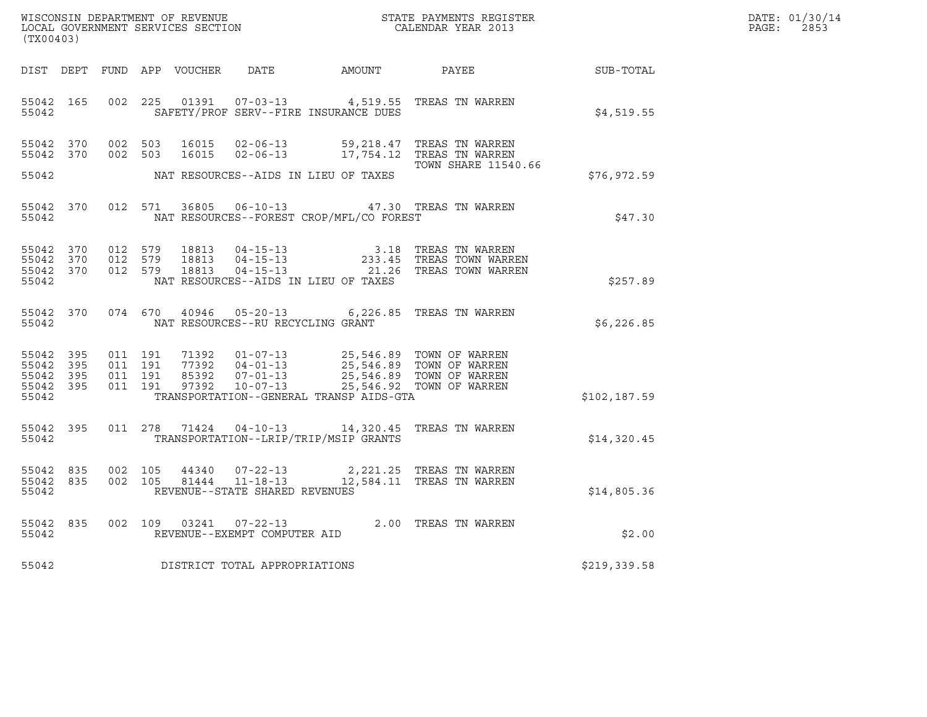| WISCONSIN DEPARTMENT OF REVENUE<br>LOCAL GOVERNMENT SERVICES SECTION<br>$(mv \cap A \cap 2)$ | STATE PAYMENTS REGISTER<br>CALENDAR YEAR 2013 | DATE: 01/30/14<br>2853<br>PAGE: |
|----------------------------------------------------------------------------------------------|-----------------------------------------------|---------------------------------|

| (TX00403)                                                                                         | WISCONSIN DEPARTMENT OF REVENUE<br>STATE PAYMENTS REGISTER<br>LOCAL GOVERNMENT SERVICES SECTION<br>CALENDAR YEAR 2013                                                           |                                                                                                                 |              |  |  |  |  |  |
|---------------------------------------------------------------------------------------------------|---------------------------------------------------------------------------------------------------------------------------------------------------------------------------------|-----------------------------------------------------------------------------------------------------------------|--------------|--|--|--|--|--|
| DIST DEPT                                                                                         | FUND APP<br>VOUCHER<br>DATE                                                                                                                                                     | AMOUNT<br>PAYEE                                                                                                 | SUB-TOTAL    |  |  |  |  |  |
| 002<br>55042<br>165<br>55042                                                                      | 225<br>01391<br>$07 - 03 - 13$<br>SAFETY/PROF SERV--FIRE INSURANCE DUES                                                                                                         | TREAS TN WARREN<br>4,519.55                                                                                     | \$4,519.55   |  |  |  |  |  |
| 370<br>002<br>55042<br>55042<br>370<br>002                                                        | 503<br>16015<br>$02 - 06 - 13$<br>503<br>16015<br>$02 - 06 - 13$                                                                                                                | 59,218.47<br>TREAS TN WARREN<br>17,754.12<br>TREAS TN WARREN<br><b>TOWN SHARE 11540.66</b>                      |              |  |  |  |  |  |
| 55042                                                                                             | NAT RESOURCES--AIDS IN LIEU OF TAXES                                                                                                                                            |                                                                                                                 | \$76,972.59  |  |  |  |  |  |
| 55042<br>370<br>012<br>55042                                                                      | 36805<br>571<br>$06 - 10 - 13$<br>NAT RESOURCES--FOREST CROP/MFL/CO FOREST                                                                                                      | 47.30 TREAS TN WARREN                                                                                           | \$47.30      |  |  |  |  |  |
| 55042<br>370<br>012<br>370<br>012<br>55042<br>012<br>55042<br>370<br>55042                        | 579<br>18813<br>$04 - 15 - 13$<br>579<br>18813<br>$04 - 15 - 13$<br>579<br>$04 - 15 - 13$<br>18813<br>NAT RESOURCES--AIDS IN LIEU OF TAXES                                      | TREAS TN WARREN<br>3.18<br>233.45<br>TREAS TOWN WARREN<br>21.26<br>TREAS TOWN WARREN                            | \$257.89     |  |  |  |  |  |
| 370<br>074<br>55042<br>55042                                                                      | 670<br>40946<br>$05 - 20 - 13$<br>NAT RESOURCES--RU RECYCLING GRANT                                                                                                             | TREAS TN WARREN<br>6,226.85                                                                                     | \$6,226.85   |  |  |  |  |  |
| 55042<br>395<br>011<br>55042<br>395<br>011<br>55042<br>395<br>011<br>55042<br>395<br>011<br>55042 | 191<br>71392<br>$01 - 07 - 13$<br>191<br>77392<br>$04 - 01 - 13$<br>191<br>85392<br>$07 - 01 - 13$<br>191<br>97392<br>$10 - 07 - 13$<br>TRANSPORTATION--GENERAL TRANSP AIDS-GTA | 25,546.89 TOWN OF WARREN<br>25,546.89 TOWN OF WARREN<br>25,546.89 TOWN OF WARREN<br>25,546.92<br>TOWN OF WARREN | \$102,187.59 |  |  |  |  |  |
| 55042<br>395<br>011<br>55042                                                                      | 278<br>71424<br>$04 - 10 - 13$<br>TRANSPORTATION--LRIP/TRIP/MSIP GRANTS                                                                                                         | 14,320.45<br>TREAS TN WARREN                                                                                    | \$14,320.45  |  |  |  |  |  |
| 835<br>002<br>55042<br>835<br>002<br>55042<br>55042                                               | 105<br>44340<br>$07 - 22 - 13$<br>105<br>81444<br>$11 - 18 - 13$<br>REVENUE--STATE SHARED REVENUES                                                                              | 2,221.25<br>TREAS TN WARREN<br>TREAS TN WARREN<br>12,584.11                                                     | \$14,805.36  |  |  |  |  |  |
| 835<br>002<br>55042<br>55042                                                                      | 109<br>03241<br>$07 - 22 - 13$<br>REVENUE--EXEMPT COMPUTER AID                                                                                                                  | 2.00 TREAS TN WARREN                                                                                            | \$2.00       |  |  |  |  |  |
| 55042                                                                                             | DISTRICT TOTAL APPROPRIATIONS                                                                                                                                                   |                                                                                                                 | \$219,339.58 |  |  |  |  |  |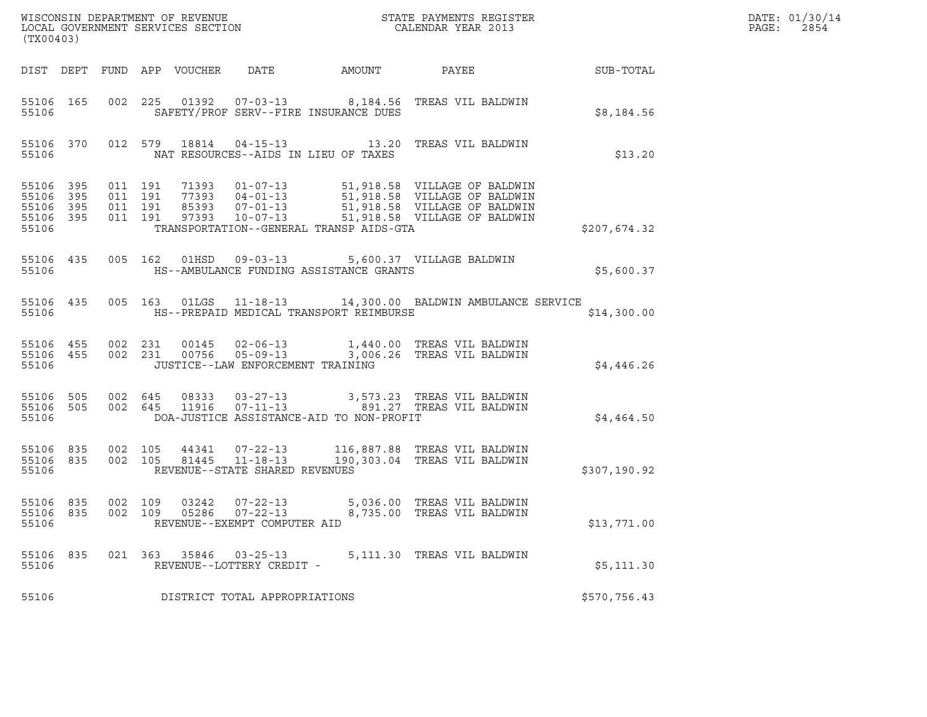| (TX00403)                                             |           |                                          |                            |                                                                                  |                                          |                                                                                                                                                                                                                                         |              | DATE: 01/30/14<br>PAGE:<br>2854 |
|-------------------------------------------------------|-----------|------------------------------------------|----------------------------|----------------------------------------------------------------------------------|------------------------------------------|-----------------------------------------------------------------------------------------------------------------------------------------------------------------------------------------------------------------------------------------|--------------|---------------------------------|
|                                                       |           |                                          | DIST DEPT FUND APP VOUCHER |                                                                                  | DATE AMOUNT                              | PAYEE                                                                                                                                                                                                                                   | SUB-TOTAL    |                                 |
| 55106                                                 | 55106 165 |                                          |                            |                                                                                  | SAFETY/PROF SERV--FIRE INSURANCE DUES    | 002 225 01392 07-03-13 8,184.56 TREAS VIL BALDWIN                                                                                                                                                                                       | \$8,184.56   |                                 |
| 55106                                                 |           |                                          |                            |                                                                                  | NAT RESOURCES--AIDS IN LIEU OF TAXES     | 55106 370 012 579 18814 04-15-13 13.20 TREAS VIL BALDWIN                                                                                                                                                                                | \$13.20      |                                 |
| 55106 395<br>55106<br>55106 395<br>55106 395<br>55106 | 395       | 011 191<br>011 191<br>011 191<br>011 191 |                            |                                                                                  | TRANSPORTATION--GENERAL TRANSP AIDS-GTA  | 71393     01-07-13     51,918.58     VILLAGE OF BALDWIN<br>77393     04-01-13     51,918.58     VILLAGE OF BALDWIN<br>85393     07-01-13     51,918.58     VILLAGE OF BALDWIN<br>97393     10-07-13     51,918.58     VILLAGE OF BALDWI | \$207,674.32 |                                 |
| 55106 435<br>55106                                    |           |                                          |                            |                                                                                  | HS--AMBULANCE FUNDING ASSISTANCE GRANTS  | 005 162 01HSD 09-03-13 5,600.37 VILLAGE BALDWIN                                                                                                                                                                                         | \$5,600.37   |                                 |
| 55106 435<br>55106                                    |           |                                          |                            |                                                                                  | HS--PREPAID MEDICAL TRANSPORT REIMBURSE  | 005 163 01LGS 11-18-13 14,300.00 BALDWIN AMBULANCE SERVICE                                                                                                                                                                              | \$14,300.00  |                                 |
| 55106 455<br>55106                                    | 55106 455 |                                          |                            | JUSTICE--LAW ENFORCEMENT TRAINING                                                |                                          | 002 231 00145 02-06-13 1,440.00 TREAS VIL BALDWIN<br>002 231 00756 05-09-13 3,006.26 TREAS VIL BALDWIN                                                                                                                                  | \$4,446.26   |                                 |
| 55106 505<br>55106                                    |           | 55106 505 002 645                        |                            |                                                                                  | DOA-JUSTICE ASSISTANCE-AID TO NON-PROFIT | 002 645 08333 03-27-13 3,573.23 TREAS VIL BALDWIN<br>002 645 11916 07-11-13 891.27 TREAS VIL BALDWIN                                                                                                                                    | \$4,464.50   |                                 |
| 55106 835<br>55106                                    | 55106 835 | 002 105<br>002 105                       |                            | 81445 11-18-13<br>REVENUE--STATE SHARED REVENUES                                 |                                          | 44341  07-22-13  116,887.88  TREAS VIL BALDWIN<br>190,303.04 TREAS VIL BALDWIN                                                                                                                                                          | \$307,190.92 |                                 |
| 55106 835<br>55106 835<br>55106                       |           |                                          |                            | 002 109 03242 07-22-13<br>002 109 05286 07-22-13<br>REVENUE--EXEMPT COMPUTER AID |                                          | 5,036.00 TREAS VIL BALDWIN<br>8,735.00 TREAS VIL BALDWIN                                                                                                                                                                                | \$13,771.00  |                                 |
| 55106 835<br>55106                                    |           |                                          |                            | 021 363 35846 03-25-13<br>REVENUE--LOTTERY CREDIT -                              |                                          | 5,111.30 TREAS VIL BALDWIN                                                                                                                                                                                                              | \$5,111.30   |                                 |
| 55106                                                 |           |                                          |                            | DISTRICT TOTAL APPROPRIATIONS                                                    |                                          |                                                                                                                                                                                                                                         | \$570,756.43 |                                 |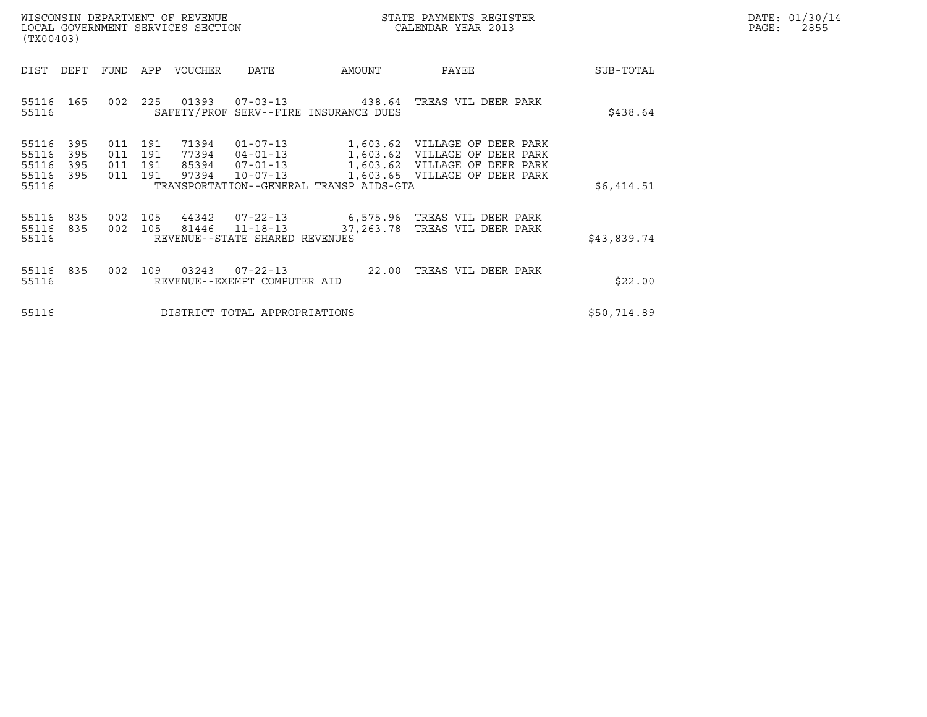|       | DATE: 01/30/14 |
|-------|----------------|
| PAGE: | 2855           |

| WISCONSIN DEPARTMENT OF REVENUE<br>LOCAL GOVERNMENT SERVICES SECTION<br>(TX00403)                                                            |                                                                                                                                                                 | STATE PAYMENTS REGISTER<br>CALENDAR YEAR 2013                  | DATE: 01/30/14<br>$\mathtt{PAGE}$ :<br>2855 |
|----------------------------------------------------------------------------------------------------------------------------------------------|-----------------------------------------------------------------------------------------------------------------------------------------------------------------|----------------------------------------------------------------|---------------------------------------------|
| DIST<br>DEPT<br>FUND APP VOUCHER DATE                                                                                                        | AMOUNT                                                                                                                                                          | PAYEE                                                          | SUB-TOTAL                                   |
| 55116 165<br>002<br>55116                                                                                                                    | 225  01393  07-03-13  438.64  TREAS VIL DEER PARK<br>SAFETY/PROF SERV--FIRE INSURANCE DUES                                                                      |                                                                | \$438.64                                    |
| 71394<br>55116<br>395<br>011 191<br>55116<br>395<br>011 191<br>77394<br>55116<br>395<br>011<br>191<br>97394<br>55116 395<br>011 191<br>55116 | 01-07-13 1,603.62 VILLAGE OF DEER PARK<br>04-01-13 1,603.62 VILLAGE OF DEER PARK<br>85394 07-01-13<br>$10 - 07 - 13$<br>TRANSPORTATION--GENERAL TRANSP AIDS-GTA | 1,603.62 VILLAGE OF DEER PARK<br>1,603.65 VILLAGE OF DEER PARK | \$6,414.51                                  |
| 55116 835<br>55116 835<br>55116                                                                                                              | 002 105 44342 07-22-13 6,575.96 TREAS VIL DEER PARK<br>002 105 81446 11-18-13<br>37,263.78<br>REVENUE--STATE SHARED REVENUES                                    | TREAS VIL DEER PARK                                            | \$43,839.74                                 |
| 002 109 03243<br>55116<br>835<br>55116                                                                                                       | REVENUE--EXEMPT COMPUTER AID                                                                                                                                    |                                                                | \$22.00                                     |
| 55116                                                                                                                                        | DISTRICT TOTAL APPROPRIATIONS                                                                                                                                   |                                                                | \$50,714.89                                 |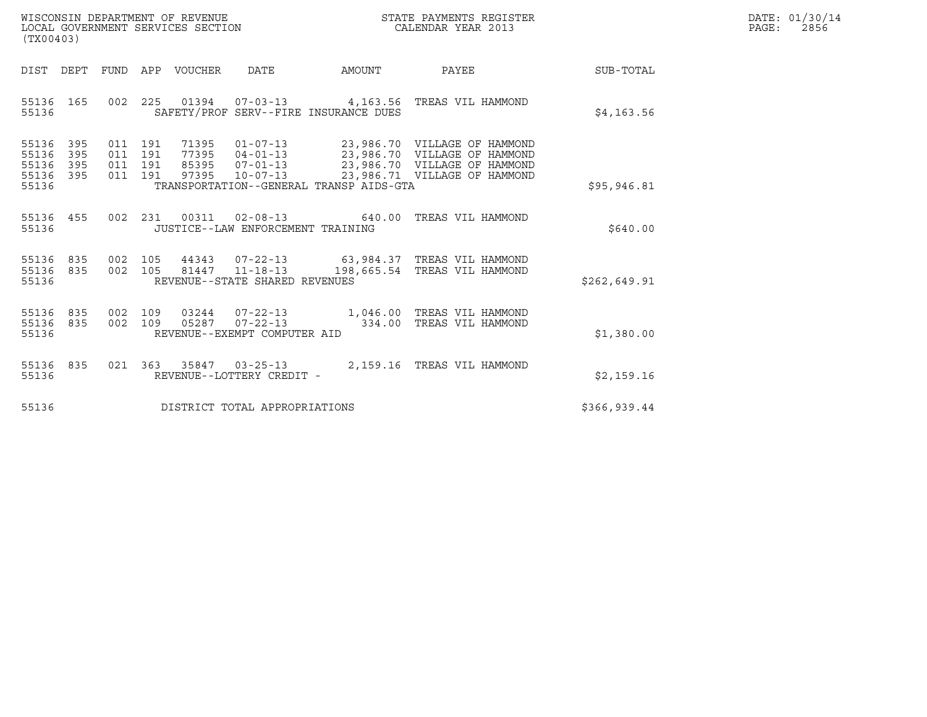| WISCONSIN DEPARTMENT OF REVENUE   | STATE PAYMENTS REGISTER | DATE: 01/30/14 |
|-----------------------------------|-------------------------|----------------|
| LOCAL GOVERNMENT SERVICES SECTION | CALENDAR YEAR 2013      | 2856<br>PAGE:  |

| (TX00403)                                                 | WISCONSIN DEPARTMENT OF REVENUE<br>LOCAL GOVERNMENT SERVICES SECTION |  |  |                                   |                                         | STATE PAYMENTS REGISTER<br>CALENDAR YEAR 2013                                                                                                                                                                    |              | DATE: 01/30/14<br>$\mathtt{PAGE}$ :<br>2856 |
|-----------------------------------------------------------|----------------------------------------------------------------------|--|--|-----------------------------------|-----------------------------------------|------------------------------------------------------------------------------------------------------------------------------------------------------------------------------------------------------------------|--------------|---------------------------------------------|
|                                                           |                                                                      |  |  |                                   | DIST DEPT FUND APP VOUCHER DATE AMOUNT  | <b>PAYEE</b>                                                                                                                                                                                                     | SUB-TOTAL    |                                             |
| 55136 165<br>55136                                        |                                                                      |  |  |                                   | SAFETY/PROF SERV--FIRE INSURANCE DUES   | 002  225  01394  07-03-13  4,163.56  TREAS VIL HAMMOND                                                                                                                                                           | \$4,163.56   |                                             |
| 55136 395<br>55136 395<br>55136 395<br>55136 395<br>55136 |                                                                      |  |  |                                   | TRANSPORTATION--GENERAL TRANSP AIDS-GTA | 011 191 71395 01-07-13 23,986.70 VILLAGEOFHAMMOND<br>011 191 77395 04-01-13 23,986.70 VILLAGEOFHAMMOND<br>011 191 85395 07-01-13 23,986.70 VILLAGEOFHAMMOND<br>011 191 97395 10-07-13 23,986.71 VILLAGEOFHAMMOND | \$95,946.81  |                                             |
| 55136                                                     |                                                                      |  |  | JUSTICE--LAW ENFORCEMENT TRAINING |                                         | 55136 455 002 231 00311 02-08-13 640.00 TREAS VIL HAMMOND                                                                                                                                                        | \$640.00     |                                             |
| 55136 835<br>55136 835<br>55136                           |                                                                      |  |  | REVENUE--STATE SHARED REVENUES    |                                         | 002 105 44343 07-22-13 63,984.37 TREAS VIL HAMMOND<br>002 105 81447 11-18-13 198,665.54 TREAS VIL HAMMOND                                                                                                        | \$262,649.91 |                                             |
| 55136 835<br>55136 835<br>55136                           |                                                                      |  |  | REVENUE--EXEMPT COMPUTER AID      |                                         | 002 109 03244 07-22-13 1,046.00 TREAS VIL HAMMOND<br>002 109 05287 07-22-13 334.00 TREAS VIL HAMMOND                                                                                                             | \$1,380.00   |                                             |
| 55136 835<br>55136                                        |                                                                      |  |  | REVENUE--LOTTERY CREDIT -         |                                         | 021 363 35847 03-25-13 2,159.16 TREAS VIL HAMMOND                                                                                                                                                                | \$2,159.16   |                                             |
| 55136                                                     |                                                                      |  |  | DISTRICT TOTAL APPROPRIATIONS     |                                         |                                                                                                                                                                                                                  | \$366,939.44 |                                             |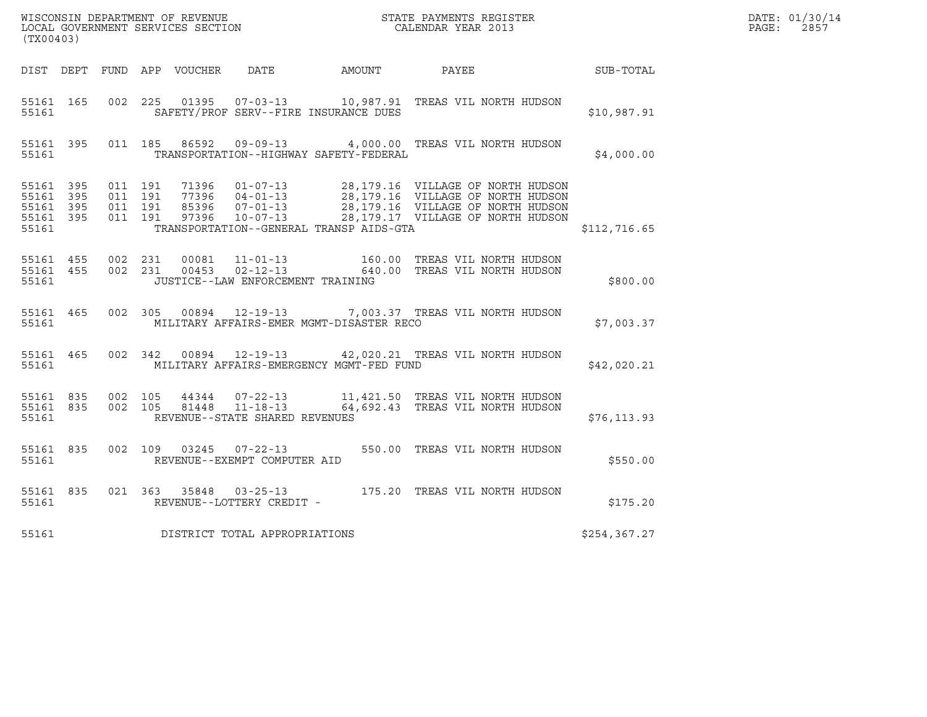| (TX00403)                                                 |  |                                          |  |               |                                                                       |                                              |                                                                                                                    |               | DATE: 01/30/14<br>PAGE:<br>2857 |
|-----------------------------------------------------------|--|------------------------------------------|--|---------------|-----------------------------------------------------------------------|----------------------------------------------|--------------------------------------------------------------------------------------------------------------------|---------------|---------------------------------|
|                                                           |  |                                          |  |               |                                                                       | DIST DEPT FUND APP VOUCHER DATE AMOUNT PAYEE |                                                                                                                    | SUB-TOTAL     |                                 |
| 55161 165<br>55161                                        |  |                                          |  | 002 225 01395 |                                                                       | SAFETY/PROF SERV--FIRE INSURANCE DUES        | 07-03-13 10,987.91 TREAS VIL NORTH HUDSON                                                                          | \$10,987.91   |                                 |
| 55161 395<br>55161                                        |  |                                          |  |               |                                                                       | TRANSPORTATION--HIGHWAY SAFETY-FEDERAL       | 011 185 86592 09-09-13 4,000.00 TREAS VIL NORTH HUDSON                                                             | \$4,000.00    |                                 |
| 55161 395<br>55161 395<br>55161 395<br>55161 395<br>55161 |  | 011 191<br>011 191<br>011 191<br>011 191 |  |               |                                                                       | TRANSPORTATION--GENERAL TRANSP AIDS-GTA      |                                                                                                                    | \$112,716.65  |                                 |
| 55161 455 002 231<br>55161 455<br>55161                   |  | 002 231                                  |  |               | 00081 11-01-13<br>00453 02-12-13<br>JUSTICE--LAW ENFORCEMENT TRAINING |                                              | 160.00 TREAS VIL NORTH HUDSON<br>640.00 TREAS VIL NORTH HUDSON                                                     | \$800.00      |                                 |
| 55161 465<br>55161                                        |  |                                          |  |               |                                                                       | MILITARY AFFAIRS-EMER MGMT-DISASTER RECO     | 002 305 00894 12-19-13 7,003.37 TREAS VIL NORTH HUDSON                                                             | \$7,003.37    |                                 |
| 55161 465<br>55161                                        |  |                                          |  |               |                                                                       | MILITARY AFFAIRS-EMERGENCY MGMT-FED FUND     | 002 342 00894 12-19-13 42,020.21 TREAS VIL NORTH HUDSON                                                            | \$42,020.21   |                                 |
| 55161 835<br>55161                                        |  | 55161 835 002 105                        |  |               | REVENUE--STATE SHARED REVENUES                                        |                                              | 002 105 44344 07-22-13 11,421.50 TREAS VIL NORTH HUDSON<br>002 105 81448 11-18-13 64,692.43 TREAS VIL NORTH HUDSON | \$76, 113.93  |                                 |
| 55161 835<br>55161                                        |  |                                          |  |               | REVENUE--EXEMPT COMPUTER AID                                          |                                              | 002  109  03245  07-22-13  550.00  TREAS VIL NORTH HUDSON                                                          | \$550.00      |                                 |
| 55161 835<br>55161                                        |  |                                          |  |               | REVENUE--LOTTERY CREDIT -                                             |                                              | 021 363 35848 03-25-13 175.20 TREAS VIL NORTH HUDSON                                                               | \$175.20      |                                 |
| 55161                                                     |  |                                          |  |               | DISTRICT TOTAL APPROPRIATIONS                                         |                                              |                                                                                                                    | \$254, 367.27 |                                 |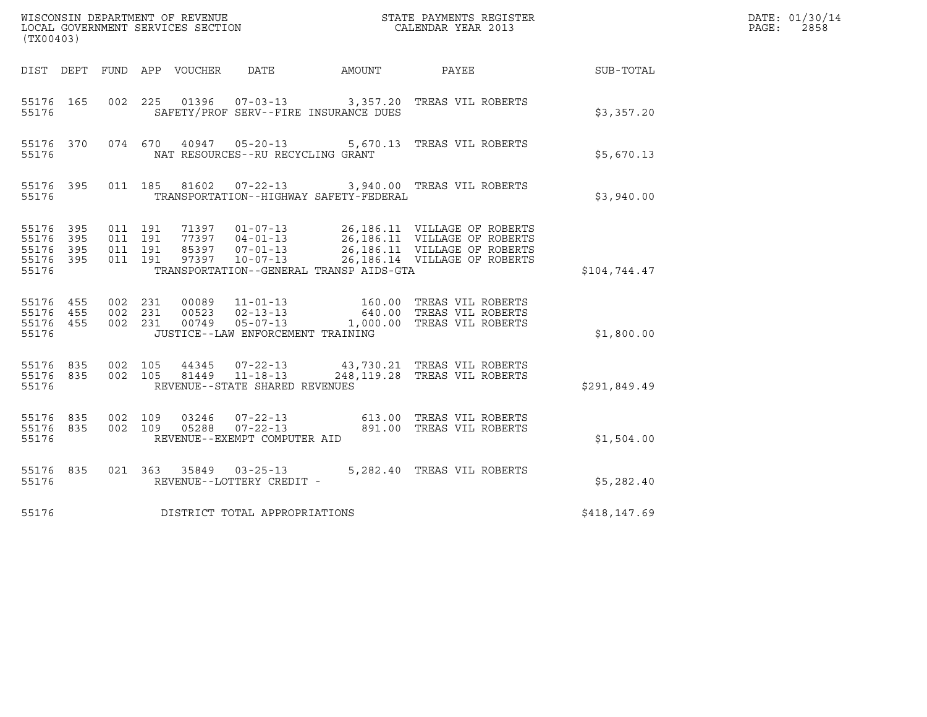| (TX00403)                                     |                        |                                          |         |       |                                                  |                                         | ${\tt WISCOONSIM\ DEPARTMENT\ OF\ REVENUE}\qquad \qquad {\tt STATE\ PAYMENTS\ REGISTER\ LOCAL\ GOVERNMENT\ SERVICES\ SECTION\qquad \qquad {\tt CALENDAR\ YEAR\ 2013}$ |              | DATE: 01/30/14<br>$\mathtt{PAGE}$ :<br>2858 |
|-----------------------------------------------|------------------------|------------------------------------------|---------|-------|--------------------------------------------------|-----------------------------------------|-----------------------------------------------------------------------------------------------------------------------------------------------------------------------|--------------|---------------------------------------------|
|                                               |                        |                                          |         |       |                                                  |                                         | DIST DEPT FUND APP VOUCHER DATE AMOUNT PAYEE                                                                                                                          | SUB-TOTAL    |                                             |
| 55176 165<br>55176                            |                        |                                          |         |       |                                                  | SAFETY/PROF SERV--FIRE INSURANCE DUES   | 002  225  01396  07-03-13  3,357.20 TREAS VIL ROBERTS                                                                                                                 | \$3,357.20   |                                             |
| 55176                                         |                        |                                          |         |       | NAT RESOURCES--RU RECYCLING GRANT                |                                         | 55176 370 074 670 40947 05-20-13 5,670.13 TREAS VIL ROBERTS                                                                                                           | \$5,670.13   |                                             |
| 55176                                         |                        |                                          |         |       |                                                  | TRANSPORTATION--HIGHWAY SAFETY-FEDERAL  | 55176 395 011 185 81602 07-22-13 3,940.00 TREAS VIL ROBERTS                                                                                                           | \$3,940.00   |                                             |
| 55176 395<br>55176<br>55176<br>55176<br>55176 | 395<br>395<br>395      | 011 191<br>011 191<br>011 191<br>011 191 |         |       |                                                  | TRANSPORTATION--GENERAL TRANSP AIDS-GTA |                                                                                                                                                                       | \$104,744.47 |                                             |
| 55176 455<br>55176 455<br>55176 455<br>55176  |                        | 002 231<br>002 231                       | 002 231 |       | JUSTICE--LAW ENFORCEMENT TRAINING                |                                         | 00089   11-01-13   160.00 TREAS VIL ROBERTS<br>00523   02-13-13   640.00 TREAS VIL ROBERTS<br>00749   05-07-13   1,000.00 TREAS VIL ROBERTS                           | \$1,800.00   |                                             |
| 55176                                         | 55176 835<br>55176 835 | 002 105                                  | 002 105 | 44345 | 81449 11-18-13<br>REVENUE--STATE SHARED REVENUES |                                         | 07-22-13 43,730.21 TREAS VIL ROBERTS<br>248, 119.28 TREAS VIL ROBERTS                                                                                                 | \$291,849.49 |                                             |
| 55176 835<br>55176 835<br>55176               |                        | 002 109<br>002 109                       |         | 05288 | $07 - 22 - 13$<br>REVENUE--EXEMPT COMPUTER AID   |                                         | 03246  07-22-13  613.00 TREAS VIL ROBERTS<br>891.00 TREAS VIL ROBERTS                                                                                                 | \$1,504.00   |                                             |
| 55176                                         | 55176 835              |                                          |         |       | REVENUE--LOTTERY CREDIT -                        |                                         | 021 363 35849 03-25-13 5,282.40 TREAS VIL ROBERTS                                                                                                                     | \$5,282.40   |                                             |
| 55176                                         |                        |                                          |         |       | DISTRICT TOTAL APPROPRIATIONS                    |                                         |                                                                                                                                                                       | \$418,147.69 |                                             |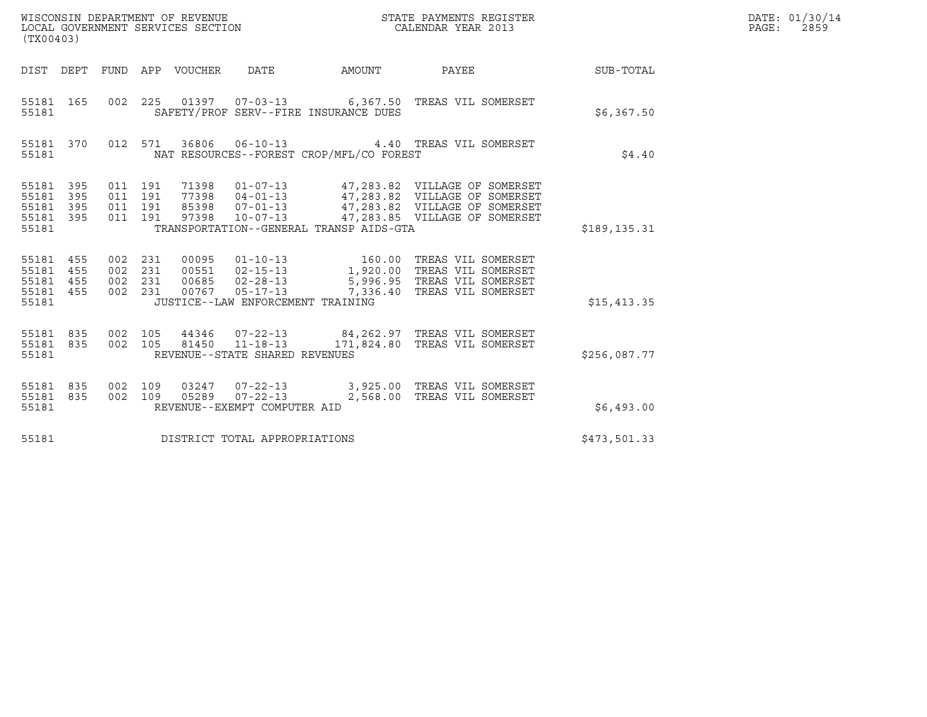| (TX00403)                                                 |                   |                               |         |                                 |                                |                                          |                                                                                                                                                                                                          |               | DATE: 01/30/14<br>$\mathtt{PAGE:}$<br>2859 |
|-----------------------------------------------------------|-------------------|-------------------------------|---------|---------------------------------|--------------------------------|------------------------------------------|----------------------------------------------------------------------------------------------------------------------------------------------------------------------------------------------------------|---------------|--------------------------------------------|
|                                                           |                   |                               |         | DIST DEPT FUND APP VOUCHER DATE |                                | AMOUNT                                   | <b>PAYEE</b>                                                                                                                                                                                             | SUB-TOTAL     |                                            |
| 55181                                                     | 55181 165         |                               |         |                                 |                                | SAFETY/PROF SERV--FIRE INSURANCE DUES    | 002  225  01397  07-03-13  6,367.50  TREAS VIL SOMERSET                                                                                                                                                  | \$6,367.50    |                                            |
| 55181                                                     | 55181 370         |                               | 012 571 |                                 |                                | NAT RESOURCES--FOREST CROP/MFL/CO FOREST | 36806  06-10-13  4.40  TREAS VIL SOMERSET                                                                                                                                                                | \$4.40        |                                            |
| 55181 395<br>55181 395<br>55181 395<br>55181 395<br>55181 |                   | 011 191<br>011 191<br>011 191 | 011 191 |                                 |                                | TRANSPORTATION--GENERAL TRANSP AIDS-GTA  | 71398  01-07-13  47,283.82  VILLAGE OF SOMERSET<br>77398  04-01-13  47,283.82  VILLAGE OF SOMERSET<br>85398  07-01-13  47,283.82  VILLAGE OF SOMERSET<br>97398  10-07-13  47,283.85  VILLAGE OF SOMERSET | \$189, 135.31 |                                            |
| 55181 455<br>55181 455<br>55181<br>55181 455<br>55181     | 455               | 002 231<br>002 231<br>002 231 | 002 231 |                                 |                                | JUSTICE--LAW ENFORCEMENT TRAINING        |                                                                                                                                                                                                          | \$15,413.35   |                                            |
| 55181 835<br>55181                                        | 55181 835 002 105 | 002 105                       |         |                                 | REVENUE--STATE SHARED REVENUES |                                          | 44346  07-22-13  84,262.97  TREAS VIL SOMERSET<br>81450  11-18-13  171,824.80  TREAS VIL SOMERSET                                                                                                        | \$256,087.77  |                                            |
| 55181 835<br>55181 835<br>55181                           |                   | 002 109<br>002 109            |         |                                 | REVENUE--EXEMPT COMPUTER AID   |                                          | 03247  07-22-13  3,925.00 TREAS VIL SOMERSET<br>2,568.00 TREAS VIL SOMERSET                                                                                                                              | \$6,493.00    |                                            |
| 55181                                                     |                   |                               |         |                                 | DISTRICT TOTAL APPROPRIATIONS  |                                          |                                                                                                                                                                                                          | \$473,501.33  |                                            |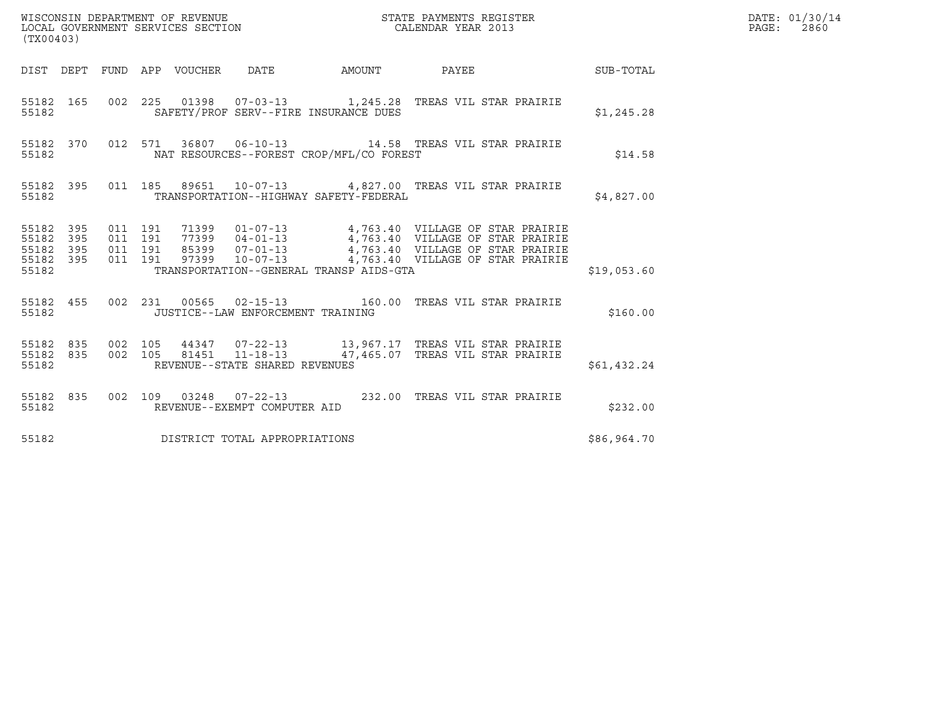| (TX00403) |       |  |                                   |                                              |                                                                                                                                                                                                                                        |             | DATE: 01/30/14<br>PAGE: 2860 |
|-----------|-------|--|-----------------------------------|----------------------------------------------|----------------------------------------------------------------------------------------------------------------------------------------------------------------------------------------------------------------------------------------|-------------|------------------------------|
|           |       |  |                                   |                                              | DIST DEPT FUND APP VOUCHER DATE AMOUNT PAYEE THE SUB-TOTAL                                                                                                                                                                             |             |                              |
| 55182     |       |  |                                   | SAFETY/PROF SERV--FIRE INSURANCE DUES        | 55182 165 002 225 01398 07-03-13 1,245.28 TREAS VIL STAR PRAIRIE                                                                                                                                                                       | \$1,245.28  |                              |
|           | 55182 |  |                                   | NAT RESOURCES--FOREST CROP/MFL/CO FOREST     | 55182 370 012 571 36807 06-10-13 14.58 TREAS VIL STAR PRAIRIE                                                                                                                                                                          | \$14.58     |                              |
|           |       |  |                                   | 55182 TRANSPORTATION--HIGHWAY SAFETY-FEDERAL | 55182 395 011 185 89651 10-07-13 4,827.00 TREAS VIL STAR PRAIRIE                                                                                                                                                                       | \$4,827.00  |                              |
| 55182     |       |  |                                   | TRANSPORTATION--GENERAL TRANSP AIDS-GTA      | 55182 395 011 191 71399 01-07-13 4,763.40 VILLAGE OF STAR PRAIRIE<br>55182 395 011 191 77399 04-01-13 4,763.40 VILLAGE OF STAR PRAIRIE<br>55182 395 011 191 85399 07-01-13 4,763.40 VILLAGE OF STAR PRAIRIE<br>55182 395 011 191 97399 | \$19,053.60 |                              |
|           | 55182 |  | JUSTICE--LAW ENFORCEMENT TRAINING |                                              | 55182 455 002 231 00565 02-15-13 160.00 TREAS VIL STAR PRAIRIE                                                                                                                                                                         | \$160.00    |                              |
| 55182     |       |  | REVENUE--STATE SHARED REVENUES    |                                              | 55182 835 002 105 44347 07-22-13 13,967.17 TREAS VIL STAR PRAIRIE<br>55182 835 002 105 81451 11-18-13 47,465.07 TREAS VIL STAR PRAIRIE                                                                                                 | \$61,432.24 |                              |
| 55182     |       |  | REVENUE--EXEMPT COMPUTER AID      |                                              | 55182 835 002 109 03248 07-22-13 232.00 TREAS VIL STAR PRAIRIE                                                                                                                                                                         | \$232.00    |                              |
| 55182     |       |  | DISTRICT TOTAL APPROPRIATIONS     |                                              |                                                                                                                                                                                                                                        | \$86,964.70 |                              |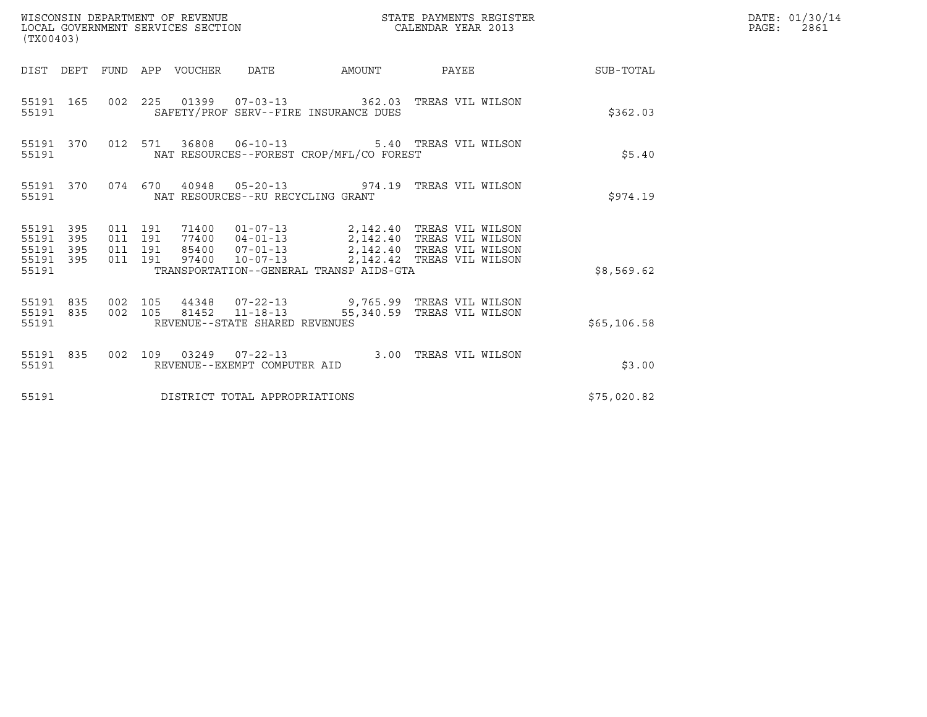| (TX00403)                                                    |                                          | WISCONSIN DEPARTMENT OF REVENUE<br>LOCAL GOVERNMENT SERVICES SECTION |                                       |                                                                                                                                                                                                                                              | STATE PAYMENTS REGISTER<br>CALENDAR YEAR 2013 |                        | DATE: 01/30/14<br>$\mathtt{PAGE:}$<br>2861 |
|--------------------------------------------------------------|------------------------------------------|----------------------------------------------------------------------|---------------------------------------|----------------------------------------------------------------------------------------------------------------------------------------------------------------------------------------------------------------------------------------------|-----------------------------------------------|------------------------|--------------------------------------------|
|                                                              |                                          | DIST DEPT FUND APP VOUCHER DATE                                      |                                       |                                                                                                                                                                                                                                              |                                               | AMOUNT PAYEE SUB-TOTAL |                                            |
| 55191 165<br>55191                                           |                                          |                                                                      | SAFETY/PROF SERV--FIRE INSURANCE DUES | 002 225 01399 07-03-13 362.03 TREAS VIL WILSON                                                                                                                                                                                               |                                               | \$362.03               |                                            |
| 55191 370<br>55191                                           |                                          |                                                                      |                                       | 012 571 36808 06-10-13 5.40 TREAS VIL WILSON<br>NAT RESOURCES--FOREST CROP/MFL/CO FOREST                                                                                                                                                     |                                               | \$5.40                 |                                            |
| 55191                                                        |                                          |                                                                      | NAT RESOURCES--RU RECYCLING GRANT     | 55191 370 074 670 40948 05-20-13 974.19 TREAS VIL WILSON                                                                                                                                                                                     |                                               | \$974.19               |                                            |
| 55191 395<br>55191<br>395<br>55191 395<br>55191 395<br>55191 | 011 191<br>011 191<br>011 191<br>011 191 |                                                                      |                                       | 71400   01-07-13   2,142.40 TREAS   VIL WILSON<br>77400   04-01-13   2,142.40 TREAS   VIL WILSON<br>85400   07-01-13   2,142.40 TREAS   VIL WILSON<br>97400  10-07-13  2,142.42  TREAS VIL WILSON<br>TRANSPORTATION--GENERAL TRANSP AIDS-GTA |                                               | \$8,569.62             |                                            |
| 55191                                                        |                                          |                                                                      | REVENUE--STATE SHARED REVENUES        | 55191 835 002 105 44348 07-22-13 9,765.99 TREAS VIL WILSON<br>55191 835 002 105 81452 11-18-13 55,340.59 TREAS VIL WILSON                                                                                                                    |                                               | \$65,106.58            |                                            |
| 55191                                                        |                                          |                                                                      | REVENUE--EXEMPT COMPUTER AID          | 55191 835 002 109 03249 07-22-13 3.00 TREAS VIL WILSON                                                                                                                                                                                       |                                               | \$3.00                 |                                            |
| 55191                                                        |                                          | DISTRICT TOTAL APPROPRIATIONS                                        |                                       |                                                                                                                                                                                                                                              |                                               | \$75,020.82            |                                            |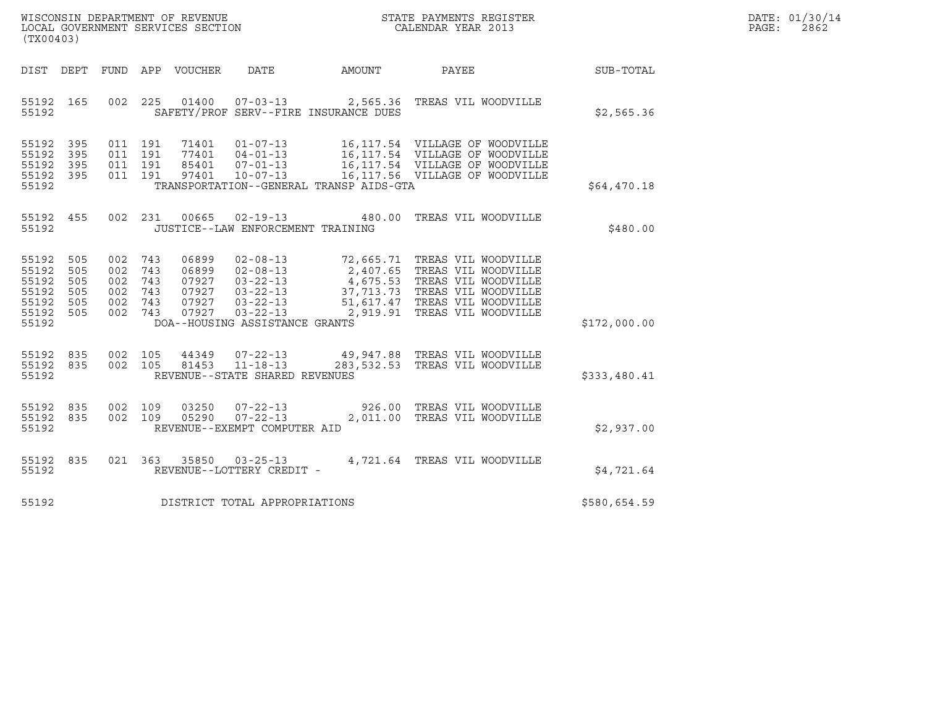| WISCONSIN DEPARTMENT OF REVENUE   | STATE PAYMENTS REGISTER | DATE: 01/30/14 |
|-----------------------------------|-------------------------|----------------|
| LOCAL GOVERNMENT SERVICES SECTION | CALENDAR YEAR 2013      | 2862<br>PAGE : |

| (TX00403)                                                                           |                                                                      | WISCONSIN DEPARTMENT OF REVENUE<br>LOCAL GOVERNMENT SERVICES SECTION CALENDAR YEAR 2013                                                                                                                                                                                  |                                                                                                                                                                                                              | $\mathbb{R}^n$ | DATE: 01/30/14<br>PAGE:<br>2862 |
|-------------------------------------------------------------------------------------|----------------------------------------------------------------------|--------------------------------------------------------------------------------------------------------------------------------------------------------------------------------------------------------------------------------------------------------------------------|--------------------------------------------------------------------------------------------------------------------------------------------------------------------------------------------------------------|----------------|---------------------------------|
|                                                                                     |                                                                      |                                                                                                                                                                                                                                                                          |                                                                                                                                                                                                              |                |                                 |
| 55192 165<br>55192                                                                  |                                                                      | 002 225 01400 07-03-13 2,565.36 TREAS VIL WOODVILLE<br>SAFETY/PROF SERV--FIRE INSURANCE DUES                                                                                                                                                                             |                                                                                                                                                                                                              | \$2,565.36     |                                 |
| 55192 395<br>55192 395<br>55192 395                                                 | 011 191<br>011 191<br>011 191<br>55192 395 011 191                   |                                                                                                                                                                                                                                                                          | 71401  01-07-13  16,117.54  VILLAGE OF WOODVILLE<br>77401  04-01-13  16,117.54  VILLAGE OF WOODVILLE<br>85401  07-01-13  16,117.54  VILLAGE OF WOODVILLE<br>97401  10-07-13  16,117.56  VILLAGE OF WOODVILLE |                |                                 |
| 55192                                                                               |                                                                      | TRANSPORTATION--GENERAL TRANSP AIDS-GTA                                                                                                                                                                                                                                  |                                                                                                                                                                                                              | \$64,470.18    |                                 |
|                                                                                     |                                                                      | 55192 455 002 231 00665 02-19-13 480.00 TREAS VIL WOODVILLE<br>55192 JUSTICE--LAW ENFORCEMENT TRAINING                                                                                                                                                                   |                                                                                                                                                                                                              | \$480.00       |                                 |
| 55192 505<br>55192 505<br>55192 505<br>55192 505<br>55192 505<br>55192 505<br>55192 | 002 743<br>002 743<br>002 743<br>002 743<br>002 743<br>002 743 07927 | 06899 02-08-13 72,665.71 TREAS VIL WOODVILLE<br>06899 02-08-13 2,407.65 TREAS VIL WOODVILLE<br>07927 03-22-13 4,675.53 TREAS VIL WOODVILLE<br>07927 03-22-13 37,713.73 TREAS VIL WOODVILLE<br>07927 03-22-13 51,617.47 TREAS VIL WOODV<br>DOA--HOUSING ASSISTANCE GRANTS |                                                                                                                                                                                                              | \$172,000.00   |                                 |
|                                                                                     |                                                                      |                                                                                                                                                                                                                                                                          |                                                                                                                                                                                                              |                |                                 |
| 55192                                                                               |                                                                      | 55192 835 002 105 44349 07-22-13 49,947.88 TREAS VIL WOODVILLE<br>55192 835 002 105 81453 11-18-13 283,532.53 TREAS VIL WOODVILLE<br>REVENUE--STATE SHARED REVENUES                                                                                                      |                                                                                                                                                                                                              | \$333,480.41   |                                 |
| 55192 835<br>55192 835<br>55192                                                     |                                                                      | 002 109 03250 07-22-13 926.00 TREAS VIL WOODVILLE<br>002 109 05290 07-22-13 2,011.00 TREAS VIL WOODVILLE<br>REVENUE--EXEMPT COMPUTER AID                                                                                                                                 |                                                                                                                                                                                                              | \$2,937.00     |                                 |
| 55192 835<br>55192                                                                  |                                                                      | 021 363 35850 03-25-13 4,721.64 TREAS VIL WOODVILLE<br>REVENUE--LOTTERY CREDIT -                                                                                                                                                                                         |                                                                                                                                                                                                              | \$4,721.64     |                                 |
|                                                                                     |                                                                      | 55192 DISTRICT TOTAL APPROPRIATIONS                                                                                                                                                                                                                                      |                                                                                                                                                                                                              | \$580,654.59   |                                 |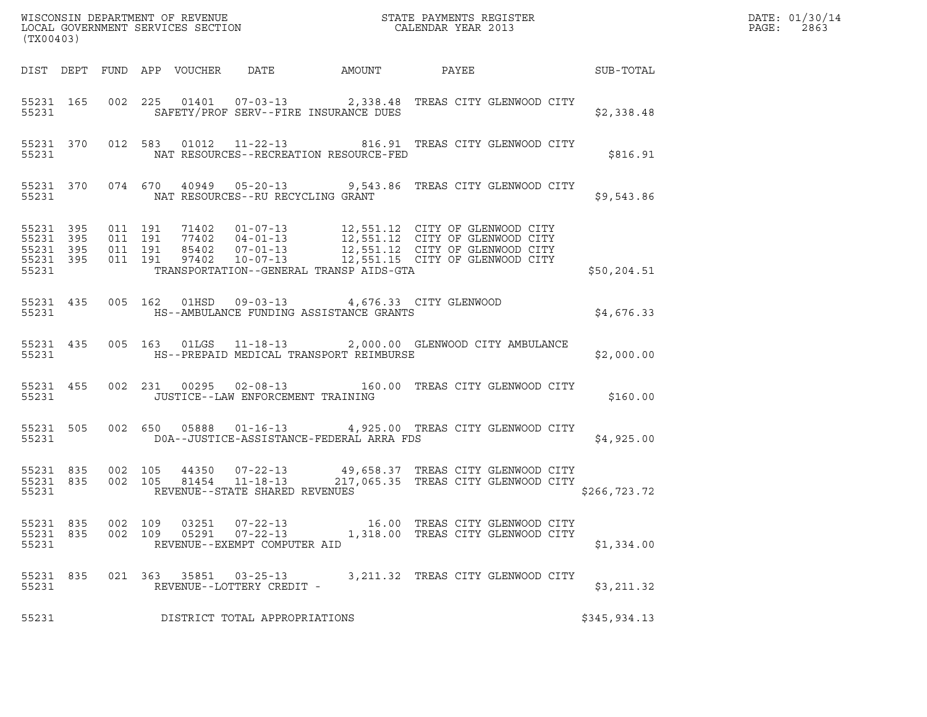|                                 | (TX00403) |                    |  |                |                                                |                                                                                                    |                                                                                                                                                                                                                                         |               | DATE: 01/30/14<br>$\mathtt{PAGE:}$<br>2863 |
|---------------------------------|-----------|--------------------|--|----------------|------------------------------------------------|----------------------------------------------------------------------------------------------------|-----------------------------------------------------------------------------------------------------------------------------------------------------------------------------------------------------------------------------------------|---------------|--------------------------------------------|
|                                 |           |                    |  |                |                                                |                                                                                                    | DIST DEPT FUND APP VOUCHER DATE AMOUNT PAYEE THE SUB-TOTAL                                                                                                                                                                              |               |                                            |
| 55231                           |           |                    |  |                |                                                | SAFETY/PROF SERV--FIRE INSURANCE DUES                                                              | 55231 165 002 225 01401 07-03-13 2,338.48 TREAS CITY GLENWOOD CITY                                                                                                                                                                      | \$2,338.48    |                                            |
| 55231                           |           |                    |  |                |                                                | NAT RESOURCES--RECREATION RESOURCE-FED                                                             | 55231 370 012 583 01012 11-22-13 816.91 TREAS CITY GLENWOOD CITY                                                                                                                                                                        | \$816.91      |                                            |
|                                 |           | 55231 200          |  |                | NAT RESOURCES--RU RECYCLING GRANT              |                                                                                                    | 55231 370 074 670 40949 05-20-13 9,543.86 TREAS CITY GLENWOOD CITY                                                                                                                                                                      | \$9,543.86    |                                            |
| 55231                           |           |                    |  |                |                                                | TRANSPORTATION--GENERAL TRANSP AIDS-GTA                                                            | 55231 395 011 191 71402 01-07-13 12,551.12 CITY OF GLENWOOD CITY<br>55231 395 011 191 77402 04-01-13 12,551.12 CITY OF GLENWOOD CITY<br>55231 395 011 191 85402 07-01-13 12,551.12 CITY OF GLENWOOD CITY<br>55231 395 011 191 97402 10- | \$50,204.51   |                                            |
| 55231                           |           |                    |  |                |                                                | 55231 435 005 162 01HSD 09-03-13 4,676.33 CITY GLENWOOD<br>HS--AMBULANCE FUNDING ASSISTANCE GRANTS |                                                                                                                                                                                                                                         | \$4,676.33    |                                            |
| 55231                           |           |                    |  |                |                                                | HS--PREPAID MEDICAL TRANSPORT REIMBURSE                                                            | 55231 435 005 163 01LGS 11-18-13 2,000.00 GLENWOOD CITY AMBULANCE                                                                                                                                                                       | \$2,000.00    |                                            |
| 55231 455<br>55231              |           |                    |  |                | JUSTICE--LAW ENFORCEMENT TRAINING              |                                                                                                    | 002 231 00295 02-08-13 160.00 TREAS CITY GLENWOOD CITY                                                                                                                                                                                  | \$160.00      |                                            |
| 55231                           | 55231 505 |                    |  |                |                                                | DOA--JUSTICE-ASSISTANCE-FEDERAL ARRA FDS                                                           | 002 650 05888 01-16-13 4,925.00 TREAS CITY GLENWOOD CITY                                                                                                                                                                                | \$4,925.00    |                                            |
| 55231                           |           |                    |  |                | REVENUE--STATE SHARED REVENUES                 |                                                                                                    | 55231 835 002 105 44350 07-22-13 49,658.37 TREAS CITY GLENWOOD CITY<br>55231 835 002 105 81454 11-18-13 217,065.35 TREAS CITY GLENWOOD CITY                                                                                             | \$266, 723.72 |                                            |
| 55231 835<br>55231 835<br>55231 |           | 002 109<br>002 109 |  | 03251<br>05291 | $07 - 22 - 13$<br>REVENUE--EXEMPT COMPUTER AID |                                                                                                    | 16.00 TREAS CITY GLENWOOD CITY<br>07-22-13 1,318.00 TREAS CITY GLENWOOD CITY                                                                                                                                                            | \$1,334.00    |                                            |
| 55231 835<br>55231              |           |                    |  |                | REVENUE--LOTTERY CREDIT -                      |                                                                                                    | 021 363 35851 03-25-13 3, 211.32 TREAS CITY GLENWOOD CITY                                                                                                                                                                               | \$3,211.32    |                                            |
| 55231                           |           |                    |  |                | DISTRICT TOTAL APPROPRIATIONS                  |                                                                                                    |                                                                                                                                                                                                                                         | \$345,934.13  |                                            |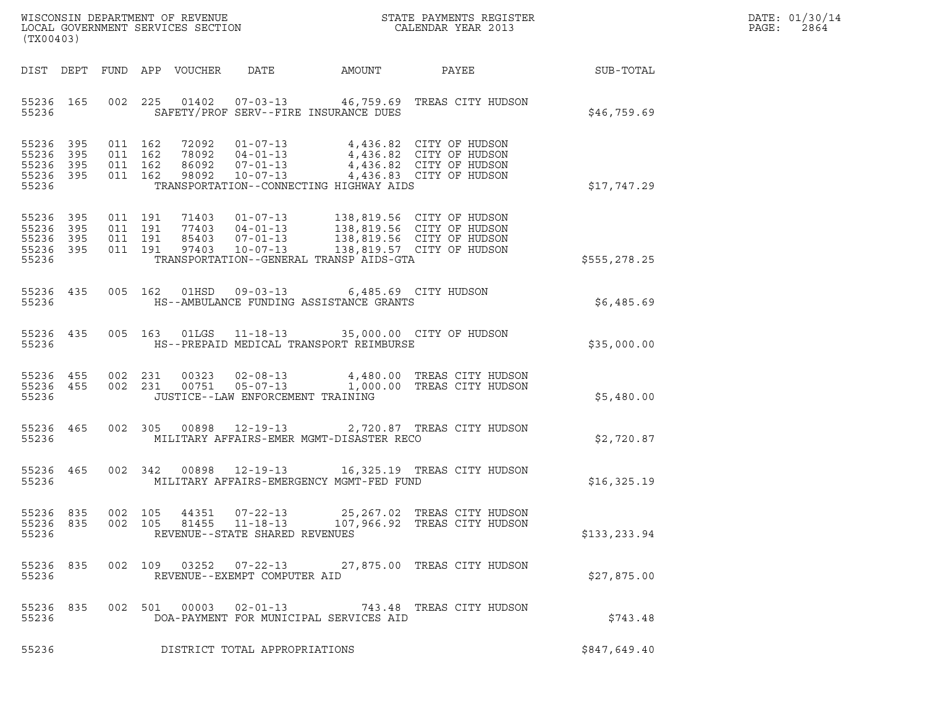|       | DATE: 01/30/14 |
|-------|----------------|
| PAGE: | 2864           |

| (TX00403)                                                 |                               |                                          |                            |                                                                    |                                                                                        |                                                                                                                                                                                          |              | DATE: 01/30/14<br>$\mathtt{PAGE:}$<br>2864 |
|-----------------------------------------------------------|-------------------------------|------------------------------------------|----------------------------|--------------------------------------------------------------------|----------------------------------------------------------------------------------------|------------------------------------------------------------------------------------------------------------------------------------------------------------------------------------------|--------------|--------------------------------------------|
|                                                           |                               |                                          | DIST DEPT FUND APP VOUCHER | DATE                                                               | AMOUNT                                                                                 | PAYEE                                                                                                                                                                                    | SUB-TOTAL    |                                            |
| 55236 165<br>55236                                        |                               |                                          |                            |                                                                    | SAFETY/PROF SERV--FIRE INSURANCE DUES                                                  | 002 225 01402 07-03-13 46,759.69 TREAS CITY HUDSON                                                                                                                                       | \$46,759.69  |                                            |
| 55236 395<br>55236<br>55236 395<br>55236 395<br>55236     | 395                           | 011 162<br>011 162<br>011 162<br>011 162 |                            |                                                                    | TRANSPORTATION--CONNECTING HIGHWAY AIDS                                                | 72092  01-07-13  4,436.82  CITY OF HUDSON<br>78092 04-01-13 4,436.82 CITY OF HUDSON<br>86092 07-01-13 4,436.82 CITY OF HUDSON<br>98092 10-07-13 4,436.83 CITY OF HUDSON                  | \$17,747.29  |                                            |
| 55236 395<br>55236 395<br>55236 395<br>55236 395<br>55236 |                               | 011 191<br>011 191<br>011 191<br>011 191 |                            |                                                                    | TRANSPORTATION--GENERAL TRANSP AIDS-GTA                                                | 71403  01-07-13  138,819.56  CITY OF HUDSON<br>77403  04-01-13  138,819.56  CITY OF HUDSON<br>85403  07-01-13  138,819.56  CITY OF HUDSON<br>97403  10-07-13  138,819.57  CITY OF HUDSON | \$555,278.25 |                                            |
| 55236 435<br>55236                                        |                               |                                          |                            |                                                                    | 005 162 01HSD 09-03-13 6,485.69 CITY HUDSON<br>HS--AMBULANCE FUNDING ASSISTANCE GRANTS |                                                                                                                                                                                          | \$6,485.69   |                                            |
| 55236 435<br>55236                                        |                               |                                          |                            |                                                                    | HS--PREPAID MEDICAL TRANSPORT REIMBURSE                                                | 005 163 01LGS 11-18-13 35,000.00 CITY OF HUDSON                                                                                                                                          | \$35,000.00  |                                            |
| 55236 455 002 231<br>55236 455<br>55236                   |                               | 002 231                                  | 00751                      | $05 - 07 - 13$<br>JUSTICE--LAW ENFORCEMENT TRAINING                |                                                                                        | 00323  02-08-13  4,480.00 TREAS CITY HUDSON<br>1,000.00 TREAS CITY HUDSON                                                                                                                | \$5,480.00   |                                            |
| 55236 465<br>55236                                        |                               | 002 305                                  |                            |                                                                    | MILITARY AFFAIRS-EMER MGMT-DISASTER RECO                                               | 00898  12-19-13  2,720.87 TREAS CITY HUDSON                                                                                                                                              | \$2,720.87   |                                            |
| 55236 465<br>55236                                        |                               |                                          |                            |                                                                    | MILITARY AFFAIRS-EMERGENCY MGMT-FED FUND                                               | 002 342 00898 12-19-13 16,325.19 TREAS CITY HUDSON                                                                                                                                       | \$16,325.19  |                                            |
| 55236 835<br>55236 835<br>55236                           |                               | 002 105<br>002 105                       | 44351                      | $07 - 22 - 13$<br>81455 11-18-13<br>REVENUE--STATE SHARED REVENUES |                                                                                        | 25,267.02   TREAS CITY HUDSON<br>107,966.92 TREAS CITY HUDSON                                                                                                                            | \$133,233.94 |                                            |
| 55236 835<br>55236                                        |                               |                                          | 002 109 03252 07-22-13     | REVENUE--EXEMPT COMPUTER AID                                       |                                                                                        | 27,875.00 TREAS CITY HUDSON                                                                                                                                                              | \$27,875.00  |                                            |
| 55236 835<br>55236                                        |                               |                                          | 002 501 00003              | $02 - 01 - 13$                                                     | DOA-PAYMENT FOR MUNICIPAL SERVICES AID                                                 | 743.48 TREAS CITY HUDSON                                                                                                                                                                 | \$743.48     |                                            |
| 55236                                                     | DISTRICT TOTAL APPROPRIATIONS |                                          |                            |                                                                    |                                                                                        |                                                                                                                                                                                          | \$847,649.40 |                                            |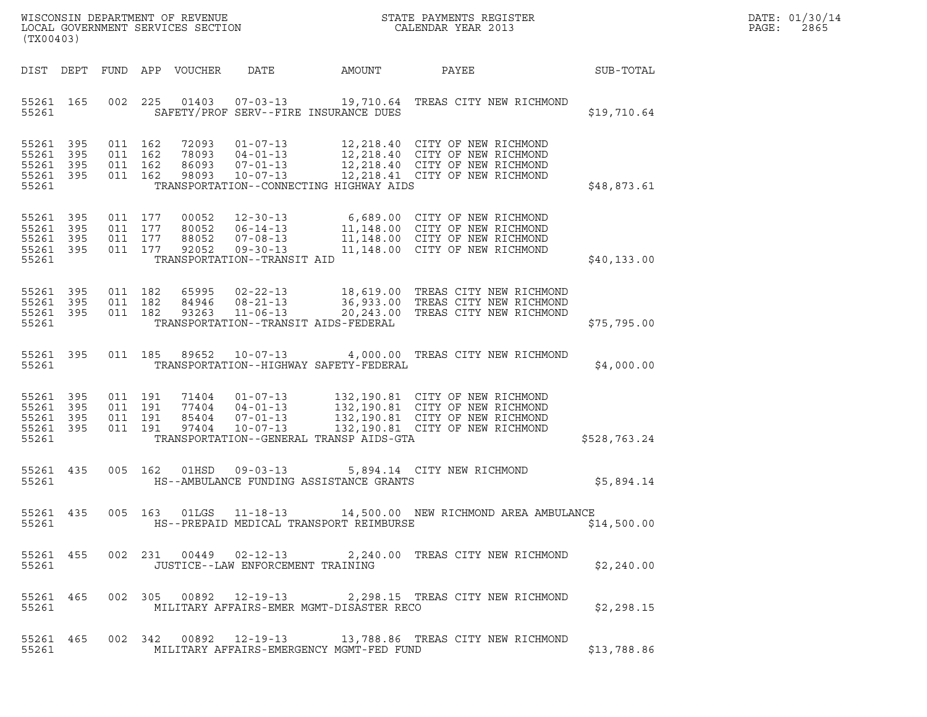| WISCONSIN DEPARTMENT OF REVENUE<br>LOCAL GOVERNMENT SERVICES SECTION<br>(TX00403) |            |                                          |                                                        |                                                                                   |        | STATE PAYMENTS REGISTER<br>CALENDAR YEAR 2013                                                                                                                                     |              | DATE: 01/30/14<br>PAGE:<br>2865 |
|-----------------------------------------------------------------------------------|------------|------------------------------------------|--------------------------------------------------------|-----------------------------------------------------------------------------------|--------|-----------------------------------------------------------------------------------------------------------------------------------------------------------------------------------|--------------|---------------------------------|
|                                                                                   |            |                                          | DIST DEPT FUND APP VOUCHER                             | DATE                                                                              | AMOUNT | PAYEE                                                                                                                                                                             | SUB-TOTAL    |                                 |
| 55261 165<br>55261                                                                |            |                                          | 002 225                                                | SAFETY/PROF SERV--FIRE INSURANCE DUES                                             |        | 01403  07-03-13  19,710.64  TREAS CITY NEW RICHMOND                                                                                                                               | \$19,710.64  |                                 |
| 55261 395<br>55261<br>55261 395<br>55261 395<br>55261                             | 395        | 011 162<br>011 162<br>011 162<br>011 162 | 72093<br>98093                                         | 10-07-13<br>TRANSPORTATION--CONNECTING HIGHWAY AIDS                               |        | 01-07-13 12,218.40 CITY OF NEW RICHMOND<br>78093  04-01-13  12,218.40  CITY OF NEW RICHMOND<br>86093  07-01-13  12,218.40  CITY OF NEW RICHMOND<br>12,218.41 CITY OF NEW RICHMOND | \$48,873.61  |                                 |
| 55261 395<br>55261 395<br>55261 395<br>55261 395<br>55261                         |            | 011 177<br>011 177                       | 011 177<br>00052<br>80052<br>88052<br>011 177<br>92052 | $06 - 14 - 13$<br>$07 - 08 - 13$<br>$09 - 30 - 13$<br>TRANSPORTATION--TRANSIT AID |        | 12-30-13 6,689.00 CITY OF NEW RICHMOND<br>06-14-13 11,148.00 CITY OF NEW RICHMOND<br>11,148.00 CITY OF NEW RICHMOND<br>11,148.00 CITY OF NEW RICHMOND                             | \$40,133.00  |                                 |
| 55261 395<br>55261<br>55261 395<br>55261                                          | - 395      | 011 182<br>011 182                       | 011 182<br>65995<br>84946<br>93263                     | $08 - 21 - 13$<br>$11 - 06 - 13$<br>TRANSPORTATION--TRANSIT AIDS-FEDERAL          |        | 02-22-13 18,619.00 TREAS CITY NEW RICHMOND<br>36,933.00 TREAS CITY NEW RICHMOND<br>20,243.00 TREAS CITY NEW RICHMOND                                                              | \$75,795.00  |                                 |
| 55261 395<br>55261                                                                |            |                                          | 011 185 89652 10-07-13                                 | TRANSPORTATION--HIGHWAY SAFETY-FEDERAL                                            |        | 4,000.00 TREAS CITY NEW RICHMOND                                                                                                                                                  | \$4,000.00   |                                 |
| 55261 395<br>55261<br>55261<br>55261 395<br>55261                                 | 395<br>395 | 011 191<br>011 191<br>011 191<br>011 191 | 77404<br>85404<br>97404                                | 71404 01-07-13<br>$10 - 07 - 13$<br>TRANSPORTATION--GENERAL TRANSP AIDS-GTA       |        | 132,190.81 CITY OF NEW RICHMOND<br>04-01-13<br>07-01-13 132,190.81 CITY OF NEW RICHMOND<br>07-01-13 132,190.81 CITY OF NEW RICHMOND<br>132,190.81 CITY OF NEW RICHMOND            | \$528,763.24 |                                 |
| 55261 435<br>55261                                                                |            | 005 162                                  | 01HSD                                                  | $09 - 03 - 13$<br>HS--AMBULANCE FUNDING ASSISTANCE GRANTS                         |        | 5,894.14 CITY NEW RICHMOND                                                                                                                                                        | \$5,894.14   |                                 |
| 55261                                                                             |            |                                          |                                                        | HS--PREPAID MEDICAL TRANSPORT REIMBURSE                                           |        | 55261 435 005 163 01LGS 11-18-13 14,500.00 NEW RICHMOND AREA AMBULANCE                                                                                                            | \$14,500.00  |                                 |
| 55261                                                                             |            |                                          |                                                        | JUSTICE--LAW ENFORCEMENT TRAINING                                                 |        | 55261 455 002 231 00449 02-12-13 2,240.00 TREAS CITY NEW RICHMOND                                                                                                                 | \$2,240.00   |                                 |
| 55261                                                                             |            |                                          |                                                        | MILITARY AFFAIRS-EMER MGMT-DISASTER RECO                                          |        | 55261 465 002 305 00892 12-19-13 2,298.15 TREAS CITY NEW RICHMOND                                                                                                                 | \$2,298.15   |                                 |
| 55261                                                                             |            |                                          |                                                        | MILITARY AFFAIRS-EMERGENCY MGMT-FED FUND                                          |        | 55261 465 002 342 00892 12-19-13 13,788.86 TREAS CITY NEW RICHMOND                                                                                                                | \$13,788.86  |                                 |